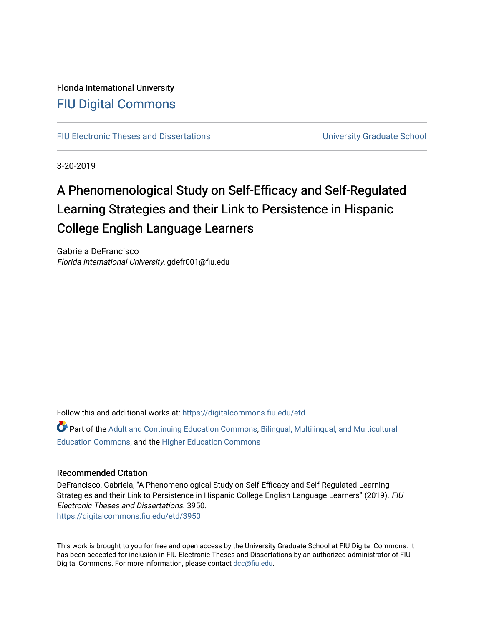# Florida International University [FIU Digital Commons](https://digitalcommons.fiu.edu/)

[FIU Electronic Theses and Dissertations](https://digitalcommons.fiu.edu/etd) **Electronic Theses and Dissertations Electronic School** 

3-20-2019

# A Phenomenological Study on Self-Efficacy and Self-Regulated Learning Strategies and their Link to Persistence in Hispanic College English Language Learners

Gabriela DeFrancisco Florida International University, gdefr001@fiu.edu

Follow this and additional works at: [https://digitalcommons.fiu.edu/etd](https://digitalcommons.fiu.edu/etd?utm_source=digitalcommons.fiu.edu%2Fetd%2F3950&utm_medium=PDF&utm_campaign=PDFCoverPages)

Part of the [Adult and Continuing Education Commons,](http://network.bepress.com/hgg/discipline/1375?utm_source=digitalcommons.fiu.edu%2Fetd%2F3950&utm_medium=PDF&utm_campaign=PDFCoverPages) [Bilingual, Multilingual, and Multicultural](http://network.bepress.com/hgg/discipline/785?utm_source=digitalcommons.fiu.edu%2Fetd%2F3950&utm_medium=PDF&utm_campaign=PDFCoverPages) [Education Commons,](http://network.bepress.com/hgg/discipline/785?utm_source=digitalcommons.fiu.edu%2Fetd%2F3950&utm_medium=PDF&utm_campaign=PDFCoverPages) and the [Higher Education Commons](http://network.bepress.com/hgg/discipline/1245?utm_source=digitalcommons.fiu.edu%2Fetd%2F3950&utm_medium=PDF&utm_campaign=PDFCoverPages) 

#### Recommended Citation

DeFrancisco, Gabriela, "A Phenomenological Study on Self-Efficacy and Self-Regulated Learning Strategies and their Link to Persistence in Hispanic College English Language Learners" (2019). FIU Electronic Theses and Dissertations. 3950. [https://digitalcommons.fiu.edu/etd/3950](https://digitalcommons.fiu.edu/etd/3950?utm_source=digitalcommons.fiu.edu%2Fetd%2F3950&utm_medium=PDF&utm_campaign=PDFCoverPages) 

This work is brought to you for free and open access by the University Graduate School at FIU Digital Commons. It has been accepted for inclusion in FIU Electronic Theses and Dissertations by an authorized administrator of FIU Digital Commons. For more information, please contact [dcc@fiu.edu](mailto:dcc@fiu.edu).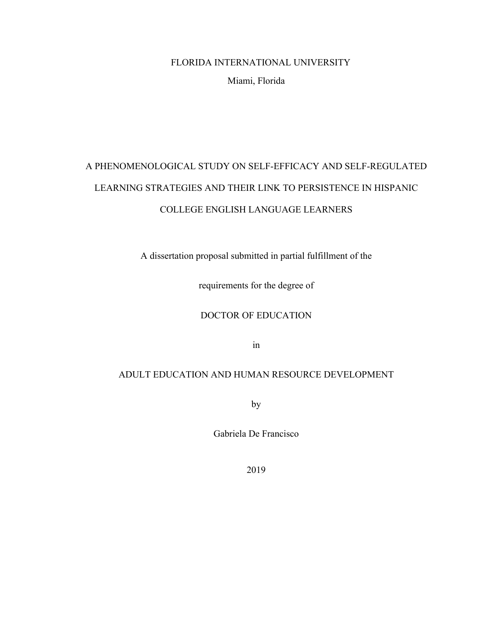## FLORIDA INTERNATIONAL UNIVERSITY

#### Miami, Florida

# A PHENOMENOLOGICAL STUDY ON SELF-EFFICACY AND SELF-REGULATED LEARNING STRATEGIES AND THEIR LINK TO PERSISTENCE IN HISPANIC COLLEGE ENGLISH LANGUAGE LEARNERS

A dissertation proposal submitted in partial fulfillment of the

requirements for the degree of

DOCTOR OF EDUCATION

in

## ADULT EDUCATION AND HUMAN RESOURCE DEVELOPMENT

by

Gabriela De Francisco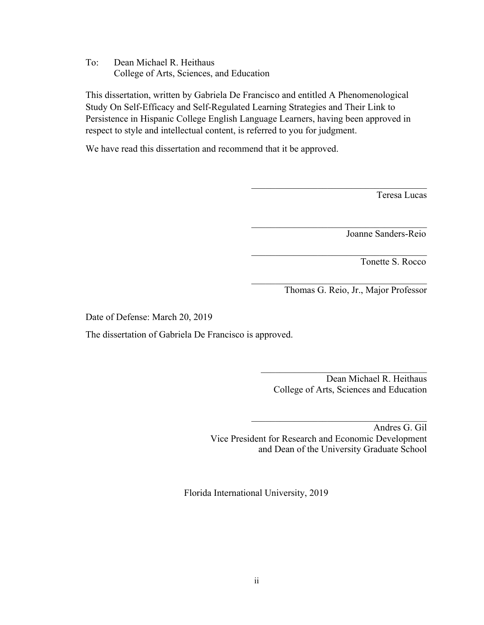To: Dean Michael R. Heithaus College of Arts, Sciences, and Education

This dissertation, written by Gabriela De Francisco and entitled A Phenomenological Study On Self-Efficacy and Self-Regulated Learning Strategies and Their Link to Persistence in Hispanic College English Language Learners, having been approved in respect to style and intellectual content, is referred to you for judgment.

We have read this dissertation and recommend that it be approved.

Teresa Lucas

Joanne Sanders-Reio

Tonette S. Rocco

Thomas G. Reio, Jr., Major Professor

 $\mathcal{L}_\text{max}$ 

 $\mathcal{L}_\text{max}$ 

 $\mathcal{L}_\text{max}$  , and the set of the set of the set of the set of the set of the set of the set of the set of the set of the set of the set of the set of the set of the set of the set of the set of the set of the set of the

 $\mathcal{L}_\text{max}$ 

Date of Defense: March 20, 2019

The dissertation of Gabriela De Francisco is approved.

Dean Michael R. Heithaus College of Arts, Sciences and Education

 $\mathcal{L}_\text{max}$  , and the set of the set of the set of the set of the set of the set of the set of the set of the set of the set of the set of the set of the set of the set of the set of the set of the set of the set of the

 $\mathcal{L}_\text{max}$  , and the set of the set of the set of the set of the set of the set of the set of the set of the set of the set of the set of the set of the set of the set of the set of the set of the set of the set of the

Andres G. Gil Vice President for Research and Economic Development and Dean of the University Graduate School

Florida International University, 2019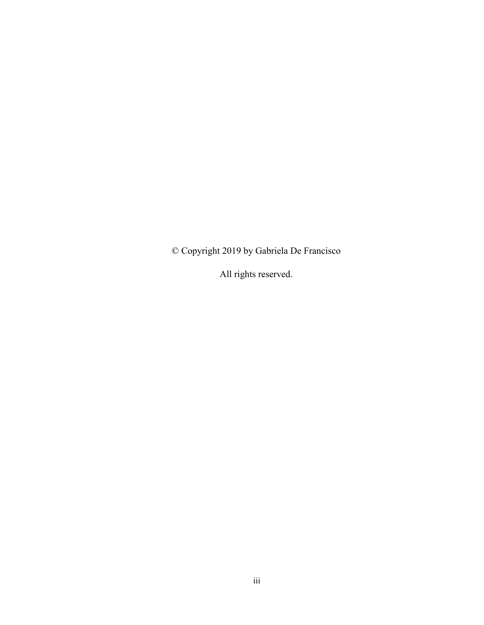© Copyright 2019 by Gabriela De Francisco

All rights reserved.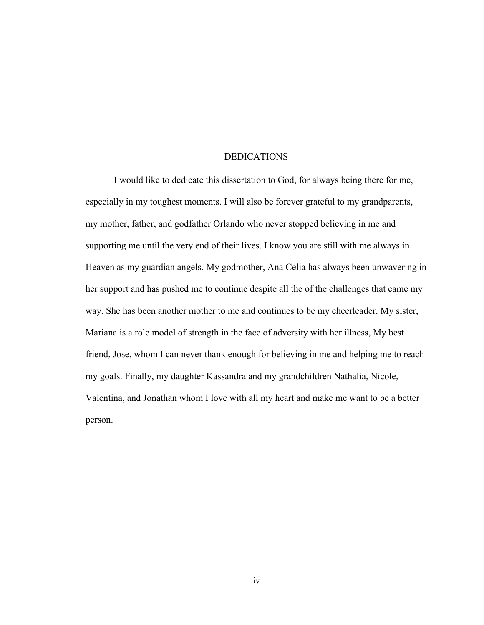#### DEDICATIONS

I would like to dedicate this dissertation to God, for always being there for me, especially in my toughest moments. I will also be forever grateful to my grandparents, my mother, father, and godfather Orlando who never stopped believing in me and supporting me until the very end of their lives. I know you are still with me always in Heaven as my guardian angels. My godmother, Ana Celia has always been unwavering in her support and has pushed me to continue despite all the of the challenges that came my way. She has been another mother to me and continues to be my cheerleader. My sister, Mariana is a role model of strength in the face of adversity with her illness, My best friend, Jose, whom I can never thank enough for believing in me and helping me to reach my goals. Finally, my daughter Kassandra and my grandchildren Nathalia, Nicole, Valentina, and Jonathan whom I love with all my heart and make me want to be a better person.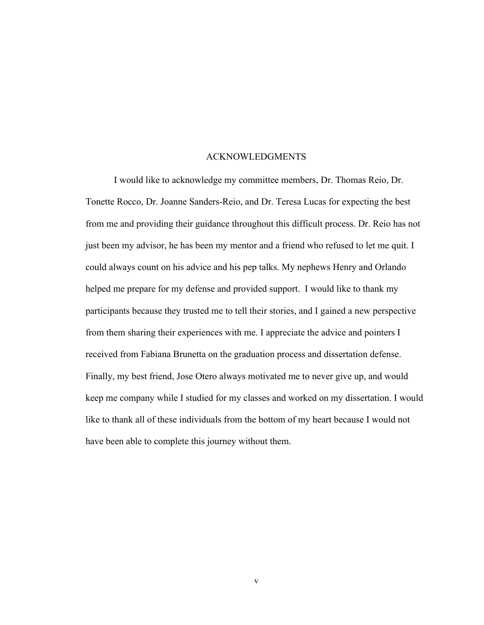#### ACKNOWLEDGMENTS

I would like to acknowledge my committee members, Dr. Thomas Reio, Dr. Tonette Rocco, Dr. Joanne Sanders-Reio, and Dr. Teresa Lucas for expecting the best from me and providing their guidance throughout this difficult process. Dr. Reio has not just been my advisor, he has been my mentor and a friend who refused to let me quit. I could always count on his advice and his pep talks. My nephews Henry and Orlando helped me prepare for my defense and provided support. I would like to thank my participants because they trusted me to tell their stories, and I gained a new perspective from them sharing their experiences with me. I appreciate the advice and pointers I received from Fabiana Brunetta on the graduation process and dissertation defense. Finally, my best friend, Jose Otero always motivated me to never give up, and would keep me company while I studied for my classes and worked on my dissertation. I would like to thank all of these individuals from the bottom of my heart because I would not have been able to complete this journey without them.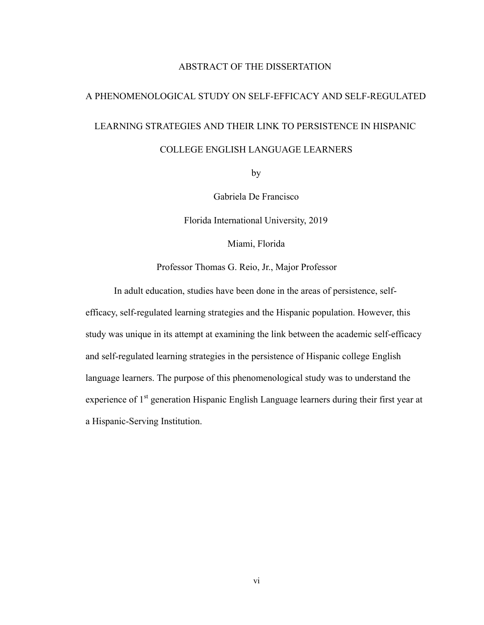#### ABSTRACT OF THE DISSERTATION

# A PHENOMENOLOGICAL STUDY ON SELF-EFFICACY AND SELF-REGULATED LEARNING STRATEGIES AND THEIR LINK TO PERSISTENCE IN HISPANIC COLLEGE ENGLISH LANGUAGE LEARNERS

by

Gabriela De Francisco

Florida International University, 2019

Miami, Florida

Professor Thomas G. Reio, Jr., Major Professor

In adult education, studies have been done in the areas of persistence, selfefficacy, self-regulated learning strategies and the Hispanic population. However, this study was unique in its attempt at examining the link between the academic self-efficacy and self-regulated learning strategies in the persistence of Hispanic college English language learners. The purpose of this phenomenological study was to understand the experience of 1<sup>st</sup> generation Hispanic English Language learners during their first year at a Hispanic-Serving Institution.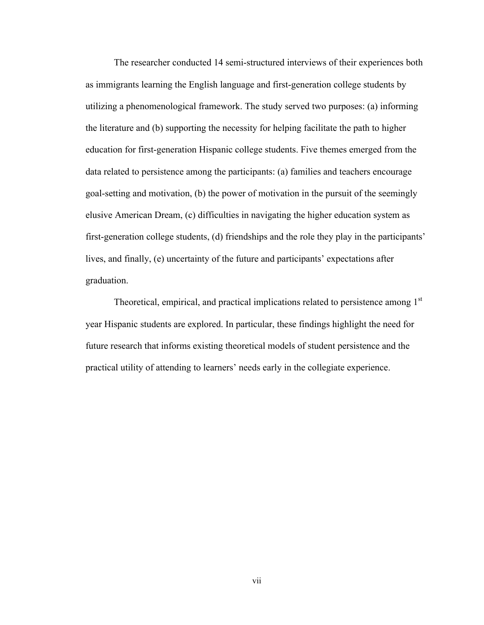The researcher conducted 14 semi-structured interviews of their experiences both as immigrants learning the English language and first-generation college students by utilizing a phenomenological framework. The study served two purposes: (a) informing the literature and (b) supporting the necessity for helping facilitate the path to higher education for first-generation Hispanic college students. Five themes emerged from the data related to persistence among the participants: (a) families and teachers encourage goal-setting and motivation, (b) the power of motivation in the pursuit of the seemingly elusive American Dream, (c) difficulties in navigating the higher education system as first-generation college students, (d) friendships and the role they play in the participants' lives, and finally, (e) uncertainty of the future and participants' expectations after graduation.

Theoretical, empirical, and practical implications related to persistence among 1<sup>st</sup> year Hispanic students are explored. In particular, these findings highlight the need for future research that informs existing theoretical models of student persistence and the practical utility of attending to learners' needs early in the collegiate experience.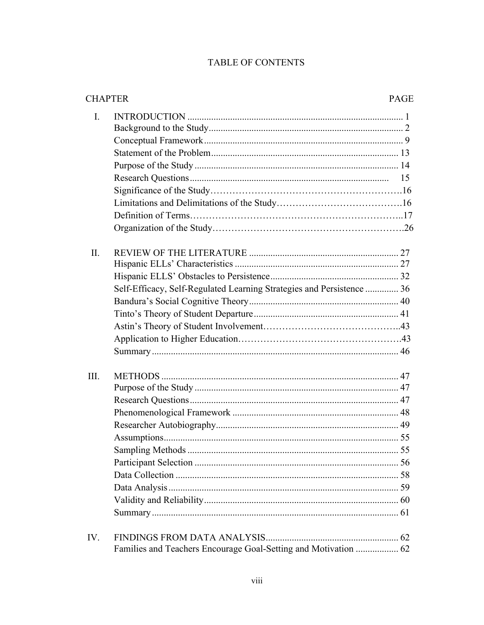# TABLE OF CONTENTS

|                | <b>CHAPTER</b>                                                        |  |
|----------------|-----------------------------------------------------------------------|--|
| $\mathbf{I}$ . |                                                                       |  |
| II.            | Self-Efficacy, Self-Regulated Learning Strategies and Persistence  36 |  |
| III.           |                                                                       |  |
| IV.            | Families and Teachers Encourage Goal-Setting and Motivation  62       |  |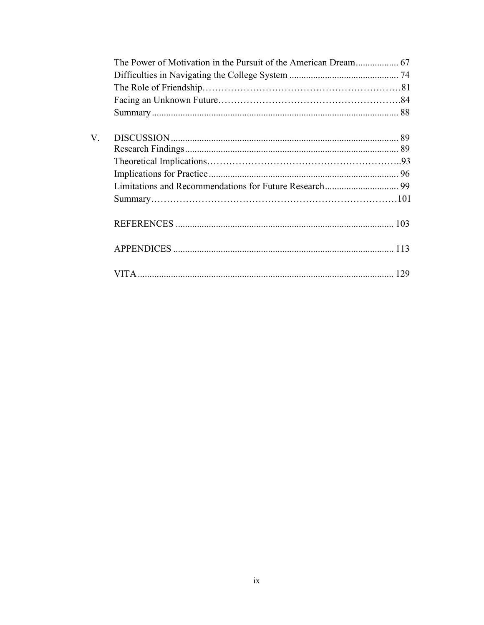| $V_{\cdot}$ |  |
|-------------|--|
|             |  |
|             |  |
|             |  |
|             |  |
|             |  |
|             |  |
|             |  |
|             |  |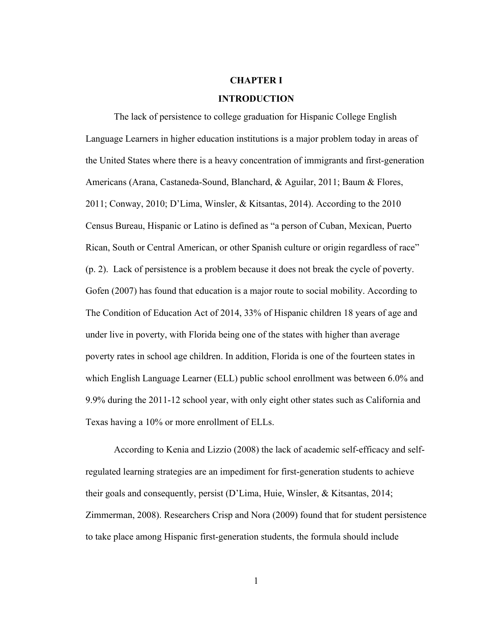## **CHAPTER I**

#### **INTRODUCTION**

The lack of persistence to college graduation for Hispanic College English Language Learners in higher education institutions is a major problem today in areas of the United States where there is a heavy concentration of immigrants and first-generation Americans (Arana, Castaneda-Sound, Blanchard, & Aguilar, 2011; Baum & Flores, 2011; Conway, 2010; D'Lima, Winsler, & Kitsantas, 2014). According to the 2010 Census Bureau, Hispanic or Latino is defined as "a person of Cuban, Mexican, Puerto Rican, South or Central American, or other Spanish culture or origin regardless of race" (p. 2). Lack of persistence is a problem because it does not break the cycle of poverty. Gofen (2007) has found that education is a major route to social mobility. According to The Condition of Education Act of 2014, 33% of Hispanic children 18 years of age and under live in poverty, with Florida being one of the states with higher than average poverty rates in school age children. In addition, Florida is one of the fourteen states in which English Language Learner (ELL) public school enrollment was between 6.0% and 9.9% during the 2011-12 school year, with only eight other states such as California and Texas having a 10% or more enrollment of ELLs.

 According to Kenia and Lizzio (2008) the lack of academic self-efficacy and selfregulated learning strategies are an impediment for first-generation students to achieve their goals and consequently, persist (D'Lima, Huie, Winsler, & Kitsantas, 2014; Zimmerman, 2008). Researchers Crisp and Nora (2009) found that for student persistence to take place among Hispanic first-generation students, the formula should include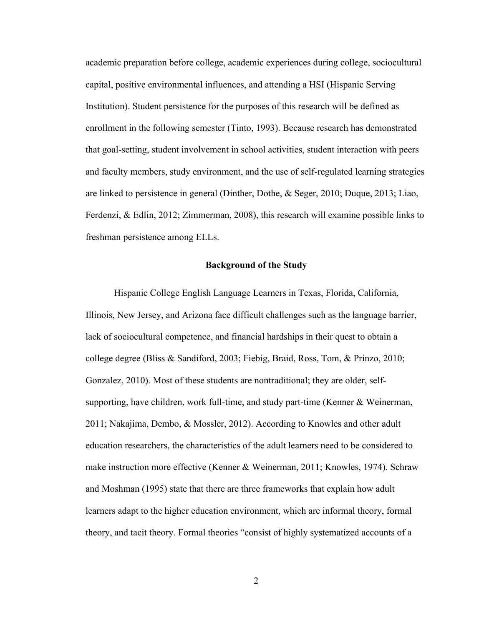academic preparation before college, academic experiences during college, sociocultural capital, positive environmental influences, and attending a HSI (Hispanic Serving Institution). Student persistence for the purposes of this research will be defined as enrollment in the following semester (Tinto, 1993). Because research has demonstrated that goal-setting, student involvement in school activities, student interaction with peers and faculty members, study environment, and the use of self-regulated learning strategies are linked to persistence in general (Dinther, Dothe, & Seger, 2010; Duque, 2013; Liao, Ferdenzi, & Edlin, 2012; Zimmerman, 2008), this research will examine possible links to freshman persistence among ELLs.

#### **Background of the Study**

 Hispanic College English Language Learners in Texas, Florida, California, Illinois, New Jersey, and Arizona face difficult challenges such as the language barrier, lack of sociocultural competence, and financial hardships in their quest to obtain a college degree (Bliss & Sandiford, 2003; Fiebig, Braid, Ross, Tom, & Prinzo, 2010; Gonzalez, 2010). Most of these students are nontraditional; they are older, selfsupporting, have children, work full-time, and study part-time (Kenner & Weinerman, 2011; Nakajima, Dembo, & Mossler, 2012). According to Knowles and other adult education researchers, the characteristics of the adult learners need to be considered to make instruction more effective (Kenner & Weinerman, 2011; Knowles, 1974). Schraw and Moshman (1995) state that there are three frameworks that explain how adult learners adapt to the higher education environment, which are informal theory, formal theory, and tacit theory. Formal theories "consist of highly systematized accounts of a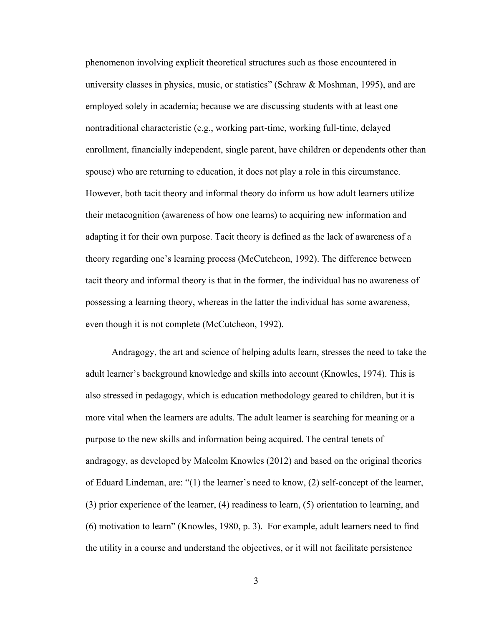phenomenon involving explicit theoretical structures such as those encountered in university classes in physics, music, or statistics" (Schraw  $\&$  Moshman, 1995), and are employed solely in academia; because we are discussing students with at least one nontraditional characteristic (e.g., working part-time, working full-time, delayed enrollment, financially independent, single parent, have children or dependents other than spouse) who are returning to education, it does not play a role in this circumstance. However, both tacit theory and informal theory do inform us how adult learners utilize their metacognition (awareness of how one learns) to acquiring new information and adapting it for their own purpose. Tacit theory is defined as the lack of awareness of a theory regarding one's learning process (McCutcheon, 1992). The difference between tacit theory and informal theory is that in the former, the individual has no awareness of possessing a learning theory, whereas in the latter the individual has some awareness, even though it is not complete (McCutcheon, 1992).

 Andragogy, the art and science of helping adults learn, stresses the need to take the adult learner's background knowledge and skills into account (Knowles, 1974). This is also stressed in pedagogy, which is education methodology geared to children, but it is more vital when the learners are adults. The adult learner is searching for meaning or a purpose to the new skills and information being acquired. The central tenets of andragogy, as developed by Malcolm Knowles (2012) and based on the original theories of Eduard Lindeman, are: "(1) the learner's need to know, (2) self-concept of the learner, (3) prior experience of the learner, (4) readiness to learn, (5) orientation to learning, and (6) motivation to learn" (Knowles, 1980, p. 3). For example, adult learners need to find the utility in a course and understand the objectives, or it will not facilitate persistence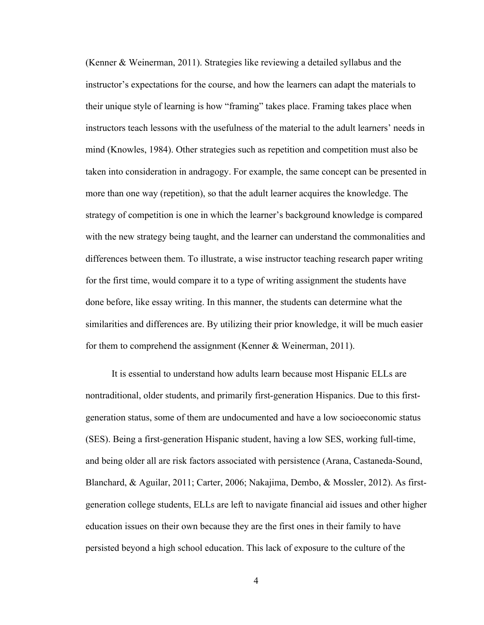(Kenner & Weinerman, 2011). Strategies like reviewing a detailed syllabus and the instructor's expectations for the course, and how the learners can adapt the materials to their unique style of learning is how "framing" takes place. Framing takes place when instructors teach lessons with the usefulness of the material to the adult learners' needs in mind (Knowles, 1984). Other strategies such as repetition and competition must also be taken into consideration in andragogy. For example, the same concept can be presented in more than one way (repetition), so that the adult learner acquires the knowledge. The strategy of competition is one in which the learner's background knowledge is compared with the new strategy being taught, and the learner can understand the commonalities and differences between them. To illustrate, a wise instructor teaching research paper writing for the first time, would compare it to a type of writing assignment the students have done before, like essay writing. In this manner, the students can determine what the similarities and differences are. By utilizing their prior knowledge, it will be much easier for them to comprehend the assignment (Kenner & Weinerman, 2011).

 It is essential to understand how adults learn because most Hispanic ELLs are nontraditional, older students, and primarily first-generation Hispanics. Due to this firstgeneration status, some of them are undocumented and have a low socioeconomic status (SES). Being a first-generation Hispanic student, having a low SES, working full-time, and being older all are risk factors associated with persistence (Arana, Castaneda-Sound, Blanchard, & Aguilar, 2011; Carter, 2006; Nakajima, Dembo, & Mossler, 2012). As firstgeneration college students, ELLs are left to navigate financial aid issues and other higher education issues on their own because they are the first ones in their family to have persisted beyond a high school education. This lack of exposure to the culture of the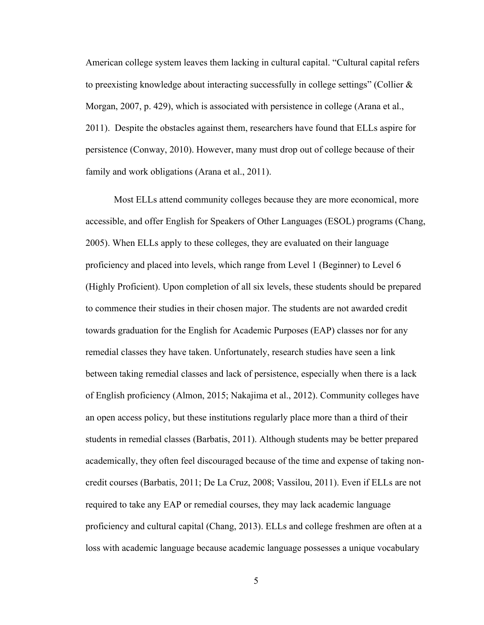American college system leaves them lacking in cultural capital. "Cultural capital refers to preexisting knowledge about interacting successfully in college settings" (Collier  $\&$ Morgan, 2007, p. 429), which is associated with persistence in college (Arana et al., 2011). Despite the obstacles against them, researchers have found that ELLs aspire for persistence (Conway, 2010). However, many must drop out of college because of their family and work obligations (Arana et al., 2011).

 Most ELLs attend community colleges because they are more economical, more accessible, and offer English for Speakers of Other Languages (ESOL) programs (Chang, 2005). When ELLs apply to these colleges, they are evaluated on their language proficiency and placed into levels, which range from Level 1 (Beginner) to Level 6 (Highly Proficient). Upon completion of all six levels, these students should be prepared to commence their studies in their chosen major. The students are not awarded credit towards graduation for the English for Academic Purposes (EAP) classes nor for any remedial classes they have taken. Unfortunately, research studies have seen a link between taking remedial classes and lack of persistence, especially when there is a lack of English proficiency (Almon, 2015; Nakajima et al., 2012). Community colleges have an open access policy, but these institutions regularly place more than a third of their students in remedial classes (Barbatis, 2011). Although students may be better prepared academically, they often feel discouraged because of the time and expense of taking noncredit courses (Barbatis, 2011; De La Cruz, 2008; Vassilou, 2011). Even if ELLs are not required to take any EAP or remedial courses, they may lack academic language proficiency and cultural capital (Chang, 2013). ELLs and college freshmen are often at a loss with academic language because academic language possesses a unique vocabulary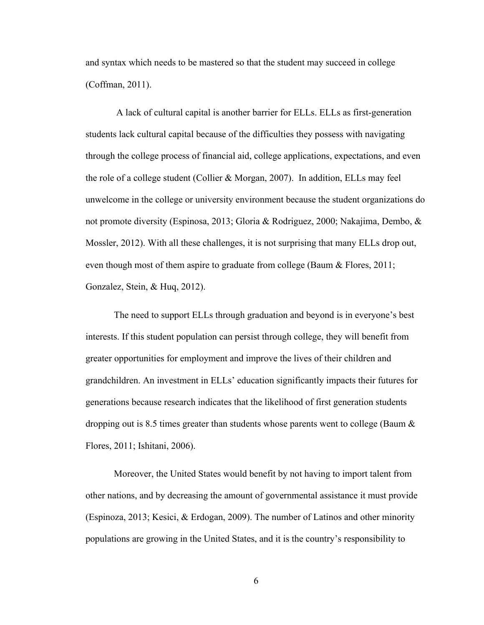and syntax which needs to be mastered so that the student may succeed in college (Coffman, 2011).

A lack of cultural capital is another barrier for ELLs. ELLs as first-generation students lack cultural capital because of the difficulties they possess with navigating through the college process of financial aid, college applications, expectations, and even the role of a college student (Collier & Morgan, 2007). In addition, ELLs may feel unwelcome in the college or university environment because the student organizations do not promote diversity (Espinosa, 2013; Gloria & Rodriguez, 2000; Nakajima, Dembo, & Mossler, 2012). With all these challenges, it is not surprising that many ELLs drop out, even though most of them aspire to graduate from college (Baum & Flores, 2011; Gonzalez, Stein, & Huq, 2012).

 The need to support ELLs through graduation and beyond is in everyone's best interests. If this student population can persist through college, they will benefit from greater opportunities for employment and improve the lives of their children and grandchildren. An investment in ELLs' education significantly impacts their futures for generations because research indicates that the likelihood of first generation students dropping out is 8.5 times greater than students whose parents went to college (Baum & Flores, 2011; Ishitani, 2006).

 Moreover, the United States would benefit by not having to import talent from other nations, and by decreasing the amount of governmental assistance it must provide (Espinoza, 2013; Kesici, & Erdogan, 2009). The number of Latinos and other minority populations are growing in the United States, and it is the country's responsibility to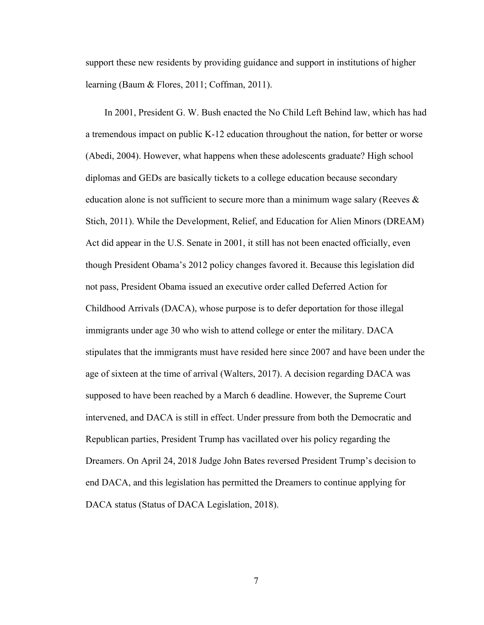support these new residents by providing guidance and support in institutions of higher learning (Baum & Flores, 2011; Coffman, 2011).

 In 2001, President G. W. Bush enacted the No Child Left Behind law, which has had a tremendous impact on public K-12 education throughout the nation, for better or worse (Abedi, 2004). However, what happens when these adolescents graduate? High school diplomas and GEDs are basically tickets to a college education because secondary education alone is not sufficient to secure more than a minimum wage salary (Reeves & Stich, 2011). While the Development, Relief, and Education for Alien Minors (DREAM) Act did appear in the U.S. Senate in 2001, it still has not been enacted officially, even though President Obama's 2012 policy changes favored it. Because this legislation did not pass, President Obama issued an executive order called Deferred Action for Childhood Arrivals (DACA), whose purpose is to defer deportation for those illegal immigrants under age 30 who wish to attend college or enter the military. DACA stipulates that the immigrants must have resided here since 2007 and have been under the age of sixteen at the time of arrival (Walters, 2017). A decision regarding DACA was supposed to have been reached by a March 6 deadline. However, the Supreme Court intervened, and DACA is still in effect. Under pressure from both the Democratic and Republican parties, President Trump has vacillated over his policy regarding the Dreamers. On April 24, 2018 Judge John Bates reversed President Trump's decision to end DACA, and this legislation has permitted the Dreamers to continue applying for DACA status (Status of DACA Legislation, 2018).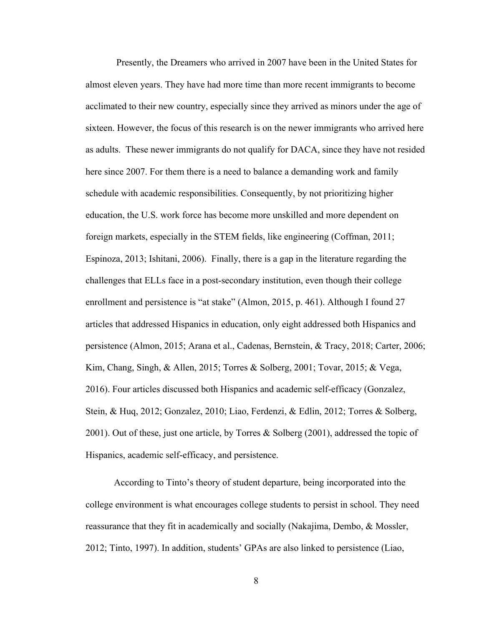Presently, the Dreamers who arrived in 2007 have been in the United States for almost eleven years. They have had more time than more recent immigrants to become acclimated to their new country, especially since they arrived as minors under the age of sixteen. However, the focus of this research is on the newer immigrants who arrived here as adults. These newer immigrants do not qualify for DACA, since they have not resided here since 2007. For them there is a need to balance a demanding work and family schedule with academic responsibilities. Consequently, by not prioritizing higher education, the U.S. work force has become more unskilled and more dependent on foreign markets, especially in the STEM fields, like engineering (Coffman, 2011; Espinoza, 2013; Ishitani, 2006). Finally, there is a gap in the literature regarding the challenges that ELLs face in a post-secondary institution, even though their college enrollment and persistence is "at stake" (Almon, 2015, p. 461). Although I found 27 articles that addressed Hispanics in education, only eight addressed both Hispanics and persistence (Almon, 2015; Arana et al., Cadenas, Bernstein, & Tracy, 2018; Carter, 2006; Kim, Chang, Singh, & Allen, 2015; Torres & Solberg, 2001; Tovar, 2015; & Vega, 2016). Four articles discussed both Hispanics and academic self-efficacy (Gonzalez, Stein, & Huq, 2012; Gonzalez, 2010; Liao, Ferdenzi, & Edlin, 2012; Torres & Solberg, 2001). Out of these, just one article, by Torres & Solberg (2001), addressed the topic of Hispanics, academic self-efficacy, and persistence.

According to Tinto's theory of student departure, being incorporated into the college environment is what encourages college students to persist in school. They need reassurance that they fit in academically and socially (Nakajima, Dembo, & Mossler, 2012; Tinto, 1997). In addition, students' GPAs are also linked to persistence (Liao,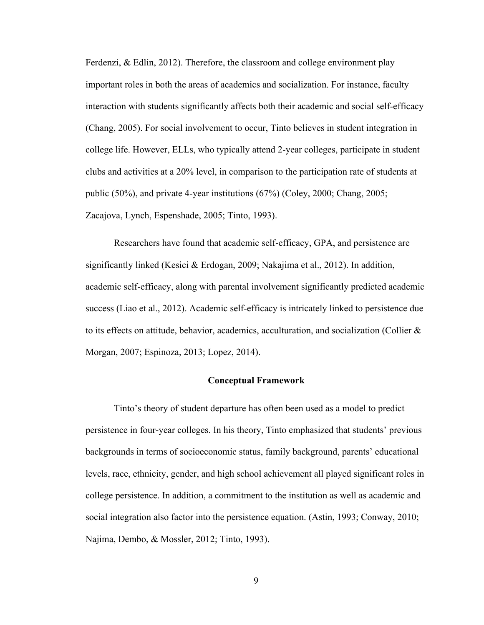Ferdenzi, & Edlin, 2012). Therefore, the classroom and college environment play important roles in both the areas of academics and socialization. For instance, faculty interaction with students significantly affects both their academic and social self-efficacy (Chang, 2005). For social involvement to occur, Tinto believes in student integration in college life. However, ELLs, who typically attend 2-year colleges, participate in student clubs and activities at a 20% level, in comparison to the participation rate of students at public (50%), and private 4-year institutions (67%) (Coley, 2000; Chang, 2005; Zacajova, Lynch, Espenshade, 2005; Tinto, 1993).

Researchers have found that academic self-efficacy, GPA, and persistence are significantly linked (Kesici & Erdogan, 2009; Nakajima et al., 2012). In addition, academic self-efficacy, along with parental involvement significantly predicted academic success (Liao et al., 2012). Academic self-efficacy is intricately linked to persistence due to its effects on attitude, behavior, academics, acculturation, and socialization (Collier & Morgan, 2007; Espinoza, 2013; Lopez, 2014).

#### **Conceptual Framework**

 Tinto's theory of student departure has often been used as a model to predict persistence in four-year colleges. In his theory, Tinto emphasized that students' previous backgrounds in terms of socioeconomic status, family background, parents' educational levels, race, ethnicity, gender, and high school achievement all played significant roles in college persistence. In addition, a commitment to the institution as well as academic and social integration also factor into the persistence equation. (Astin, 1993; Conway, 2010; Najima, Dembo, & Mossler, 2012; Tinto, 1993).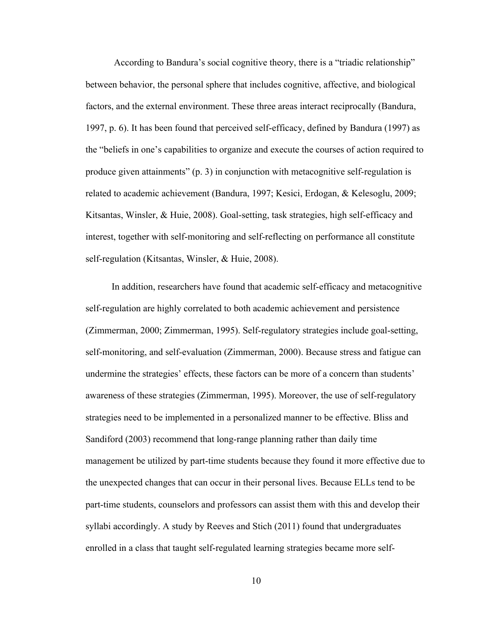According to Bandura's social cognitive theory, there is a "triadic relationship" between behavior, the personal sphere that includes cognitive, affective, and biological factors, and the external environment. These three areas interact reciprocally (Bandura, 1997, p. 6). It has been found that perceived self-efficacy, defined by Bandura (1997) as the "beliefs in one's capabilities to organize and execute the courses of action required to produce given attainments" (p. 3) in conjunction with metacognitive self-regulation is related to academic achievement (Bandura, 1997; Kesici, Erdogan, & Kelesoglu, 2009; Kitsantas, Winsler, & Huie, 2008). Goal-setting, task strategies, high self-efficacy and interest, together with self-monitoring and self-reflecting on performance all constitute self-regulation (Kitsantas, Winsler, & Huie, 2008).

 In addition, researchers have found that academic self-efficacy and metacognitive self-regulation are highly correlated to both academic achievement and persistence (Zimmerman, 2000; Zimmerman, 1995). Self-regulatory strategies include goal-setting, self-monitoring, and self-evaluation (Zimmerman, 2000). Because stress and fatigue can undermine the strategies' effects, these factors can be more of a concern than students' awareness of these strategies (Zimmerman, 1995). Moreover, the use of self-regulatory strategies need to be implemented in a personalized manner to be effective. Bliss and Sandiford (2003) recommend that long-range planning rather than daily time management be utilized by part-time students because they found it more effective due to the unexpected changes that can occur in their personal lives. Because ELLs tend to be part-time students, counselors and professors can assist them with this and develop their syllabi accordingly. A study by Reeves and Stich (2011) found that undergraduates enrolled in a class that taught self-regulated learning strategies became more self-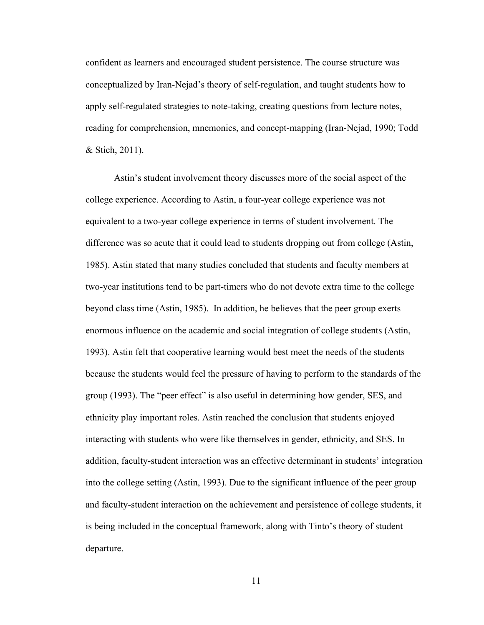confident as learners and encouraged student persistence. The course structure was conceptualized by Iran-Nejad's theory of self-regulation, and taught students how to apply self-regulated strategies to note-taking, creating questions from lecture notes, reading for comprehension, mnemonics, and concept-mapping (Iran-Nejad, 1990; Todd & Stich, 2011).

 Astin's student involvement theory discusses more of the social aspect of the college experience. According to Astin, a four-year college experience was not equivalent to a two-year college experience in terms of student involvement. The difference was so acute that it could lead to students dropping out from college (Astin, 1985). Astin stated that many studies concluded that students and faculty members at two-year institutions tend to be part-timers who do not devote extra time to the college beyond class time (Astin, 1985). In addition, he believes that the peer group exerts enormous influence on the academic and social integration of college students (Astin, 1993). Astin felt that cooperative learning would best meet the needs of the students because the students would feel the pressure of having to perform to the standards of the group (1993). The "peer effect" is also useful in determining how gender, SES, and ethnicity play important roles. Astin reached the conclusion that students enjoyed interacting with students who were like themselves in gender, ethnicity, and SES. In addition, faculty-student interaction was an effective determinant in students' integration into the college setting (Astin, 1993). Due to the significant influence of the peer group and faculty-student interaction on the achievement and persistence of college students, it is being included in the conceptual framework, along with Tinto's theory of student departure.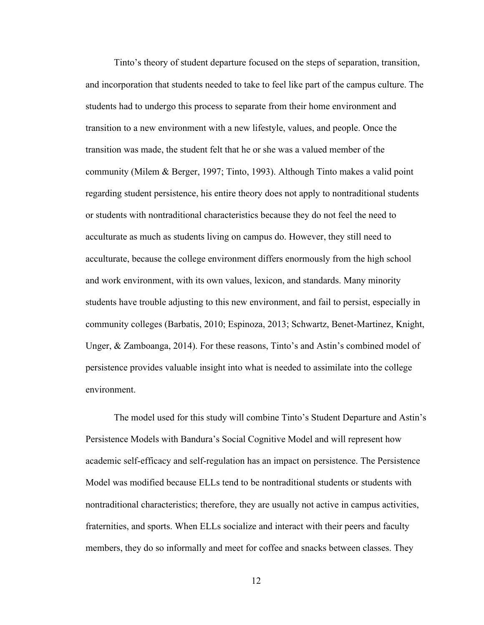Tinto's theory of student departure focused on the steps of separation, transition, and incorporation that students needed to take to feel like part of the campus culture. The students had to undergo this process to separate from their home environment and transition to a new environment with a new lifestyle, values, and people. Once the transition was made, the student felt that he or she was a valued member of the community (Milem & Berger, 1997; Tinto, 1993). Although Tinto makes a valid point regarding student persistence, his entire theory does not apply to nontraditional students or students with nontraditional characteristics because they do not feel the need to acculturate as much as students living on campus do. However, they still need to acculturate, because the college environment differs enormously from the high school and work environment, with its own values, lexicon, and standards. Many minority students have trouble adjusting to this new environment, and fail to persist, especially in community colleges (Barbatis, 2010; Espinoza, 2013; Schwartz, Benet-Martinez, Knight, Unger, & Zamboanga, 2014). For these reasons, Tinto's and Astin's combined model of persistence provides valuable insight into what is needed to assimilate into the college environment.

 The model used for this study will combine Tinto's Student Departure and Astin's Persistence Models with Bandura's Social Cognitive Model and will represent how academic self-efficacy and self-regulation has an impact on persistence. The Persistence Model was modified because ELLs tend to be nontraditional students or students with nontraditional characteristics; therefore, they are usually not active in campus activities, fraternities, and sports. When ELLs socialize and interact with their peers and faculty members, they do so informally and meet for coffee and snacks between classes. They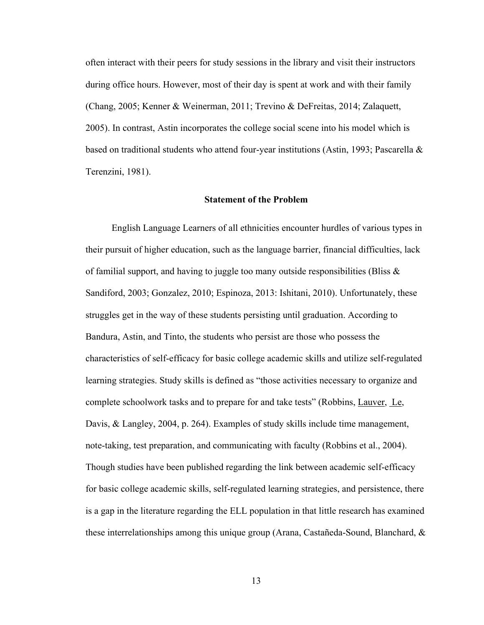often interact with their peers for study sessions in the library and visit their instructors during office hours. However, most of their day is spent at work and with their family (Chang, 2005; Kenner & Weinerman, 2011; Trevino & DeFreitas, 2014; Zalaquett, 2005). In contrast, Astin incorporates the college social scene into his model which is based on traditional students who attend four-year institutions (Astin, 1993; Pascarella & Terenzini, 1981).

#### **Statement of the Problem**

 English Language Learners of all ethnicities encounter hurdles of various types in their pursuit of higher education, such as the language barrier, financial difficulties, lack of familial support, and having to juggle too many outside responsibilities (Bliss  $\&$ Sandiford, 2003; Gonzalez, 2010; Espinoza, 2013: Ishitani, 2010). Unfortunately, these struggles get in the way of these students persisting until graduation. According to Bandura, Astin, and Tinto, the students who persist are those who possess the characteristics of self-efficacy for basic college academic skills and utilize self-regulated learning strategies. Study skills is defined as "those activities necessary to organize and complete schoolwork tasks and to prepare for and take tests" (Robbins, Lauver, Le, Davis, & Langley, 2004, p. 264). Examples of study skills include time management, note-taking, test preparation, and communicating with faculty (Robbins et al., 2004). Though studies have been published regarding the link between academic self-efficacy for basic college academic skills, self-regulated learning strategies, and persistence, there is a gap in the literature regarding the ELL population in that little research has examined these interrelationships among this unique group (Arana, Castañeda-Sound, Blanchard, &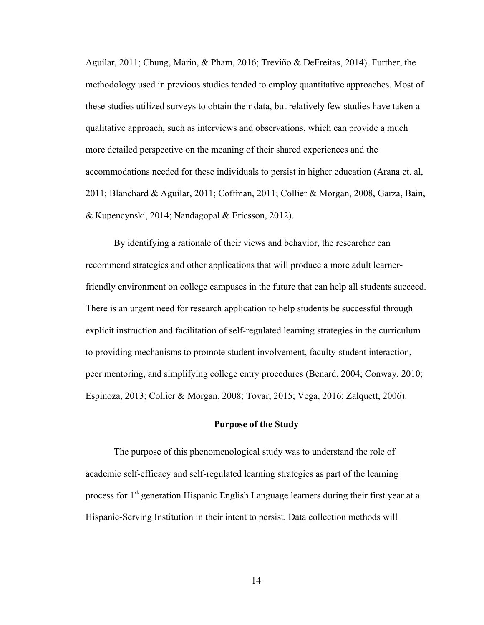Aguilar, 2011; Chung, Marin, & Pham, 2016; Treviño & DeFreitas, 2014). Further, the methodology used in previous studies tended to employ quantitative approaches. Most of these studies utilized surveys to obtain their data, but relatively few studies have taken a qualitative approach, such as interviews and observations, which can provide a much more detailed perspective on the meaning of their shared experiences and the accommodations needed for these individuals to persist in higher education (Arana et. al, 2011; Blanchard & Aguilar, 2011; Coffman, 2011; Collier & Morgan, 2008, Garza, Bain, & Kupencynski, 2014; Nandagopal & Ericsson, 2012).

 By identifying a rationale of their views and behavior, the researcher can recommend strategies and other applications that will produce a more adult learnerfriendly environment on college campuses in the future that can help all students succeed. There is an urgent need for research application to help students be successful through explicit instruction and facilitation of self-regulated learning strategies in the curriculum to providing mechanisms to promote student involvement, faculty-student interaction, peer mentoring, and simplifying college entry procedures (Benard, 2004; Conway, 2010; Espinoza, 2013; Collier & Morgan, 2008; Tovar, 2015; Vega, 2016; Zalquett, 2006).

#### **Purpose of the Study**

The purpose of this phenomenological study was to understand the role of academic self-efficacy and self-regulated learning strategies as part of the learning process for 1<sup>st</sup> generation Hispanic English Language learners during their first year at a Hispanic-Serving Institution in their intent to persist. Data collection methods will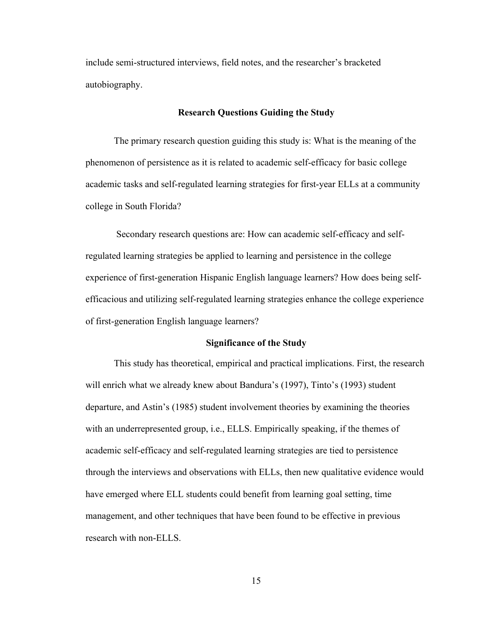include semi-structured interviews, field notes, and the researcher's bracketed autobiography.

#### **Research Questions Guiding the Study**

The primary research question guiding this study is: What is the meaning of the phenomenon of persistence as it is related to academic self-efficacy for basic college academic tasks and self-regulated learning strategies for first-year ELLs at a community college in South Florida?

Secondary research questions are: How can academic self-efficacy and selfregulated learning strategies be applied to learning and persistence in the college experience of first-generation Hispanic English language learners? How does being selfefficacious and utilizing self-regulated learning strategies enhance the college experience of first-generation English language learners?

#### **Significance of the Study**

 This study has theoretical, empirical and practical implications. First, the research will enrich what we already knew about Bandura's (1997), Tinto's (1993) student departure, and Astin's (1985) student involvement theories by examining the theories with an underrepresented group, i.e., ELLS. Empirically speaking, if the themes of academic self-efficacy and self-regulated learning strategies are tied to persistence through the interviews and observations with ELLs, then new qualitative evidence would have emerged where ELL students could benefit from learning goal setting, time management, and other techniques that have been found to be effective in previous research with non-ELLS.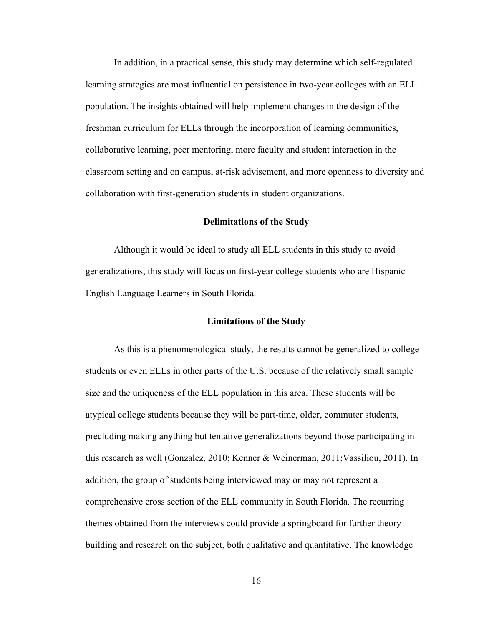In addition, in a practical sense, this study may determine which self-regulated learning strategies are most influential on persistence in two-year colleges with an ELL population. The insights obtained will help implement changes in the design of the freshman curriculum for ELLs through the incorporation of learning communities, collaborative learning, peer mentoring, more faculty and student interaction in the classroom setting and on campus, at-risk advisement, and more openness to diversity and collaboration with first-generation students in student organizations.

#### **Delimitations of the Study**

Although it would be ideal to study all ELL students in this study to avoid generalizations, this study will focus on first-year college students who are Hispanic English Language Learners in South Florida.

#### **Limitations of the Study**

As this is a phenomenological study, the results cannot be generalized to college students or even ELLs in other parts of the U.S. because of the relatively small sample size and the uniqueness of the ELL population in this area. These students will be atypical college students because they will be part-time, older, commuter students, precluding making anything but tentative generalizations beyond those participating in this research as well (Gonzalez, 2010; Kenner & Weinerman, 2011;Vassiliou, 2011). In addition, the group of students being interviewed may or may not represent a comprehensive cross section of the ELL community in South Florida. The recurring themes obtained from the interviews could provide a springboard for further theory building and research on the subject, both qualitative and quantitative. The knowledge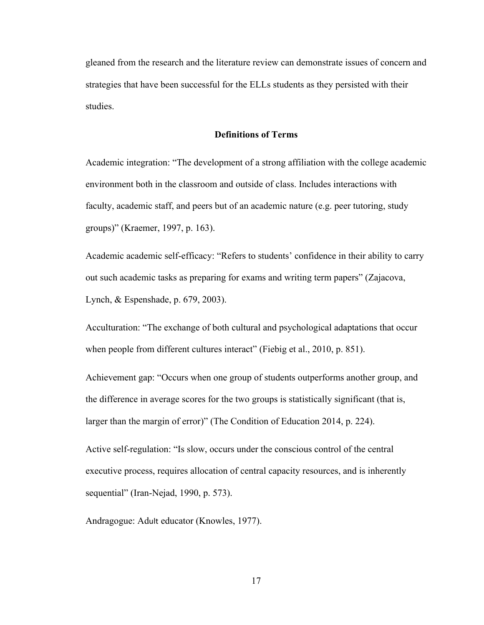gleaned from the research and the literature review can demonstrate issues of concern and strategies that have been successful for the ELLs students as they persisted with their studies.

#### **Definitions of Terms**

Academic integration: "The development of a strong affiliation with the college academic environment both in the classroom and outside of class. Includes interactions with faculty, academic staff, and peers but of an academic nature (e.g. peer tutoring, study groups)" (Kraemer, 1997, p. 163).

Academic academic self-efficacy: "Refers to students' confidence in their ability to carry out such academic tasks as preparing for exams and writing term papers" (Zajacova, Lynch, & Espenshade, p. 679, 2003).

Acculturation: "The exchange of both cultural and psychological adaptations that occur when people from different cultures interact" (Fiebig et al., 2010, p. 851).

Achievement gap: "Occurs when one group of students outperforms another group, and the difference in average scores for the two groups is statistically significant (that is, larger than the margin of error)" (The Condition of Education 2014, p. 224).

Active self-regulation: "Is slow, occurs under the conscious control of the central executive process, requires allocation of central capacity resources, and is inherently sequential" (Iran-Nejad, 1990, p. 573).

Andragogue: Adult educator (Knowles, 1977).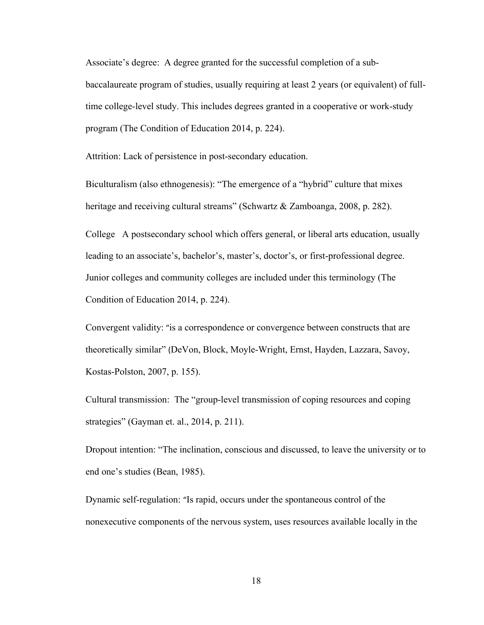Associate's degree: A degree granted for the successful completion of a subbaccalaureate program of studies, usually requiring at least 2 years (or equivalent) of fulltime college-level study. This includes degrees granted in a cooperative or work-study program (The Condition of Education 2014, p. 224).

Attrition: Lack of persistence in post-secondary education.

Biculturalism (also ethnogenesis): "The emergence of a "hybrid" culture that mixes heritage and receiving cultural streams" (Schwartz & Zamboanga, 2008, p. 282).

College A postsecondary school which offers general, or liberal arts education, usually leading to an associate's, bachelor's, master's, doctor's, or first-professional degree. Junior colleges and community colleges are included under this terminology (The Condition of Education 2014, p. 224).

Convergent validity: "is a correspondence or convergence between constructs that are theoretically similar" (DeVon, Block, Moyle-Wright, Ernst, Hayden, Lazzara, Savoy, Kostas-Polston, 2007, p. 155).

Cultural transmission: The "group-level transmission of coping resources and coping strategies" (Gayman et. al., 2014, p. 211).

Dropout intention: "The inclination, conscious and discussed, to leave the university or to end one's studies (Bean, 1985).

Dynamic self-regulation: "Is rapid, occurs under the spontaneous control of the nonexecutive components of the nervous system, uses resources available locally in the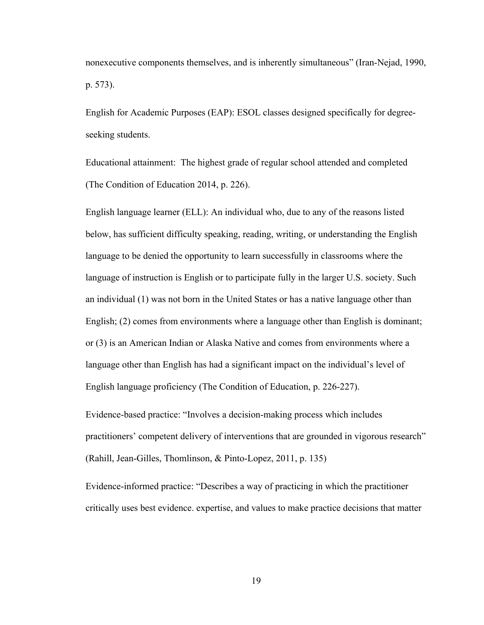nonexecutive components themselves, and is inherently simultaneous" (Iran-Nejad, 1990, p. 573).

English for Academic Purposes (EAP): ESOL classes designed specifically for degreeseeking students.

Educational attainment: The highest grade of regular school attended and completed (The Condition of Education 2014, p. 226).

English language learner (ELL): An individual who, due to any of the reasons listed below, has sufficient difficulty speaking, reading, writing, or understanding the English language to be denied the opportunity to learn successfully in classrooms where the language of instruction is English or to participate fully in the larger U.S. society. Such an individual (1) was not born in the United States or has a native language other than English; (2) comes from environments where a language other than English is dominant; or (3) is an American Indian or Alaska Native and comes from environments where a language other than English has had a significant impact on the individual's level of English language proficiency (The Condition of Education, p. 226-227).

Evidence-based practice: "Involves a decision-making process which includes practitioners' competent delivery of interventions that are grounded in vigorous research" (Rahill, Jean-Gilles, Thomlinson, & Pinto-Lopez, 2011, p. 135)

Evidence-informed practice: "Describes a way of practicing in which the practitioner critically uses best evidence. expertise, and values to make practice decisions that matter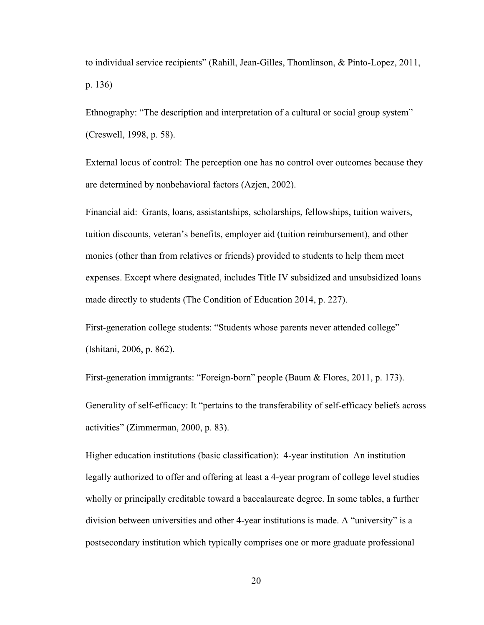to individual service recipients" (Rahill, Jean-Gilles, Thomlinson, & Pinto-Lopez, 2011, p. 136)

Ethnography: "The description and interpretation of a cultural or social group system" (Creswell, 1998, p. 58).

External locus of control: The perception one has no control over outcomes because they are determined by nonbehavioral factors (Azjen, 2002).

Financial aid: Grants, loans, assistantships, scholarships, fellowships, tuition waivers, tuition discounts, veteran's benefits, employer aid (tuition reimbursement), and other monies (other than from relatives or friends) provided to students to help them meet expenses. Except where designated, includes Title IV subsidized and unsubsidized loans made directly to students (The Condition of Education 2014, p. 227).

First-generation college students: "Students whose parents never attended college" (Ishitani, 2006, p. 862).

First-generation immigrants: "Foreign-born" people (Baum & Flores, 2011, p. 173). Generality of self-efficacy: It "pertains to the transferability of self-efficacy beliefs across activities" (Zimmerman, 2000, p. 83).

Higher education institutions (basic classification): 4-year institution An institution legally authorized to offer and offering at least a 4-year program of college level studies wholly or principally creditable toward a baccalaureate degree. In some tables, a further division between universities and other 4-year institutions is made. A "university" is a postsecondary institution which typically comprises one or more graduate professional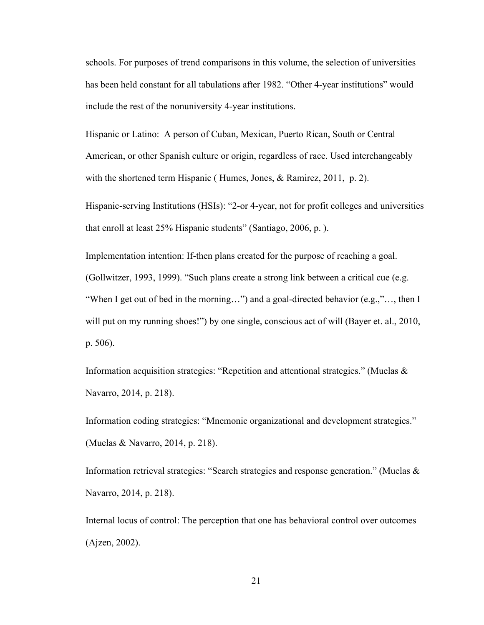schools. For purposes of trend comparisons in this volume, the selection of universities has been held constant for all tabulations after 1982. "Other 4-year institutions" would include the rest of the nonuniversity 4-year institutions.

Hispanic or Latino: A person of Cuban, Mexican, Puerto Rican, South or Central American, or other Spanish culture or origin, regardless of race. Used interchangeably with the shortened term Hispanic (Humes, Jones, & Ramirez, 2011, p. 2).

Hispanic-serving Institutions (HSIs): "2-or 4-year, not for profit colleges and universities that enroll at least 25% Hispanic students" (Santiago, 2006, p. ).

Implementation intention: If-then plans created for the purpose of reaching a goal. (Gollwitzer, 1993, 1999). "Such plans create a strong link between a critical cue (e.g. "When I get out of bed in the morning…") and a goal-directed behavior (e.g.,"…, then I will put on my running shoes!") by one single, conscious act of will (Bayer et. al., 2010, p. 506).

Information acquisition strategies: "Repetition and attentional strategies." (Muelas & Navarro, 2014, p. 218).

Information coding strategies: "Mnemonic organizational and development strategies." (Muelas & Navarro, 2014, p. 218).

Information retrieval strategies: "Search strategies and response generation." (Muelas & Navarro, 2014, p. 218).

Internal locus of control: The perception that one has behavioral control over outcomes (Ajzen, 2002).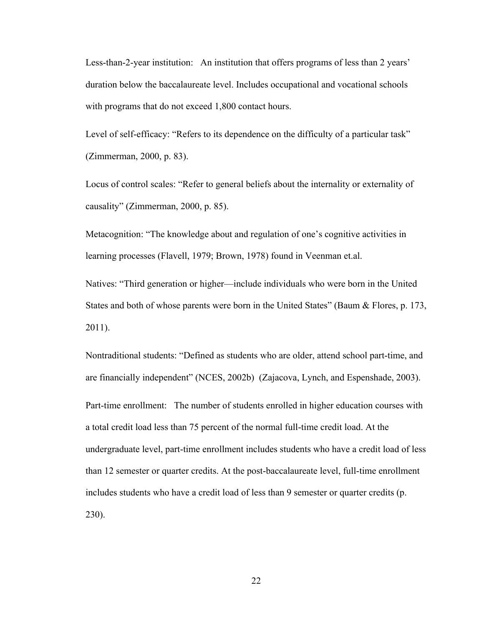Less-than-2-year institution: An institution that offers programs of less than 2 years' duration below the baccalaureate level. Includes occupational and vocational schools with programs that do not exceed 1,800 contact hours.

Level of self-efficacy: "Refers to its dependence on the difficulty of a particular task" (Zimmerman, 2000, p. 83).

Locus of control scales: "Refer to general beliefs about the internality or externality of causality" (Zimmerman, 2000, p. 85).

Metacognition: "The knowledge about and regulation of one's cognitive activities in learning processes (Flavell, 1979; Brown, 1978) found in Veenman et.al.

Natives: "Third generation or higher—include individuals who were born in the United States and both of whose parents were born in the United States" (Baum & Flores, p. 173, 2011).

Nontraditional students: "Defined as students who are older, attend school part-time, and are financially independent" (NCES, 2002b) (Zajacova, Lynch, and Espenshade, 2003). Part-time enrollment: The number of students enrolled in higher education courses with a total credit load less than 75 percent of the normal full-time credit load. At the undergraduate level, part-time enrollment includes students who have a credit load of less than 12 semester or quarter credits. At the post-baccalaureate level, full-time enrollment includes students who have a credit load of less than 9 semester or quarter credits (p. 230).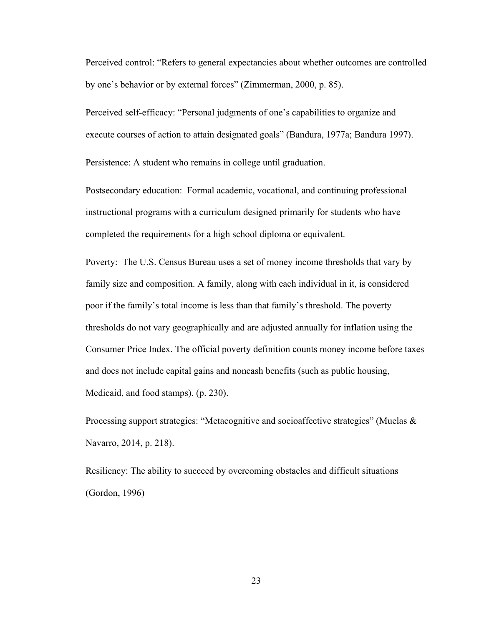Perceived control: "Refers to general expectancies about whether outcomes are controlled by one's behavior or by external forces" (Zimmerman, 2000, p. 85).

Perceived self-efficacy: "Personal judgments of one's capabilities to organize and execute courses of action to attain designated goals" (Bandura, 1977a; Bandura 1997).

Persistence: A student who remains in college until graduation.

Postsecondary education: Formal academic, vocational, and continuing professional instructional programs with a curriculum designed primarily for students who have completed the requirements for a high school diploma or equivalent.

Poverty: The U.S. Census Bureau uses a set of money income thresholds that vary by family size and composition. A family, along with each individual in it, is considered poor if the family's total income is less than that family's threshold. The poverty thresholds do not vary geographically and are adjusted annually for inflation using the Consumer Price Index. The official poverty definition counts money income before taxes and does not include capital gains and noncash benefits (such as public housing, Medicaid, and food stamps). (p. 230).

Processing support strategies: "Metacognitive and socioaffective strategies" (Muelas & Navarro, 2014, p. 218).

Resiliency: The ability to succeed by overcoming obstacles and difficult situations (Gordon, 1996)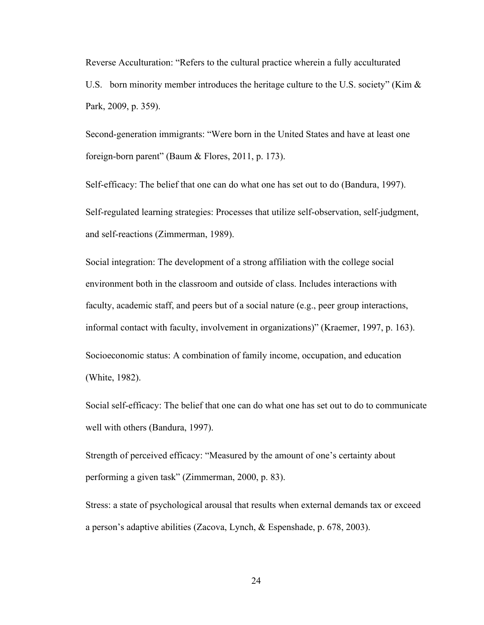Reverse Acculturation: "Refers to the cultural practice wherein a fully acculturated U.S. born minority member introduces the heritage culture to the U.S. society" (Kim  $\&$ Park, 2009, p. 359).

Second-generation immigrants: "Were born in the United States and have at least one foreign-born parent" (Baum & Flores, 2011, p. 173).

Self-efficacy: The belief that one can do what one has set out to do (Bandura, 1997). Self-regulated learning strategies: Processes that utilize self-observation, self-judgment, and self-reactions (Zimmerman, 1989).

Social integration: The development of a strong affiliation with the college social environment both in the classroom and outside of class. Includes interactions with faculty, academic staff, and peers but of a social nature (e.g., peer group interactions, informal contact with faculty, involvement in organizations)" (Kraemer, 1997, p. 163). Socioeconomic status: A combination of family income, occupation, and education (White, 1982).

Social self-efficacy: The belief that one can do what one has set out to do to communicate well with others (Bandura, 1997).

Strength of perceived efficacy: "Measured by the amount of one's certainty about performing a given task" (Zimmerman, 2000, p. 83).

Stress: a state of psychological arousal that results when external demands tax or exceed a person's adaptive abilities (Zacova, Lynch, & Espenshade, p. 678, 2003).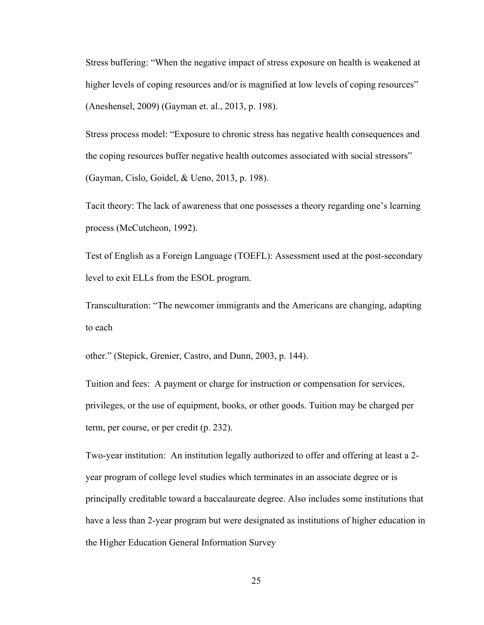Stress buffering: "When the negative impact of stress exposure on health is weakened at higher levels of coping resources and/or is magnified at low levels of coping resources" (Aneshensel, 2009) (Gayman et. al., 2013, p. 198).

Stress process model: "Exposure to chronic stress has negative health consequences and the coping resources buffer negative health outcomes associated with social stressors" (Gayman, Cislo, Goidel, & Ueno, 2013, p. 198).

Tacit theory: The lack of awareness that one possesses a theory regarding one's learning process (McCutcheon, 1992).

Test of English as a Foreign Language (TOEFL): Assessment used at the post-secondary level to exit ELLs from the ESOL program.

Transculturation: "The newcomer immigrants and the Americans are changing, adapting to each

other." (Stepick, Grenier, Castro, and Dunn, 2003, p. 144).

Tuition and fees: A payment or charge for instruction or compensation for services, privileges, or the use of equipment, books, or other goods. Tuition may be charged per term, per course, or per credit (p. 232).

Two-year institution: An institution legally authorized to offer and offering at least a 2 year program of college level studies which terminates in an associate degree or is principally creditable toward a baccalaureate degree. Also includes some institutions that have a less than 2-year program but were designated as institutions of higher education in the Higher Education General Information Survey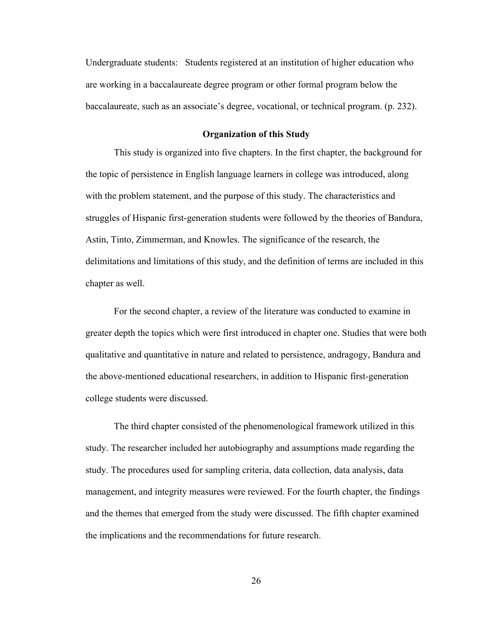Undergraduate students: Students registered at an institution of higher education who are working in a baccalaureate degree program or other formal program below the baccalaureate, such as an associate's degree, vocational, or technical program. (p. 232).

#### **Organization of this Study**

This study is organized into five chapters. In the first chapter, the background for the topic of persistence in English language learners in college was introduced, along with the problem statement, and the purpose of this study. The characteristics and struggles of Hispanic first-generation students were followed by the theories of Bandura, Astin, Tinto, Zimmerman, and Knowles. The significance of the research, the delimitations and limitations of this study, and the definition of terms are included in this chapter as well.

For the second chapter, a review of the literature was conducted to examine in greater depth the topics which were first introduced in chapter one. Studies that were both qualitative and quantitative in nature and related to persistence, andragogy, Bandura and the above-mentioned educational researchers, in addition to Hispanic first-generation college students were discussed.

The third chapter consisted of the phenomenological framework utilized in this study. The researcher included her autobiography and assumptions made regarding the study. The procedures used for sampling criteria, data collection, data analysis, data management, and integrity measures were reviewed. For the fourth chapter, the findings and the themes that emerged from the study were discussed. The fifth chapter examined the implications and the recommendations for future research.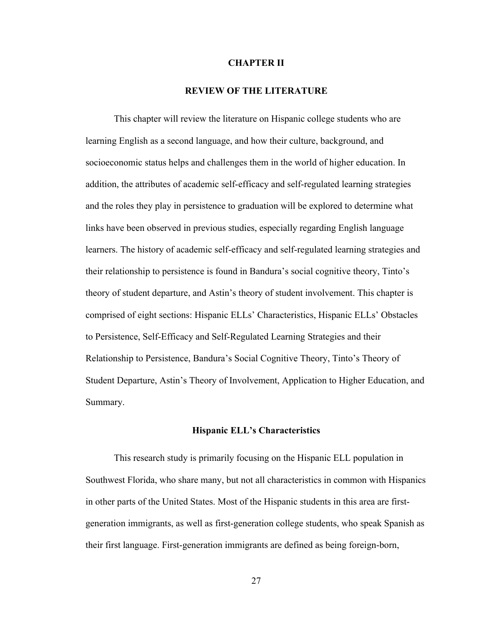#### **CHAPTER II**

# **REVIEW OF THE LITERATURE**

 This chapter will review the literature on Hispanic college students who are learning English as a second language, and how their culture, background, and socioeconomic status helps and challenges them in the world of higher education. In addition, the attributes of academic self-efficacy and self-regulated learning strategies and the roles they play in persistence to graduation will be explored to determine what links have been observed in previous studies, especially regarding English language learners. The history of academic self-efficacy and self-regulated learning strategies and their relationship to persistence is found in Bandura's social cognitive theory, Tinto's theory of student departure, and Astin's theory of student involvement. This chapter is comprised of eight sections: Hispanic ELLs' Characteristics, Hispanic ELLs' Obstacles to Persistence, Self-Efficacy and Self-Regulated Learning Strategies and their Relationship to Persistence, Bandura's Social Cognitive Theory, Tinto's Theory of Student Departure, Astin's Theory of Involvement, Application to Higher Education, and Summary.

#### **Hispanic ELL's Characteristics**

This research study is primarily focusing on the Hispanic ELL population in Southwest Florida, who share many, but not all characteristics in common with Hispanics in other parts of the United States. Most of the Hispanic students in this area are firstgeneration immigrants, as well as first-generation college students, who speak Spanish as their first language. First-generation immigrants are defined as being foreign-born,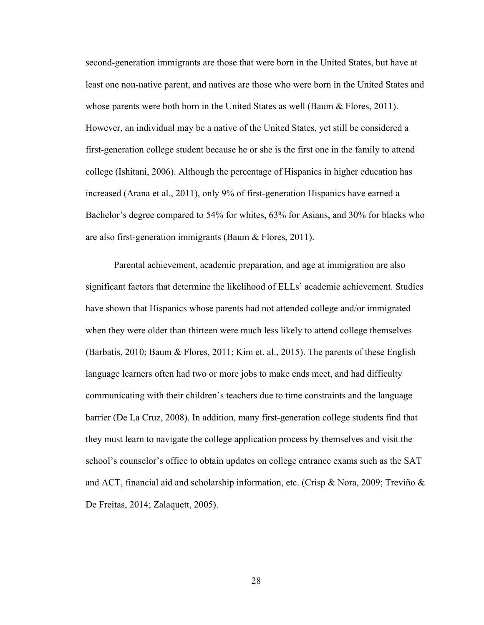second-generation immigrants are those that were born in the United States, but have at least one non-native parent, and natives are those who were born in the United States and whose parents were both born in the United States as well (Baum  $\&$  Flores, 2011). However, an individual may be a native of the United States, yet still be considered a first-generation college student because he or she is the first one in the family to attend college (Ishitani, 2006). Although the percentage of Hispanics in higher education has increased (Arana et al., 2011), only 9% of first-generation Hispanics have earned a Bachelor's degree compared to 54% for whites, 63% for Asians, and 30% for blacks who are also first-generation immigrants (Baum & Flores, 2011).

Parental achievement, academic preparation, and age at immigration are also significant factors that determine the likelihood of ELLs' academic achievement. Studies have shown that Hispanics whose parents had not attended college and/or immigrated when they were older than thirteen were much less likely to attend college themselves (Barbatis, 2010; Baum & Flores, 2011; Kim et. al., 2015). The parents of these English language learners often had two or more jobs to make ends meet, and had difficulty communicating with their children's teachers due to time constraints and the language barrier (De La Cruz, 2008). In addition, many first-generation college students find that they must learn to navigate the college application process by themselves and visit the school's counselor's office to obtain updates on college entrance exams such as the SAT and ACT, financial aid and scholarship information, etc. (Crisp & Nora, 2009; Treviño & De Freitas, 2014; Zalaquett, 2005).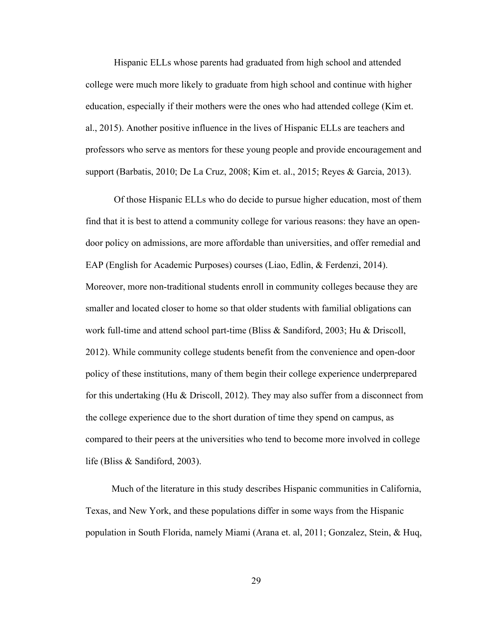Hispanic ELLs whose parents had graduated from high school and attended college were much more likely to graduate from high school and continue with higher education, especially if their mothers were the ones who had attended college (Kim et. al., 2015). Another positive influence in the lives of Hispanic ELLs are teachers and professors who serve as mentors for these young people and provide encouragement and support (Barbatis, 2010; De La Cruz, 2008; Kim et. al., 2015; Reyes & Garcia, 2013).

 Of those Hispanic ELLs who do decide to pursue higher education, most of them find that it is best to attend a community college for various reasons: they have an opendoor policy on admissions, are more affordable than universities, and offer remedial and EAP (English for Academic Purposes) courses (Liao, Edlin, & Ferdenzi, 2014). Moreover, more non-traditional students enroll in community colleges because they are smaller and located closer to home so that older students with familial obligations can work full-time and attend school part-time (Bliss & Sandiford, 2003; Hu & Driscoll, 2012). While community college students benefit from the convenience and open-door policy of these institutions, many of them begin their college experience underprepared for this undertaking (Hu & Driscoll, 2012). They may also suffer from a disconnect from the college experience due to the short duration of time they spend on campus, as compared to their peers at the universities who tend to become more involved in college life (Bliss & Sandiford, 2003).

 Much of the literature in this study describes Hispanic communities in California, Texas, and New York, and these populations differ in some ways from the Hispanic population in South Florida, namely Miami (Arana et. al, 2011; Gonzalez, Stein, & Huq,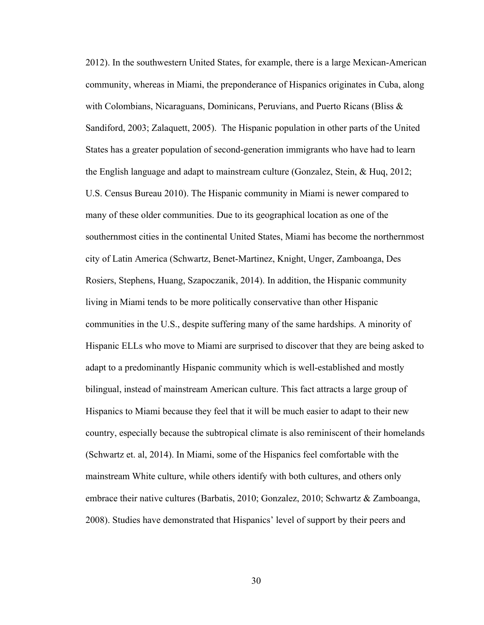2012). In the southwestern United States, for example, there is a large Mexican-American community, whereas in Miami, the preponderance of Hispanics originates in Cuba, along with Colombians, Nicaraguans, Dominicans, Peruvians, and Puerto Ricans (Bliss  $\&$ Sandiford, 2003; Zalaquett, 2005). The Hispanic population in other parts of the United States has a greater population of second-generation immigrants who have had to learn the English language and adapt to mainstream culture (Gonzalez, Stein, & Huq, 2012; U.S. Census Bureau 2010). The Hispanic community in Miami is newer compared to many of these older communities. Due to its geographical location as one of the southernmost cities in the continental United States, Miami has become the northernmost city of Latin America (Schwartz, Benet-Martinez, Knight, Unger, Zamboanga, Des Rosiers, Stephens, Huang, Szapoczanik, 2014). In addition, the Hispanic community living in Miami tends to be more politically conservative than other Hispanic communities in the U.S., despite suffering many of the same hardships. A minority of Hispanic ELLs who move to Miami are surprised to discover that they are being asked to adapt to a predominantly Hispanic community which is well-established and mostly bilingual, instead of mainstream American culture. This fact attracts a large group of Hispanics to Miami because they feel that it will be much easier to adapt to their new country, especially because the subtropical climate is also reminiscent of their homelands (Schwartz et. al, 2014). In Miami, some of the Hispanics feel comfortable with the mainstream White culture, while others identify with both cultures, and others only embrace their native cultures (Barbatis, 2010; Gonzalez, 2010; Schwartz & Zamboanga, 2008). Studies have demonstrated that Hispanics' level of support by their peers and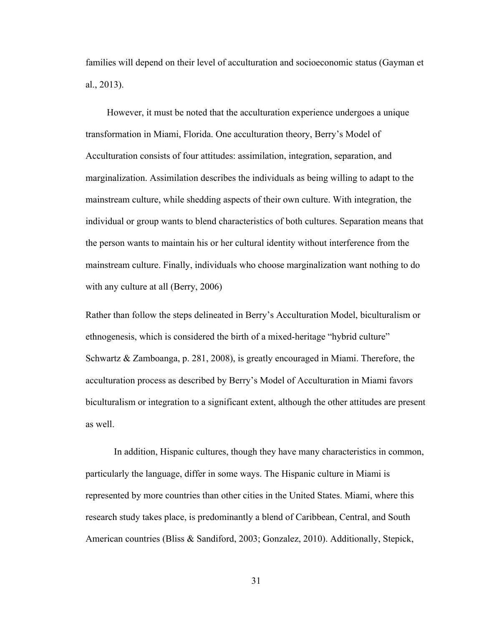families will depend on their level of acculturation and socioeconomic status (Gayman et al., 2013).

 However, it must be noted that the acculturation experience undergoes a unique transformation in Miami, Florida. One acculturation theory, Berry's Model of Acculturation consists of four attitudes: assimilation, integration, separation, and marginalization. Assimilation describes the individuals as being willing to adapt to the mainstream culture, while shedding aspects of their own culture. With integration, the individual or group wants to blend characteristics of both cultures. Separation means that the person wants to maintain his or her cultural identity without interference from the mainstream culture. Finally, individuals who choose marginalization want nothing to do with any culture at all (Berry, 2006)

Rather than follow the steps delineated in Berry's Acculturation Model, biculturalism or ethnogenesis, which is considered the birth of a mixed-heritage "hybrid culture" Schwartz & Zamboanga, p. 281, 2008), is greatly encouraged in Miami. Therefore, the acculturation process as described by Berry's Model of Acculturation in Miami favors biculturalism or integration to a significant extent, although the other attitudes are present as well.

In addition, Hispanic cultures, though they have many characteristics in common, particularly the language, differ in some ways. The Hispanic culture in Miami is represented by more countries than other cities in the United States. Miami, where this research study takes place, is predominantly a blend of Caribbean, Central, and South American countries (Bliss & Sandiford, 2003; Gonzalez, 2010). Additionally, Stepick,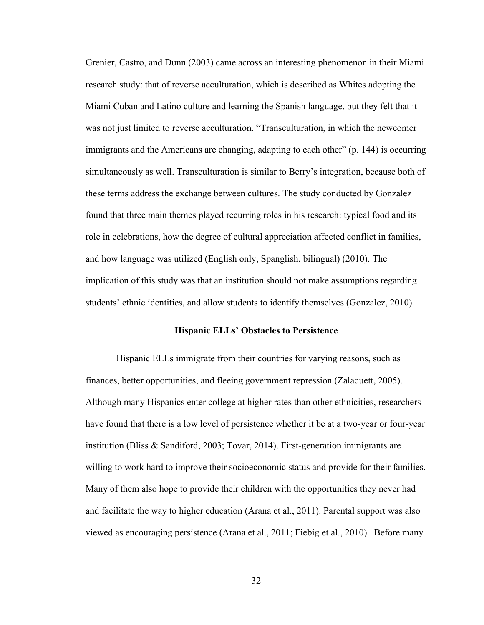Grenier, Castro, and Dunn (2003) came across an interesting phenomenon in their Miami research study: that of reverse acculturation, which is described as Whites adopting the Miami Cuban and Latino culture and learning the Spanish language, but they felt that it was not just limited to reverse acculturation. "Transculturation, in which the newcomer immigrants and the Americans are changing, adapting to each other" (p. 144) is occurring simultaneously as well. Transculturation is similar to Berry's integration, because both of these terms address the exchange between cultures. The study conducted by Gonzalez found that three main themes played recurring roles in his research: typical food and its role in celebrations, how the degree of cultural appreciation affected conflict in families, and how language was utilized (English only, Spanglish, bilingual) (2010). The implication of this study was that an institution should not make assumptions regarding students' ethnic identities, and allow students to identify themselves (Gonzalez, 2010).

#### **Hispanic ELLs' Obstacles to Persistence**

Hispanic ELLs immigrate from their countries for varying reasons, such as finances, better opportunities, and fleeing government repression (Zalaquett, 2005). Although many Hispanics enter college at higher rates than other ethnicities, researchers have found that there is a low level of persistence whether it be at a two-year or four-year institution (Bliss & Sandiford, 2003; Tovar, 2014). First-generation immigrants are willing to work hard to improve their socioeconomic status and provide for their families. Many of them also hope to provide their children with the opportunities they never had and facilitate the way to higher education (Arana et al., 2011). Parental support was also viewed as encouraging persistence (Arana et al., 2011; Fiebig et al., 2010). Before many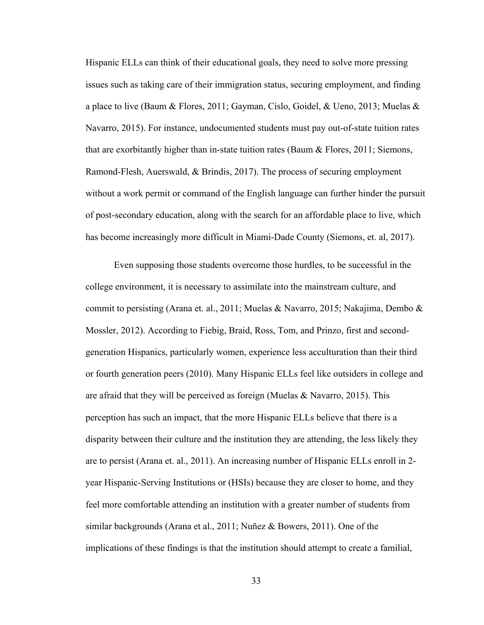Hispanic ELLs can think of their educational goals, they need to solve more pressing issues such as taking care of their immigration status, securing employment, and finding a place to live (Baum & Flores, 2011; Gayman, Cislo, Goidel, & Ueno, 2013; Muelas & Navarro, 2015). For instance, undocumented students must pay out-of-state tuition rates that are exorbitantly higher than in-state tuition rates (Baum & Flores, 2011; Siemons, Ramond-Flesh, Auerswald, & Brindis, 2017). The process of securing employment without a work permit or command of the English language can further hinder the pursuit of post-secondary education, along with the search for an affordable place to live, which has become increasingly more difficult in Miami-Dade County (Siemons, et. al, 2017).

Even supposing those students overcome those hurdles, to be successful in the college environment, it is necessary to assimilate into the mainstream culture, and commit to persisting (Arana et. al., 2011; Muelas & Navarro, 2015; Nakajima, Dembo & Mossler, 2012). According to Fiebig, Braid, Ross, Tom, and Prinzo, first and secondgeneration Hispanics, particularly women, experience less acculturation than their third or fourth generation peers (2010). Many Hispanic ELLs feel like outsiders in college and are afraid that they will be perceived as foreign (Muelas & Navarro, 2015). This perception has such an impact, that the more Hispanic ELLs believe that there is a disparity between their culture and the institution they are attending, the less likely they are to persist (Arana et. al., 2011). An increasing number of Hispanic ELLs enroll in 2 year Hispanic-Serving Institutions or (HSIs) because they are closer to home, and they feel more comfortable attending an institution with a greater number of students from similar backgrounds (Arana et al., 2011; Nuñez & Bowers, 2011). One of the implications of these findings is that the institution should attempt to create a familial,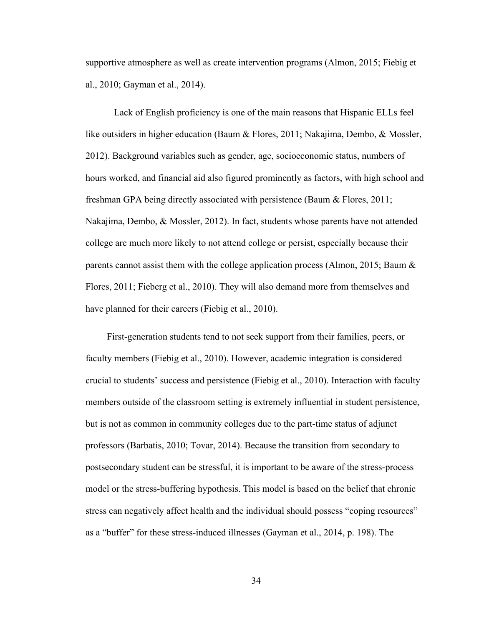supportive atmosphere as well as create intervention programs (Almon, 2015; Fiebig et al., 2010; Gayman et al., 2014).

Lack of English proficiency is one of the main reasons that Hispanic ELLs feel like outsiders in higher education (Baum & Flores, 2011; Nakajima, Dembo, & Mossler, 2012). Background variables such as gender, age, socioeconomic status, numbers of hours worked, and financial aid also figured prominently as factors, with high school and freshman GPA being directly associated with persistence (Baum & Flores, 2011; Nakajima, Dembo, & Mossler, 2012). In fact, students whose parents have not attended college are much more likely to not attend college or persist, especially because their parents cannot assist them with the college application process (Almon, 2015; Baum & Flores, 2011; Fieberg et al., 2010). They will also demand more from themselves and have planned for their careers (Fiebig et al., 2010).

 First-generation students tend to not seek support from their families, peers, or faculty members (Fiebig et al., 2010). However, academic integration is considered crucial to students' success and persistence (Fiebig et al., 2010). Interaction with faculty members outside of the classroom setting is extremely influential in student persistence, but is not as common in community colleges due to the part-time status of adjunct professors (Barbatis, 2010; Tovar, 2014). Because the transition from secondary to postsecondary student can be stressful, it is important to be aware of the stress-process model or the stress-buffering hypothesis. This model is based on the belief that chronic stress can negatively affect health and the individual should possess "coping resources" as a "buffer" for these stress-induced illnesses (Gayman et al., 2014, p. 198). The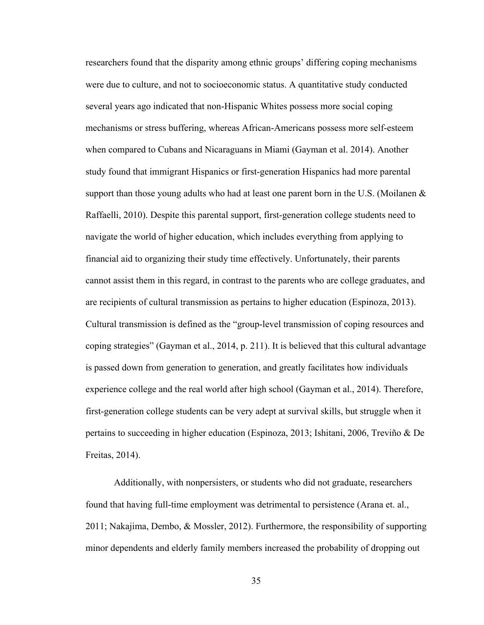researchers found that the disparity among ethnic groups' differing coping mechanisms were due to culture, and not to socioeconomic status. A quantitative study conducted several years ago indicated that non-Hispanic Whites possess more social coping mechanisms or stress buffering, whereas African-Americans possess more self-esteem when compared to Cubans and Nicaraguans in Miami (Gayman et al. 2014). Another study found that immigrant Hispanics or first-generation Hispanics had more parental support than those young adults who had at least one parent born in the U.S. (Moilanen  $\&$ Raffaelli, 2010). Despite this parental support, first-generation college students need to navigate the world of higher education, which includes everything from applying to financial aid to organizing their study time effectively. Unfortunately, their parents cannot assist them in this regard, in contrast to the parents who are college graduates, and are recipients of cultural transmission as pertains to higher education (Espinoza, 2013). Cultural transmission is defined as the "group-level transmission of coping resources and coping strategies" (Gayman et al., 2014, p. 211). It is believed that this cultural advantage is passed down from generation to generation, and greatly facilitates how individuals experience college and the real world after high school (Gayman et al., 2014). Therefore, first-generation college students can be very adept at survival skills, but struggle when it pertains to succeeding in higher education (Espinoza, 2013; Ishitani, 2006, Treviño & De Freitas, 2014).

 Additionally, with nonpersisters, or students who did not graduate, researchers found that having full-time employment was detrimental to persistence (Arana et. al., 2011; Nakajima, Dembo, & Mossler, 2012). Furthermore, the responsibility of supporting minor dependents and elderly family members increased the probability of dropping out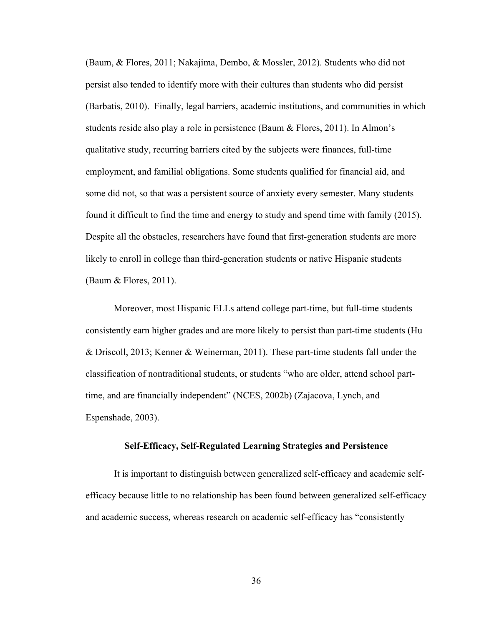(Baum, & Flores, 2011; Nakajima, Dembo, & Mossler, 2012). Students who did not persist also tended to identify more with their cultures than students who did persist (Barbatis, 2010). Finally, legal barriers, academic institutions, and communities in which students reside also play a role in persistence (Baum & Flores, 2011). In Almon's qualitative study, recurring barriers cited by the subjects were finances, full-time employment, and familial obligations. Some students qualified for financial aid, and some did not, so that was a persistent source of anxiety every semester. Many students found it difficult to find the time and energy to study and spend time with family (2015). Despite all the obstacles, researchers have found that first-generation students are more likely to enroll in college than third-generation students or native Hispanic students (Baum & Flores, 2011).

Moreover, most Hispanic ELLs attend college part-time, but full-time students consistently earn higher grades and are more likely to persist than part-time students (Hu & Driscoll, 2013; Kenner & Weinerman, 2011). These part-time students fall under the classification of nontraditional students, or students "who are older, attend school parttime, and are financially independent" (NCES, 2002b) (Zajacova, Lynch, and Espenshade, 2003).

#### **Self-Efficacy, Self-Regulated Learning Strategies and Persistence**

It is important to distinguish between generalized self-efficacy and academic selfefficacy because little to no relationship has been found between generalized self-efficacy and academic success, whereas research on academic self-efficacy has "consistently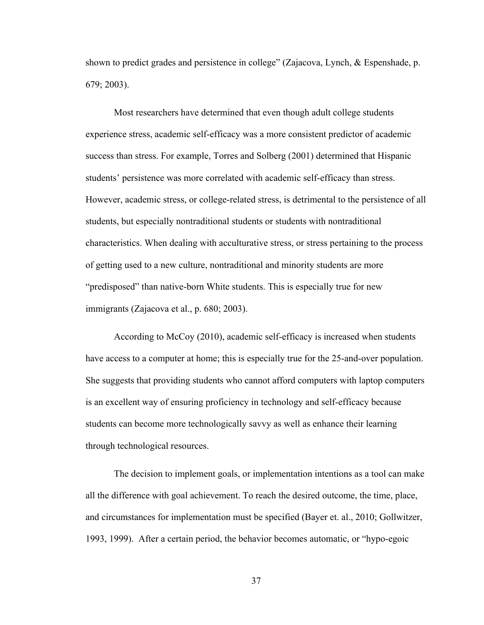shown to predict grades and persistence in college" (Zajacova, Lynch, & Espenshade, p. 679; 2003).

Most researchers have determined that even though adult college students experience stress, academic self-efficacy was a more consistent predictor of academic success than stress. For example, Torres and Solberg (2001) determined that Hispanic students' persistence was more correlated with academic self-efficacy than stress. However, academic stress, or college-related stress, is detrimental to the persistence of all students, but especially nontraditional students or students with nontraditional characteristics. When dealing with acculturative stress, or stress pertaining to the process of getting used to a new culture, nontraditional and minority students are more "predisposed" than native-born White students. This is especially true for new immigrants (Zajacova et al., p. 680; 2003).

According to McCoy (2010), academic self-efficacy is increased when students have access to a computer at home; this is especially true for the 25-and-over population. She suggests that providing students who cannot afford computers with laptop computers is an excellent way of ensuring proficiency in technology and self-efficacy because students can become more technologically savvy as well as enhance their learning through technological resources.

The decision to implement goals, or implementation intentions as a tool can make all the difference with goal achievement. To reach the desired outcome, the time, place, and circumstances for implementation must be specified (Bayer et. al., 2010; Gollwitzer, 1993, 1999). After a certain period, the behavior becomes automatic, or "hypo-egoic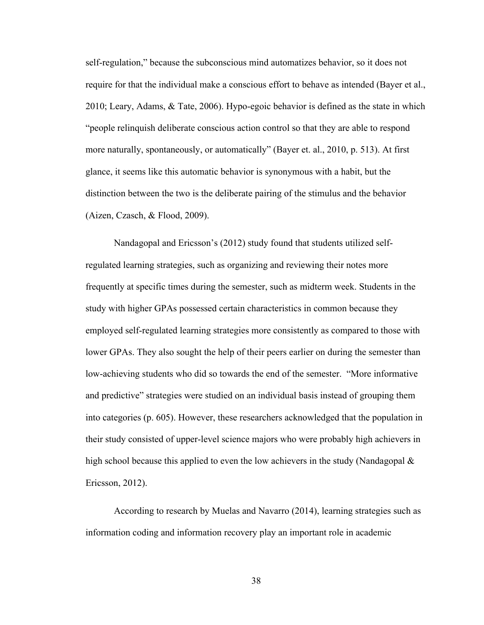self-regulation," because the subconscious mind automatizes behavior, so it does not require for that the individual make a conscious effort to behave as intended (Bayer et al., 2010; Leary, Adams, & Tate, 2006). Hypo-egoic behavior is defined as the state in which "people relinquish deliberate conscious action control so that they are able to respond more naturally, spontaneously, or automatically" (Bayer et. al., 2010, p. 513). At first glance, it seems like this automatic behavior is synonymous with a habit, but the distinction between the two is the deliberate pairing of the stimulus and the behavior (Aizen, Czasch, & Flood, 2009).

Nandagopal and Ericsson's (2012) study found that students utilized selfregulated learning strategies, such as organizing and reviewing their notes more frequently at specific times during the semester, such as midterm week. Students in the study with higher GPAs possessed certain characteristics in common because they employed self-regulated learning strategies more consistently as compared to those with lower GPAs. They also sought the help of their peers earlier on during the semester than low-achieving students who did so towards the end of the semester. "More informative and predictive" strategies were studied on an individual basis instead of grouping them into categories (p. 605). However, these researchers acknowledged that the population in their study consisted of upper-level science majors who were probably high achievers in high school because this applied to even the low achievers in the study (Nandagopal  $\&$ Ericsson, 2012).

 According to research by Muelas and Navarro (2014), learning strategies such as information coding and information recovery play an important role in academic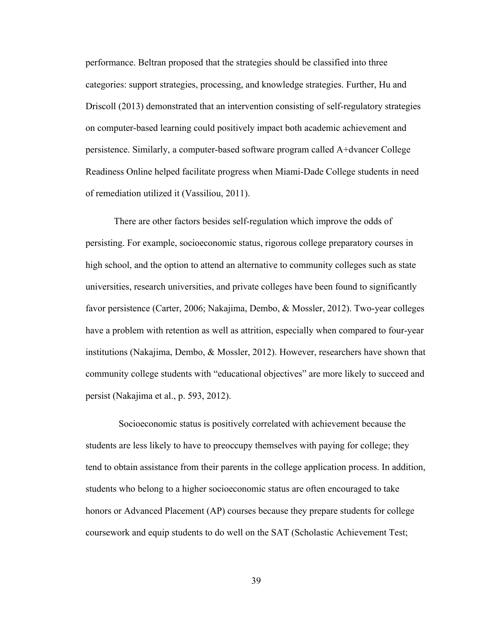performance. Beltran proposed that the strategies should be classified into three categories: support strategies, processing, and knowledge strategies. Further, Hu and Driscoll (2013) demonstrated that an intervention consisting of self-regulatory strategies on computer-based learning could positively impact both academic achievement and persistence. Similarly, a computer-based software program called A+dvancer College Readiness Online helped facilitate progress when Miami-Dade College students in need of remediation utilized it (Vassiliou, 2011).

There are other factors besides self-regulation which improve the odds of persisting. For example, socioeconomic status, rigorous college preparatory courses in high school, and the option to attend an alternative to community colleges such as state universities, research universities, and private colleges have been found to significantly favor persistence (Carter, 2006; Nakajima, Dembo, & Mossler, 2012). Two-year colleges have a problem with retention as well as attrition, especially when compared to four-year institutions (Nakajima, Dembo, & Mossler, 2012). However, researchers have shown that community college students with "educational objectives" are more likely to succeed and persist (Nakajima et al., p. 593, 2012).

 Socioeconomic status is positively correlated with achievement because the students are less likely to have to preoccupy themselves with paying for college; they tend to obtain assistance from their parents in the college application process. In addition, students who belong to a higher socioeconomic status are often encouraged to take honors or Advanced Placement (AP) courses because they prepare students for college coursework and equip students to do well on the SAT (Scholastic Achievement Test;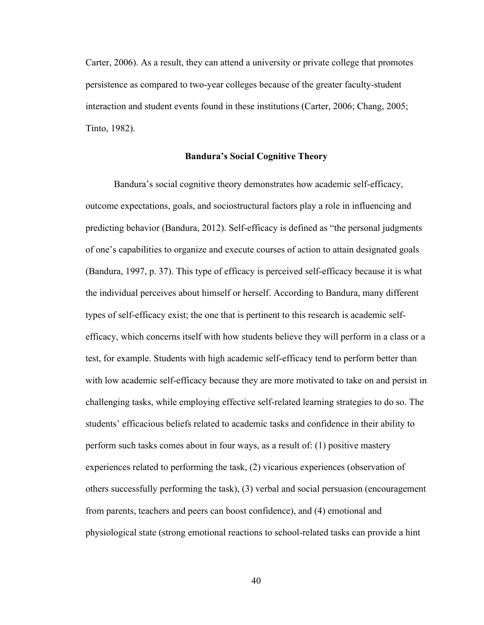Carter, 2006). As a result, they can attend a university or private college that promotes persistence as compared to two-year colleges because of the greater faculty-student interaction and student events found in these institutions (Carter, 2006; Chang, 2005; Tinto, 1982).

# **Bandura's Social Cognitive Theory**

 Bandura's social cognitive theory demonstrates how academic self-efficacy, outcome expectations, goals, and sociostructural factors play a role in influencing and predicting behavior (Bandura, 2012). Self-efficacy is defined as "the personal judgments of one's capabilities to organize and execute courses of action to attain designated goals (Bandura, 1997, p. 37). This type of efficacy is perceived self-efficacy because it is what the individual perceives about himself or herself. According to Bandura, many different types of self-efficacy exist; the one that is pertinent to this research is academic selfefficacy, which concerns itself with how students believe they will perform in a class or a test, for example. Students with high academic self-efficacy tend to perform better than with low academic self-efficacy because they are more motivated to take on and persist in challenging tasks, while employing effective self-related learning strategies to do so. The students' efficacious beliefs related to academic tasks and confidence in their ability to perform such tasks comes about in four ways, as a result of: (1) positive mastery experiences related to performing the task, (2) vicarious experiences (observation of others successfully performing the task), (3) verbal and social persuasion (encouragement from parents, teachers and peers can boost confidence), and (4) emotional and physiological state (strong emotional reactions to school-related tasks can provide a hint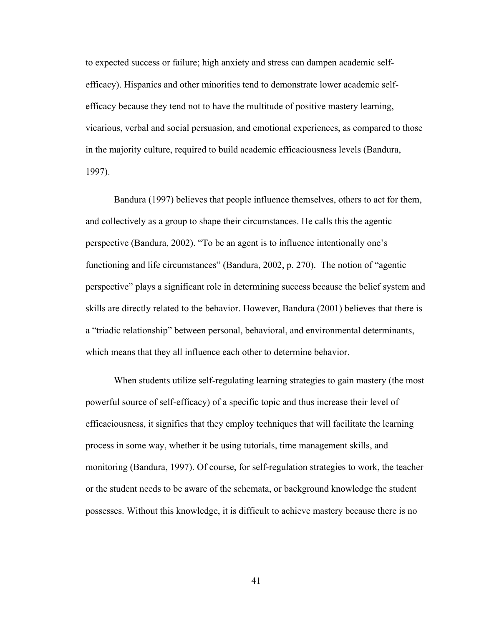to expected success or failure; high anxiety and stress can dampen academic selfefficacy). Hispanics and other minorities tend to demonstrate lower academic selfefficacy because they tend not to have the multitude of positive mastery learning, vicarious, verbal and social persuasion, and emotional experiences, as compared to those in the majority culture, required to build academic efficaciousness levels (Bandura, 1997).

Bandura (1997) believes that people influence themselves, others to act for them, and collectively as a group to shape their circumstances. He calls this the agentic perspective (Bandura, 2002). "To be an agent is to influence intentionally one's functioning and life circumstances" (Bandura, 2002, p. 270). The notion of "agentic perspective" plays a significant role in determining success because the belief system and skills are directly related to the behavior. However, Bandura (2001) believes that there is a "triadic relationship" between personal, behavioral, and environmental determinants, which means that they all influence each other to determine behavior.

 When students utilize self-regulating learning strategies to gain mastery (the most powerful source of self-efficacy) of a specific topic and thus increase their level of efficaciousness, it signifies that they employ techniques that will facilitate the learning process in some way, whether it be using tutorials, time management skills, and monitoring (Bandura, 1997). Of course, for self-regulation strategies to work, the teacher or the student needs to be aware of the schemata, or background knowledge the student possesses. Without this knowledge, it is difficult to achieve mastery because there is no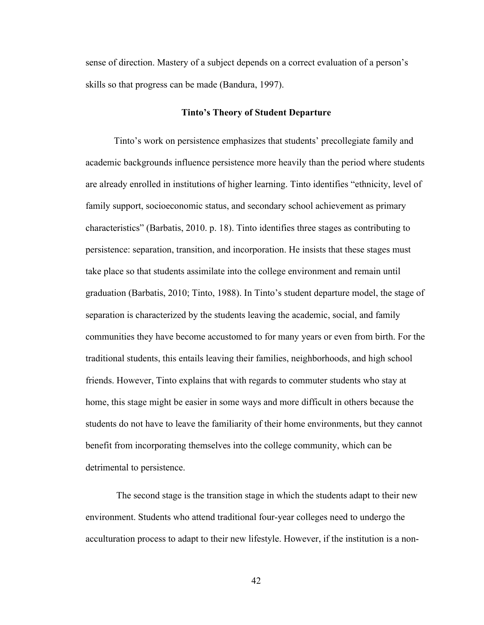sense of direction. Mastery of a subject depends on a correct evaluation of a person's skills so that progress can be made (Bandura, 1997).

## **Tinto's Theory of Student Departure**

Tinto's work on persistence emphasizes that students' precollegiate family and academic backgrounds influence persistence more heavily than the period where students are already enrolled in institutions of higher learning. Tinto identifies "ethnicity, level of family support, socioeconomic status, and secondary school achievement as primary characteristics" (Barbatis, 2010. p. 18). Tinto identifies three stages as contributing to persistence: separation, transition, and incorporation. He insists that these stages must take place so that students assimilate into the college environment and remain until graduation (Barbatis, 2010; Tinto, 1988). In Tinto's student departure model, the stage of separation is characterized by the students leaving the academic, social, and family communities they have become accustomed to for many years or even from birth. For the traditional students, this entails leaving their families, neighborhoods, and high school friends. However, Tinto explains that with regards to commuter students who stay at home, this stage might be easier in some ways and more difficult in others because the students do not have to leave the familiarity of their home environments, but they cannot benefit from incorporating themselves into the college community, which can be detrimental to persistence.

 The second stage is the transition stage in which the students adapt to their new environment. Students who attend traditional four-year colleges need to undergo the acculturation process to adapt to their new lifestyle. However, if the institution is a non-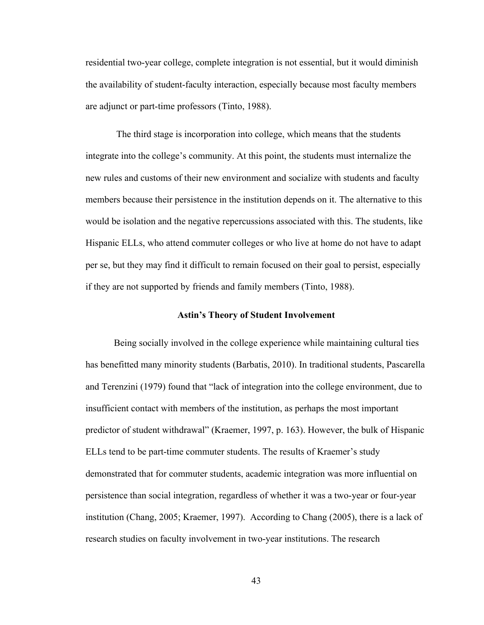residential two-year college, complete integration is not essential, but it would diminish the availability of student-faculty interaction, especially because most faculty members are adjunct or part-time professors (Tinto, 1988).

 The third stage is incorporation into college, which means that the students integrate into the college's community. At this point, the students must internalize the new rules and customs of their new environment and socialize with students and faculty members because their persistence in the institution depends on it. The alternative to this would be isolation and the negative repercussions associated with this. The students, like Hispanic ELLs, who attend commuter colleges or who live at home do not have to adapt per se, but they may find it difficult to remain focused on their goal to persist, especially if they are not supported by friends and family members (Tinto, 1988).

## **Astin's Theory of Student Involvement**

Being socially involved in the college experience while maintaining cultural ties has benefitted many minority students (Barbatis, 2010). In traditional students, Pascarella and Terenzini (1979) found that "lack of integration into the college environment, due to insufficient contact with members of the institution, as perhaps the most important predictor of student withdrawal" (Kraemer, 1997, p. 163). However, the bulk of Hispanic ELLs tend to be part-time commuter students. The results of Kraemer's study demonstrated that for commuter students, academic integration was more influential on persistence than social integration, regardless of whether it was a two-year or four-year institution (Chang, 2005; Kraemer, 1997). According to Chang (2005), there is a lack of research studies on faculty involvement in two-year institutions. The research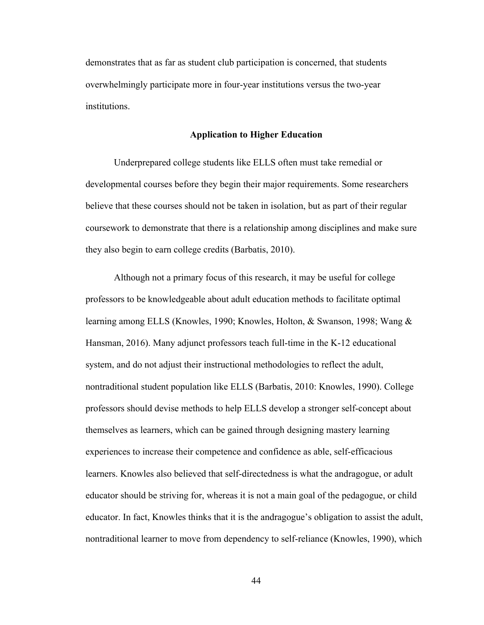demonstrates that as far as student club participation is concerned, that students overwhelmingly participate more in four-year institutions versus the two-year institutions.

# **Application to Higher Education**

Underprepared college students like ELLS often must take remedial or developmental courses before they begin their major requirements. Some researchers believe that these courses should not be taken in isolation, but as part of their regular coursework to demonstrate that there is a relationship among disciplines and make sure they also begin to earn college credits (Barbatis, 2010).

Although not a primary focus of this research, it may be useful for college professors to be knowledgeable about adult education methods to facilitate optimal learning among ELLS (Knowles, 1990; Knowles, Holton, & Swanson, 1998; Wang & Hansman, 2016). Many adjunct professors teach full-time in the K-12 educational system, and do not adjust their instructional methodologies to reflect the adult, nontraditional student population like ELLS (Barbatis, 2010: Knowles, 1990). College professors should devise methods to help ELLS develop a stronger self-concept about themselves as learners, which can be gained through designing mastery learning experiences to increase their competence and confidence as able, self-efficacious learners. Knowles also believed that self-directedness is what the andragogue, or adult educator should be striving for, whereas it is not a main goal of the pedagogue, or child educator. In fact, Knowles thinks that it is the andragogue's obligation to assist the adult, nontraditional learner to move from dependency to self-reliance (Knowles, 1990), which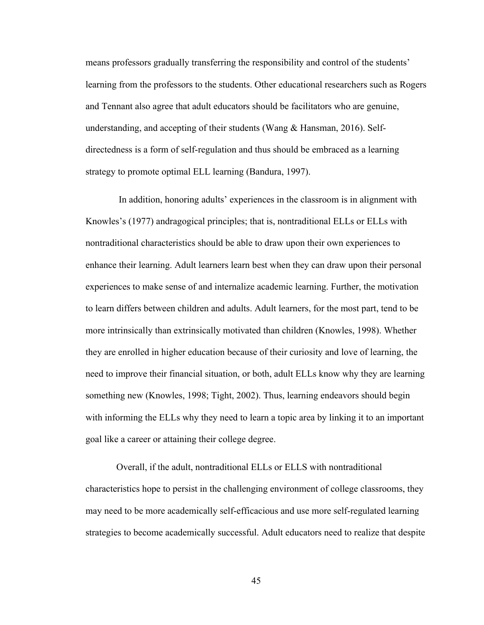means professors gradually transferring the responsibility and control of the students' learning from the professors to the students. Other educational researchers such as Rogers and Tennant also agree that adult educators should be facilitators who are genuine, understanding, and accepting of their students (Wang & Hansman, 2016). Selfdirectedness is a form of self-regulation and thus should be embraced as a learning strategy to promote optimal ELL learning (Bandura, 1997).

 In addition, honoring adults' experiences in the classroom is in alignment with Knowles's (1977) andragogical principles; that is, nontraditional ELLs or ELLs with nontraditional characteristics should be able to draw upon their own experiences to enhance their learning. Adult learners learn best when they can draw upon their personal experiences to make sense of and internalize academic learning. Further, the motivation to learn differs between children and adults. Adult learners, for the most part, tend to be more intrinsically than extrinsically motivated than children (Knowles, 1998). Whether they are enrolled in higher education because of their curiosity and love of learning, the need to improve their financial situation, or both, adult ELLs know why they are learning something new (Knowles, 1998; Tight, 2002). Thus, learning endeavors should begin with informing the ELLs why they need to learn a topic area by linking it to an important goal like a career or attaining their college degree.

Overall, if the adult, nontraditional ELLs or ELLS with nontraditional characteristics hope to persist in the challenging environment of college classrooms, they may need to be more academically self-efficacious and use more self-regulated learning strategies to become academically successful. Adult educators need to realize that despite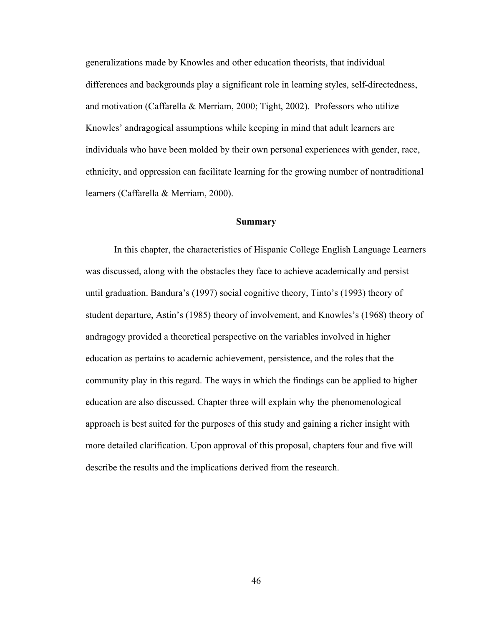generalizations made by Knowles and other education theorists, that individual differences and backgrounds play a significant role in learning styles, self-directedness, and motivation (Caffarella & Merriam, 2000; Tight, 2002). Professors who utilize Knowles' andragogical assumptions while keeping in mind that adult learners are individuals who have been molded by their own personal experiences with gender, race, ethnicity, and oppression can facilitate learning for the growing number of nontraditional learners (Caffarella & Merriam, 2000).

# **Summary**

 In this chapter, the characteristics of Hispanic College English Language Learners was discussed, along with the obstacles they face to achieve academically and persist until graduation. Bandura's (1997) social cognitive theory, Tinto's (1993) theory of student departure, Astin's (1985) theory of involvement, and Knowles's (1968) theory of andragogy provided a theoretical perspective on the variables involved in higher education as pertains to academic achievement, persistence, and the roles that the community play in this regard. The ways in which the findings can be applied to higher education are also discussed. Chapter three will explain why the phenomenological approach is best suited for the purposes of this study and gaining a richer insight with more detailed clarification. Upon approval of this proposal, chapters four and five will describe the results and the implications derived from the research.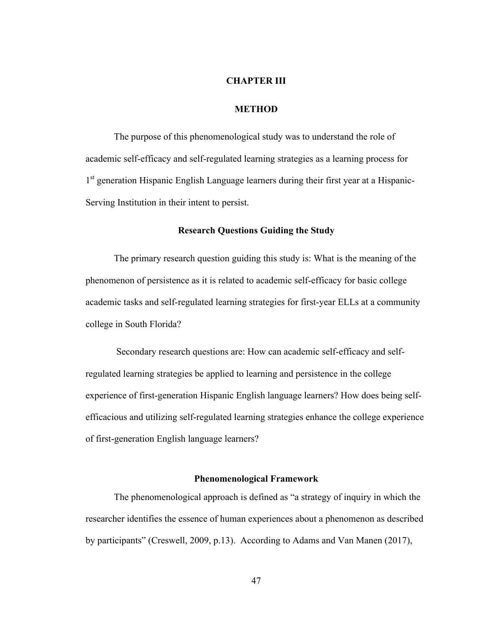#### **CHAPTER III**

## **METHOD**

The purpose of this phenomenological study was to understand the role of academic self-efficacy and self-regulated learning strategies as a learning process for 1<sup>st</sup> generation Hispanic English Language learners during their first year at a Hispanic-Serving Institution in their intent to persist.

# **Research Questions Guiding the Study**

The primary research question guiding this study is: What is the meaning of the phenomenon of persistence as it is related to academic self-efficacy for basic college academic tasks and self-regulated learning strategies for first-year ELLs at a community college in South Florida?

Secondary research questions are: How can academic self-efficacy and selfregulated learning strategies be applied to learning and persistence in the college experience of first-generation Hispanic English language learners? How does being selfefficacious and utilizing self-regulated learning strategies enhance the college experience of first-generation English language learners?

#### **Phenomenological Framework**

The phenomenological approach is defined as "a strategy of inquiry in which the researcher identifies the essence of human experiences about a phenomenon as described by participants" (Creswell, 2009, p.13). According to Adams and Van Manen (2017),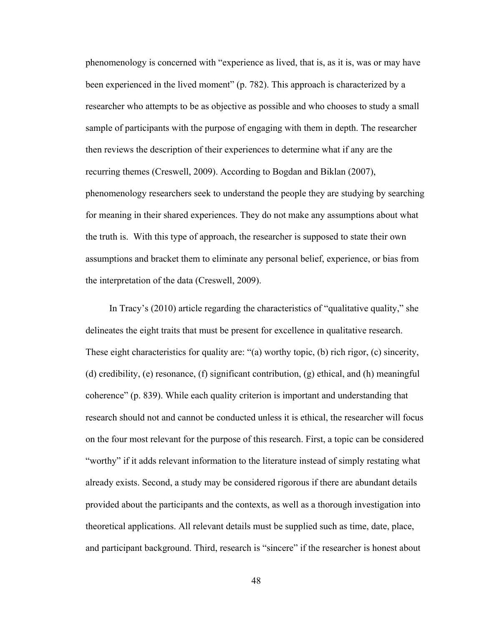phenomenology is concerned with "experience as lived, that is, as it is, was or may have been experienced in the lived moment" (p. 782). This approach is characterized by a researcher who attempts to be as objective as possible and who chooses to study a small sample of participants with the purpose of engaging with them in depth. The researcher then reviews the description of their experiences to determine what if any are the recurring themes (Creswell, 2009). According to Bogdan and Biklan (2007), phenomenology researchers seek to understand the people they are studying by searching for meaning in their shared experiences. They do not make any assumptions about what the truth is. With this type of approach, the researcher is supposed to state their own assumptions and bracket them to eliminate any personal belief, experience, or bias from the interpretation of the data (Creswell, 2009).

 In Tracy's (2010) article regarding the characteristics of "qualitative quality," she delineates the eight traits that must be present for excellence in qualitative research. These eight characteristics for quality are: "(a) worthy topic, (b) rich rigor, (c) sincerity, (d) credibility, (e) resonance, (f) significant contribution, (g) ethical, and (h) meaningful coherence" (p. 839). While each quality criterion is important and understanding that research should not and cannot be conducted unless it is ethical, the researcher will focus on the four most relevant for the purpose of this research. First, a topic can be considered "worthy" if it adds relevant information to the literature instead of simply restating what already exists. Second, a study may be considered rigorous if there are abundant details provided about the participants and the contexts, as well as a thorough investigation into theoretical applications. All relevant details must be supplied such as time, date, place, and participant background. Third, research is "sincere" if the researcher is honest about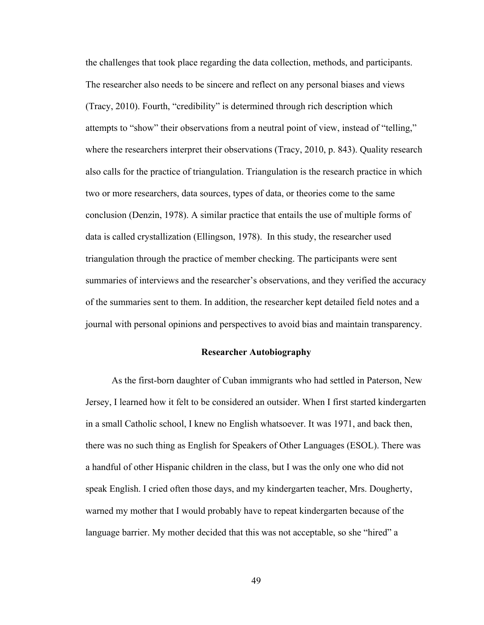the challenges that took place regarding the data collection, methods, and participants. The researcher also needs to be sincere and reflect on any personal biases and views (Tracy, 2010). Fourth, "credibility" is determined through rich description which attempts to "show" their observations from a neutral point of view, instead of "telling," where the researchers interpret their observations (Tracy, 2010, p. 843). Quality research also calls for the practice of triangulation. Triangulation is the research practice in which two or more researchers, data sources, types of data, or theories come to the same conclusion (Denzin, 1978). A similar practice that entails the use of multiple forms of data is called crystallization (Ellingson, 1978). In this study, the researcher used triangulation through the practice of member checking. The participants were sent summaries of interviews and the researcher's observations, and they verified the accuracy of the summaries sent to them. In addition, the researcher kept detailed field notes and a journal with personal opinions and perspectives to avoid bias and maintain transparency.

## **Researcher Autobiography**

 As the first-born daughter of Cuban immigrants who had settled in Paterson, New Jersey, I learned how it felt to be considered an outsider. When I first started kindergarten in a small Catholic school, I knew no English whatsoever. It was 1971, and back then, there was no such thing as English for Speakers of Other Languages (ESOL). There was a handful of other Hispanic children in the class, but I was the only one who did not speak English. I cried often those days, and my kindergarten teacher, Mrs. Dougherty, warned my mother that I would probably have to repeat kindergarten because of the language barrier. My mother decided that this was not acceptable, so she "hired" a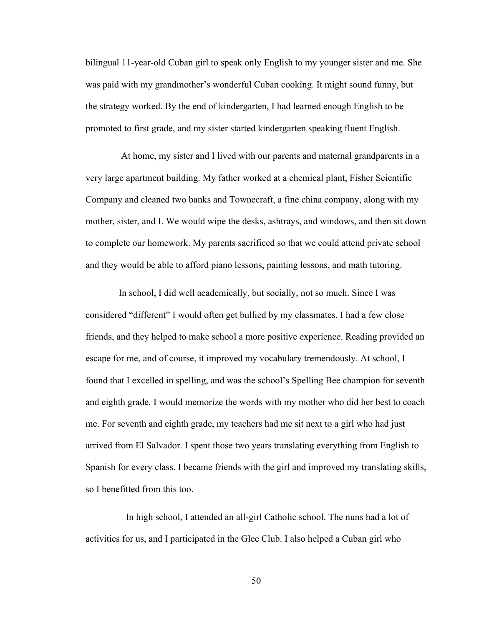bilingual 11-year-old Cuban girl to speak only English to my younger sister and me. She was paid with my grandmother's wonderful Cuban cooking. It might sound funny, but the strategy worked. By the end of kindergarten, I had learned enough English to be promoted to first grade, and my sister started kindergarten speaking fluent English.

 At home, my sister and I lived with our parents and maternal grandparents in a very large apartment building. My father worked at a chemical plant, Fisher Scientific Company and cleaned two banks and Townecraft, a fine china company, along with my mother, sister, and I. We would wipe the desks, ashtrays, and windows, and then sit down to complete our homework. My parents sacrificed so that we could attend private school and they would be able to afford piano lessons, painting lessons, and math tutoring.

In school, I did well academically, but socially, not so much. Since I was considered "different" I would often get bullied by my classmates. I had a few close friends, and they helped to make school a more positive experience. Reading provided an escape for me, and of course, it improved my vocabulary tremendously. At school, I found that I excelled in spelling, and was the school's Spelling Bee champion for seventh and eighth grade. I would memorize the words with my mother who did her best to coach me. For seventh and eighth grade, my teachers had me sit next to a girl who had just arrived from El Salvador. I spent those two years translating everything from English to Spanish for every class. I became friends with the girl and improved my translating skills, so I benefitted from this too.

 In high school, I attended an all-girl Catholic school. The nuns had a lot of activities for us, and I participated in the Glee Club. I also helped a Cuban girl who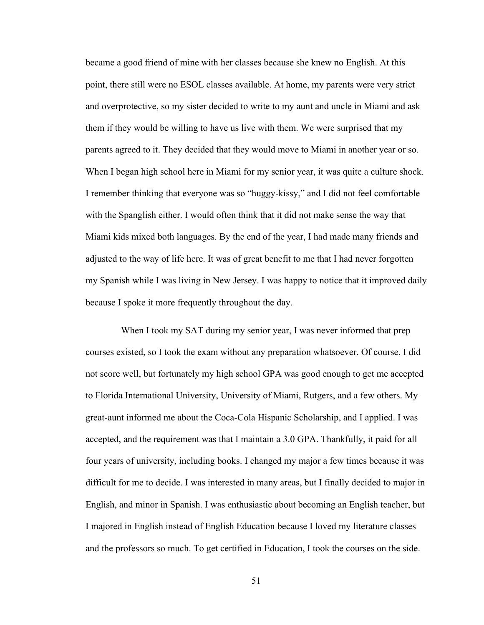became a good friend of mine with her classes because she knew no English. At this point, there still were no ESOL classes available. At home, my parents were very strict and overprotective, so my sister decided to write to my aunt and uncle in Miami and ask them if they would be willing to have us live with them. We were surprised that my parents agreed to it. They decided that they would move to Miami in another year or so. When I began high school here in Miami for my senior year, it was quite a culture shock. I remember thinking that everyone was so "huggy-kissy," and I did not feel comfortable with the Spanglish either. I would often think that it did not make sense the way that Miami kids mixed both languages. By the end of the year, I had made many friends and adjusted to the way of life here. It was of great benefit to me that I had never forgotten my Spanish while I was living in New Jersey. I was happy to notice that it improved daily because I spoke it more frequently throughout the day.

 When I took my SAT during my senior year, I was never informed that prep courses existed, so I took the exam without any preparation whatsoever. Of course, I did not score well, but fortunately my high school GPA was good enough to get me accepted to Florida International University, University of Miami, Rutgers, and a few others. My great-aunt informed me about the Coca-Cola Hispanic Scholarship, and I applied. I was accepted, and the requirement was that I maintain a 3.0 GPA. Thankfully, it paid for all four years of university, including books. I changed my major a few times because it was difficult for me to decide. I was interested in many areas, but I finally decided to major in English, and minor in Spanish. I was enthusiastic about becoming an English teacher, but I majored in English instead of English Education because I loved my literature classes and the professors so much. To get certified in Education, I took the courses on the side.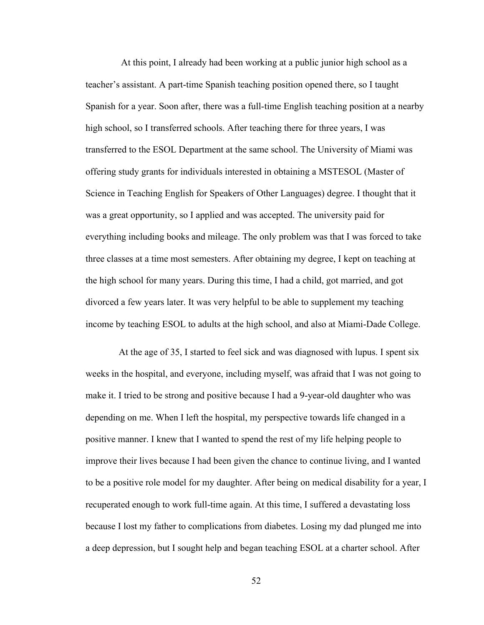At this point, I already had been working at a public junior high school as a teacher's assistant. A part-time Spanish teaching position opened there, so I taught Spanish for a year. Soon after, there was a full-time English teaching position at a nearby high school, so I transferred schools. After teaching there for three years, I was transferred to the ESOL Department at the same school. The University of Miami was offering study grants for individuals interested in obtaining a MSTESOL (Master of Science in Teaching English for Speakers of Other Languages) degree. I thought that it was a great opportunity, so I applied and was accepted. The university paid for everything including books and mileage. The only problem was that I was forced to take three classes at a time most semesters. After obtaining my degree, I kept on teaching at the high school for many years. During this time, I had a child, got married, and got divorced a few years later. It was very helpful to be able to supplement my teaching income by teaching ESOL to adults at the high school, and also at Miami-Dade College.

 At the age of 35, I started to feel sick and was diagnosed with lupus. I spent six weeks in the hospital, and everyone, including myself, was afraid that I was not going to make it. I tried to be strong and positive because I had a 9-year-old daughter who was depending on me. When I left the hospital, my perspective towards life changed in a positive manner. I knew that I wanted to spend the rest of my life helping people to improve their lives because I had been given the chance to continue living, and I wanted to be a positive role model for my daughter. After being on medical disability for a year, I recuperated enough to work full-time again. At this time, I suffered a devastating loss because I lost my father to complications from diabetes. Losing my dad plunged me into a deep depression, but I sought help and began teaching ESOL at a charter school. After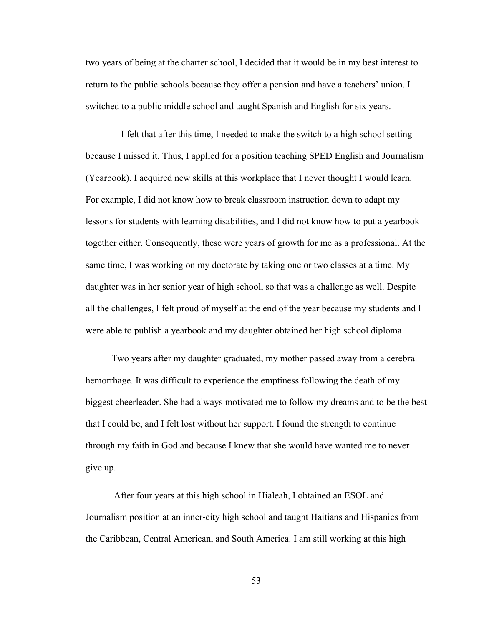two years of being at the charter school, I decided that it would be in my best interest to return to the public schools because they offer a pension and have a teachers' union. I switched to a public middle school and taught Spanish and English for six years.

 I felt that after this time, I needed to make the switch to a high school setting because I missed it. Thus, I applied for a position teaching SPED English and Journalism (Yearbook). I acquired new skills at this workplace that I never thought I would learn. For example, I did not know how to break classroom instruction down to adapt my lessons for students with learning disabilities, and I did not know how to put a yearbook together either. Consequently, these were years of growth for me as a professional. At the same time, I was working on my doctorate by taking one or two classes at a time. My daughter was in her senior year of high school, so that was a challenge as well. Despite all the challenges, I felt proud of myself at the end of the year because my students and I were able to publish a yearbook and my daughter obtained her high school diploma.

 Two years after my daughter graduated, my mother passed away from a cerebral hemorrhage. It was difficult to experience the emptiness following the death of my biggest cheerleader. She had always motivated me to follow my dreams and to be the best that I could be, and I felt lost without her support. I found the strength to continue through my faith in God and because I knew that she would have wanted me to never give up.

 After four years at this high school in Hialeah, I obtained an ESOL and Journalism position at an inner-city high school and taught Haitians and Hispanics from the Caribbean, Central American, and South America. I am still working at this high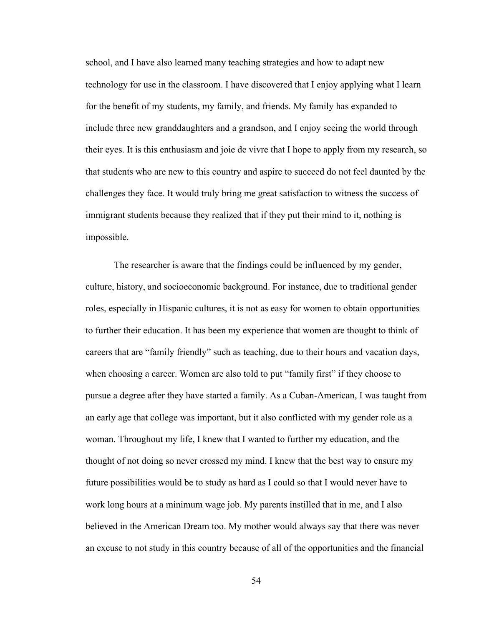school, and I have also learned many teaching strategies and how to adapt new technology for use in the classroom. I have discovered that I enjoy applying what I learn for the benefit of my students, my family, and friends. My family has expanded to include three new granddaughters and a grandson, and I enjoy seeing the world through their eyes. It is this enthusiasm and joie de vivre that I hope to apply from my research, so that students who are new to this country and aspire to succeed do not feel daunted by the challenges they face. It would truly bring me great satisfaction to witness the success of immigrant students because they realized that if they put their mind to it, nothing is impossible.

The researcher is aware that the findings could be influenced by my gender, culture, history, and socioeconomic background. For instance, due to traditional gender roles, especially in Hispanic cultures, it is not as easy for women to obtain opportunities to further their education. It has been my experience that women are thought to think of careers that are "family friendly" such as teaching, due to their hours and vacation days, when choosing a career. Women are also told to put "family first" if they choose to pursue a degree after they have started a family. As a Cuban-American, I was taught from an early age that college was important, but it also conflicted with my gender role as a woman. Throughout my life, I knew that I wanted to further my education, and the thought of not doing so never crossed my mind. I knew that the best way to ensure my future possibilities would be to study as hard as I could so that I would never have to work long hours at a minimum wage job. My parents instilled that in me, and I also believed in the American Dream too. My mother would always say that there was never an excuse to not study in this country because of all of the opportunities and the financial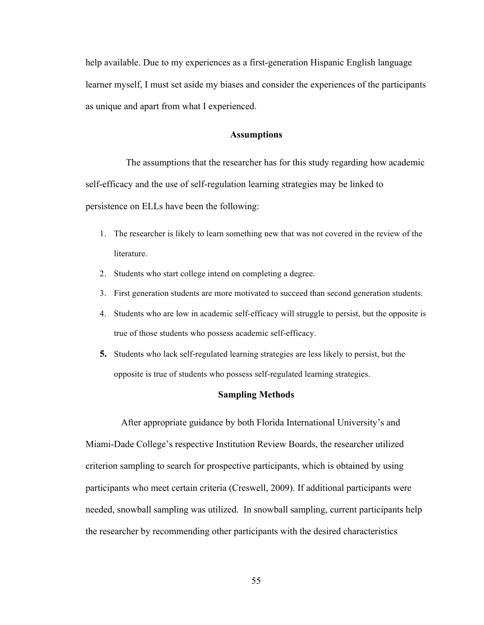help available. Due to my experiences as a first-generation Hispanic English language learner myself, I must set aside my biases and consider the experiences of the participants as unique and apart from what I experienced.

# **Assumptions**

 The assumptions that the researcher has for this study regarding how academic self-efficacy and the use of self-regulation learning strategies may be linked to persistence on ELLs have been the following:

- 1. The researcher is likely to learn something new that was not covered in the review of the literature.
- 2. Students who start college intend on completing a degree.
- 3. First generation students are more motivated to succeed than second generation students.
- 4. Students who are low in academic self-efficacy will struggle to persist, but the opposite is true of those students who possess academic self-efficacy.
- **5.** Students who lack self-regulated learning strategies are less likely to persist, but the opposite is true of students who possess self-regulated learning strategies.

# **Sampling Methods**

 After appropriate guidance by both Florida International University's and Miami-Dade College's respective Institution Review Boards, the researcher utilized criterion sampling to search for prospective participants, which is obtained by using participants who meet certain criteria (Creswell, 2009). If additional participants were needed, snowball sampling was utilized. In snowball sampling, current participants help the researcher by recommending other participants with the desired characteristics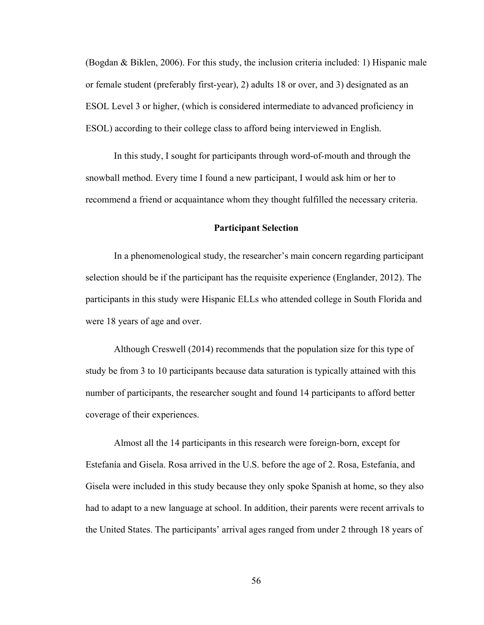(Bogdan & Biklen, 2006). For this study, the inclusion criteria included: 1) Hispanic male or female student (preferably first-year), 2) adults 18 or over, and 3) designated as an ESOL Level 3 or higher, (which is considered intermediate to advanced proficiency in ESOL) according to their college class to afford being interviewed in English.

In this study, I sought for participants through word-of-mouth and through the snowball method. Every time I found a new participant, I would ask him or her to recommend a friend or acquaintance whom they thought fulfilled the necessary criteria.

## **Participant Selection**

In a phenomenological study, the researcher's main concern regarding participant selection should be if the participant has the requisite experience (Englander, 2012). The participants in this study were Hispanic ELLs who attended college in South Florida and were 18 years of age and over.

Although Creswell (2014) recommends that the population size for this type of study be from 3 to 10 participants because data saturation is typically attained with this number of participants, the researcher sought and found 14 participants to afford better coverage of their experiences.

Almost all the 14 participants in this research were foreign-born, except for Estefanía and Gisela. Rosa arrived in the U.S. before the age of 2. Rosa, Estefanía, and Gisela were included in this study because they only spoke Spanish at home, so they also had to adapt to a new language at school. In addition, their parents were recent arrivals to the United States. The participants' arrival ages ranged from under 2 through 18 years of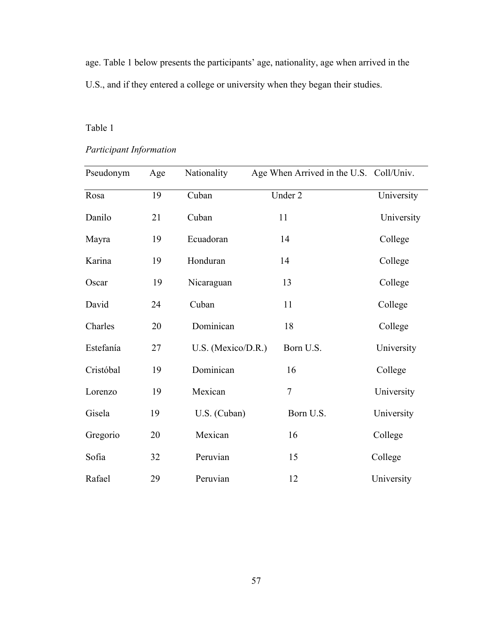age. Table 1 below presents the participants' age, nationality, age when arrived in the U.S., and if they entered a college or university when they began their studies.

# Table 1

# *Participant Information*

| Pseudonym | Age | Nationality        | Age When Arrived in the U.S. Coll/Univ. |            |
|-----------|-----|--------------------|-----------------------------------------|------------|
| Rosa      | 19  | Cuban              | Under 2                                 | University |
| Danilo    | 21  | Cuban              | 11                                      | University |
| Mayra     | 19  | Ecuadoran          | 14                                      | College    |
| Karina    | 19  | Honduran           | 14                                      | College    |
| Oscar     | 19  | Nicaraguan         | 13                                      | College    |
| David     | 24  | Cuban              | 11                                      | College    |
| Charles   | 20  | Dominican          | 18                                      | College    |
| Estefanía | 27  | U.S. (Mexico/D.R.) | Born U.S.                               | University |
| Cristóbal | 19  | Dominican          | 16                                      | College    |
| Lorenzo   | 19  | Mexican            | $\overline{7}$                          | University |
| Gisela    | 19  | U.S. (Cuban)       | Born U.S.                               | University |
| Gregorio  | 20  | Mexican            | 16                                      | College    |
| Sofia     | 32  | Peruvian           | 15                                      | College    |
| Rafael    | 29  | Peruvian           | 12                                      | University |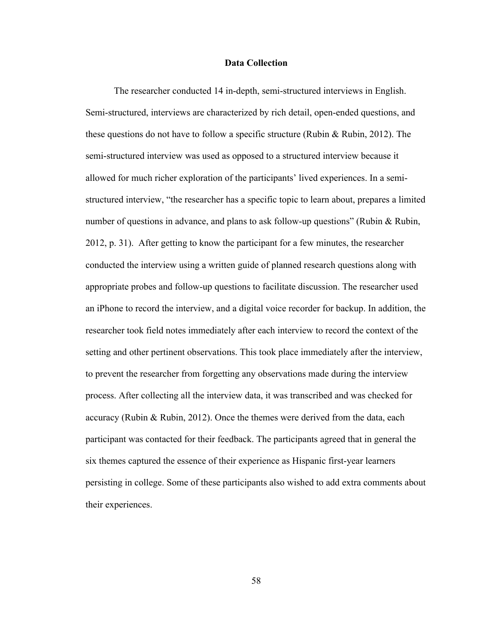### **Data Collection**

 The researcher conducted 14 in-depth, semi-structured interviews in English. Semi-structured, interviews are characterized by rich detail, open-ended questions, and these questions do not have to follow a specific structure (Rubin & Rubin, 2012). The semi-structured interview was used as opposed to a structured interview because it allowed for much richer exploration of the participants' lived experiences. In a semistructured interview, "the researcher has a specific topic to learn about, prepares a limited number of questions in advance, and plans to ask follow-up questions" (Rubin & Rubin, 2012, p. 31). After getting to know the participant for a few minutes, the researcher conducted the interview using a written guide of planned research questions along with appropriate probes and follow-up questions to facilitate discussion. The researcher used an iPhone to record the interview, and a digital voice recorder for backup. In addition, the researcher took field notes immediately after each interview to record the context of the setting and other pertinent observations. This took place immediately after the interview, to prevent the researcher from forgetting any observations made during the interview process. After collecting all the interview data, it was transcribed and was checked for accuracy (Rubin & Rubin, 2012). Once the themes were derived from the data, each participant was contacted for their feedback. The participants agreed that in general the six themes captured the essence of their experience as Hispanic first-year learners persisting in college. Some of these participants also wished to add extra comments about their experiences.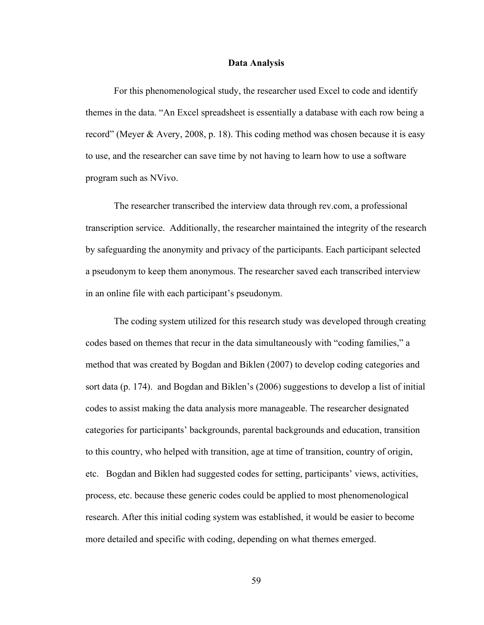#### **Data Analysis**

 For this phenomenological study, the researcher used Excel to code and identify themes in the data. "An Excel spreadsheet is essentially a database with each row being a record" (Meyer & Avery, 2008, p. 18). This coding method was chosen because it is easy to use, and the researcher can save time by not having to learn how to use a software program such as NVivo.

The researcher transcribed the interview data through rev.com, a professional transcription service. Additionally, the researcher maintained the integrity of the research by safeguarding the anonymity and privacy of the participants. Each participant selected a pseudonym to keep them anonymous. The researcher saved each transcribed interview in an online file with each participant's pseudonym.

The coding system utilized for this research study was developed through creating codes based on themes that recur in the data simultaneously with "coding families," a method that was created by Bogdan and Biklen (2007) to develop coding categories and sort data (p. 174). and Bogdan and Biklen's (2006) suggestions to develop a list of initial codes to assist making the data analysis more manageable. The researcher designated categories for participants' backgrounds, parental backgrounds and education, transition to this country, who helped with transition, age at time of transition, country of origin, etc. Bogdan and Biklen had suggested codes for setting, participants' views, activities, process, etc. because these generic codes could be applied to most phenomenological research. After this initial coding system was established, it would be easier to become more detailed and specific with coding, depending on what themes emerged.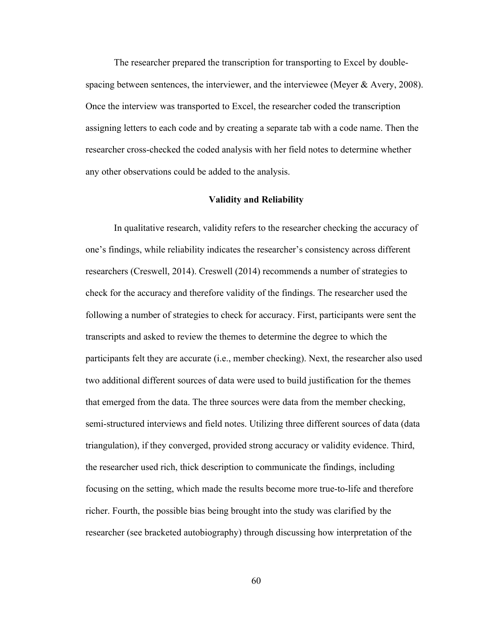The researcher prepared the transcription for transporting to Excel by doublespacing between sentences, the interviewer, and the interviewee (Meyer & Avery, 2008). Once the interview was transported to Excel, the researcher coded the transcription assigning letters to each code and by creating a separate tab with a code name. Then the researcher cross-checked the coded analysis with her field notes to determine whether any other observations could be added to the analysis.

#### **Validity and Reliability**

In qualitative research, validity refers to the researcher checking the accuracy of one's findings, while reliability indicates the researcher's consistency across different researchers (Creswell, 2014). Creswell (2014) recommends a number of strategies to check for the accuracy and therefore validity of the findings. The researcher used the following a number of strategies to check for accuracy. First, participants were sent the transcripts and asked to review the themes to determine the degree to which the participants felt they are accurate (i.e., member checking). Next, the researcher also used two additional different sources of data were used to build justification for the themes that emerged from the data. The three sources were data from the member checking, semi-structured interviews and field notes. Utilizing three different sources of data (data triangulation), if they converged, provided strong accuracy or validity evidence. Third, the researcher used rich, thick description to communicate the findings, including focusing on the setting, which made the results become more true-to-life and therefore richer. Fourth, the possible bias being brought into the study was clarified by the researcher (see bracketed autobiography) through discussing how interpretation of the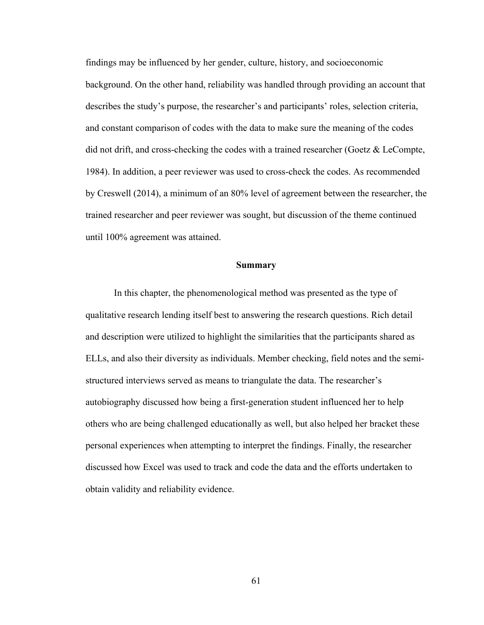findings may be influenced by her gender, culture, history, and socioeconomic background. On the other hand, reliability was handled through providing an account that describes the study's purpose, the researcher's and participants' roles, selection criteria, and constant comparison of codes with the data to make sure the meaning of the codes did not drift, and cross-checking the codes with a trained researcher (Goetz & LeCompte, 1984). In addition, a peer reviewer was used to cross-check the codes. As recommended by Creswell (2014), a minimum of an 80% level of agreement between the researcher, the trained researcher and peer reviewer was sought, but discussion of the theme continued until 100% agreement was attained.

# **Summary**

 In this chapter, the phenomenological method was presented as the type of qualitative research lending itself best to answering the research questions. Rich detail and description were utilized to highlight the similarities that the participants shared as ELLs, and also their diversity as individuals. Member checking, field notes and the semistructured interviews served as means to triangulate the data. The researcher's autobiography discussed how being a first-generation student influenced her to help others who are being challenged educationally as well, but also helped her bracket these personal experiences when attempting to interpret the findings. Finally, the researcher discussed how Excel was used to track and code the data and the efforts undertaken to obtain validity and reliability evidence.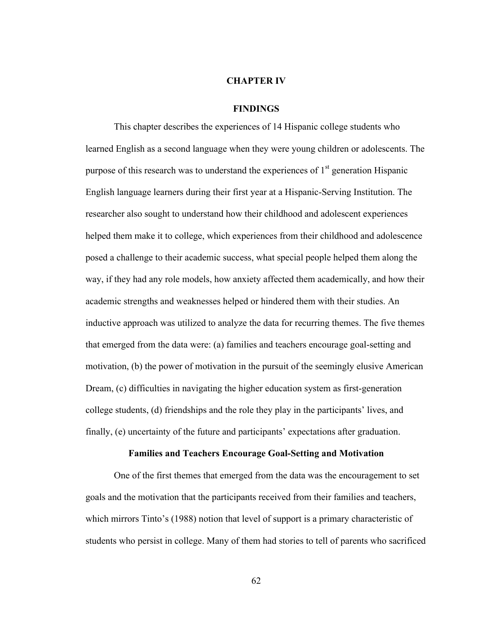#### **CHAPTER IV**

## **FINDINGS**

This chapter describes the experiences of 14 Hispanic college students who learned English as a second language when they were young children or adolescents. The purpose of this research was to understand the experiences of  $1<sup>st</sup>$  generation Hispanic English language learners during their first year at a Hispanic-Serving Institution. The researcher also sought to understand how their childhood and adolescent experiences helped them make it to college, which experiences from their childhood and adolescence posed a challenge to their academic success, what special people helped them along the way, if they had any role models, how anxiety affected them academically, and how their academic strengths and weaknesses helped or hindered them with their studies. An inductive approach was utilized to analyze the data for recurring themes. The five themes that emerged from the data were: (a) families and teachers encourage goal-setting and motivation, (b) the power of motivation in the pursuit of the seemingly elusive American Dream, (c) difficulties in navigating the higher education system as first-generation college students, (d) friendships and the role they play in the participants' lives, and finally, (e) uncertainty of the future and participants' expectations after graduation.

# **Families and Teachers Encourage Goal-Setting and Motivation**

One of the first themes that emerged from the data was the encouragement to set goals and the motivation that the participants received from their families and teachers, which mirrors Tinto's (1988) notion that level of support is a primary characteristic of students who persist in college. Many of them had stories to tell of parents who sacrificed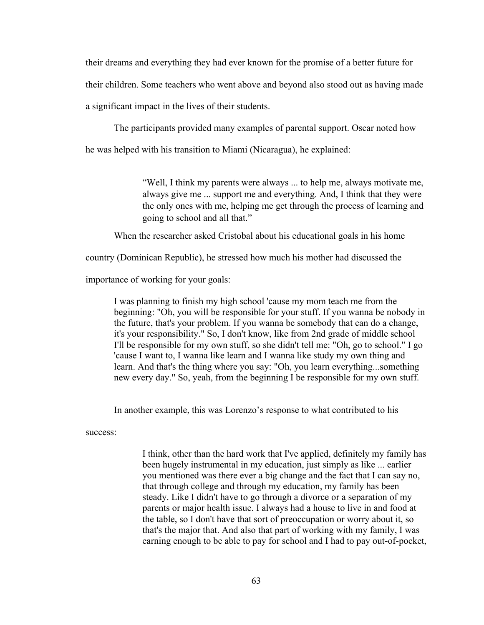their dreams and everything they had ever known for the promise of a better future for

their children. Some teachers who went above and beyond also stood out as having made

a significant impact in the lives of their students.

The participants provided many examples of parental support. Oscar noted how

he was helped with his transition to Miami (Nicaragua), he explained:

"Well, I think my parents were always ... to help me, always motivate me, always give me ... support me and everything. And, I think that they were the only ones with me, helping me get through the process of learning and going to school and all that."

When the researcher asked Cristobal about his educational goals in his home

country (Dominican Republic), he stressed how much his mother had discussed the

importance of working for your goals:

I was planning to finish my high school 'cause my mom teach me from the beginning: "Oh, you will be responsible for your stuff. If you wanna be nobody in the future, that's your problem. If you wanna be somebody that can do a change, it's your responsibility." So, I don't know, like from 2nd grade of middle school I'll be responsible for my own stuff, so she didn't tell me: "Oh, go to school." I go 'cause I want to, I wanna like learn and I wanna like study my own thing and learn. And that's the thing where you say: "Oh, you learn everything...something new every day." So, yeah, from the beginning I be responsible for my own stuff.

In another example, this was Lorenzo's response to what contributed to his

success:

I think, other than the hard work that I've applied, definitely my family has been hugely instrumental in my education, just simply as like ... earlier you mentioned was there ever a big change and the fact that I can say no, that through college and through my education, my family has been steady. Like I didn't have to go through a divorce or a separation of my parents or major health issue. I always had a house to live in and food at the table, so I don't have that sort of preoccupation or worry about it, so that's the major that. And also that part of working with my family, I was earning enough to be able to pay for school and I had to pay out-of-pocket,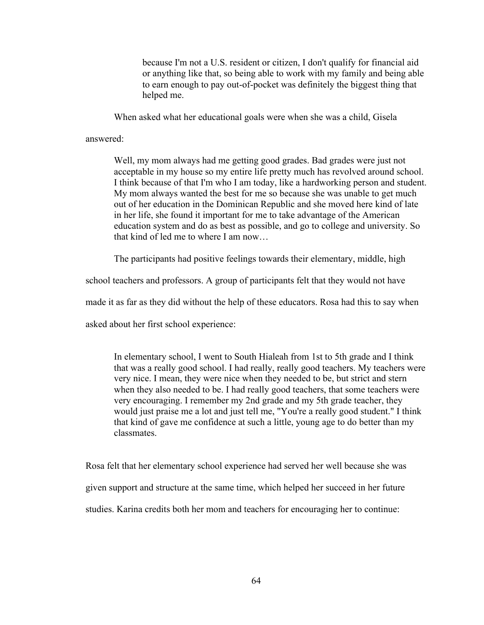because I'm not a U.S. resident or citizen, I don't qualify for financial aid or anything like that, so being able to work with my family and being able to earn enough to pay out-of-pocket was definitely the biggest thing that helped me.

When asked what her educational goals were when she was a child, Gisela

answered:

Well, my mom always had me getting good grades. Bad grades were just not acceptable in my house so my entire life pretty much has revolved around school. I think because of that I'm who I am today, like a hardworking person and student. My mom always wanted the best for me so because she was unable to get much out of her education in the Dominican Republic and she moved here kind of late in her life, she found it important for me to take advantage of the American education system and do as best as possible, and go to college and university. So that kind of led me to where I am now…

The participants had positive feelings towards their elementary, middle, high

school teachers and professors. A group of participants felt that they would not have

made it as far as they did without the help of these educators. Rosa had this to say when

asked about her first school experience:

In elementary school, I went to South Hialeah from 1st to 5th grade and I think that was a really good school. I had really, really good teachers. My teachers were very nice. I mean, they were nice when they needed to be, but strict and stern when they also needed to be. I had really good teachers, that some teachers were very encouraging. I remember my 2nd grade and my 5th grade teacher, they would just praise me a lot and just tell me, "You're a really good student." I think that kind of gave me confidence at such a little, young age to do better than my classmates.

Rosa felt that her elementary school experience had served her well because she was given support and structure at the same time, which helped her succeed in her future studies. Karina credits both her mom and teachers for encouraging her to continue: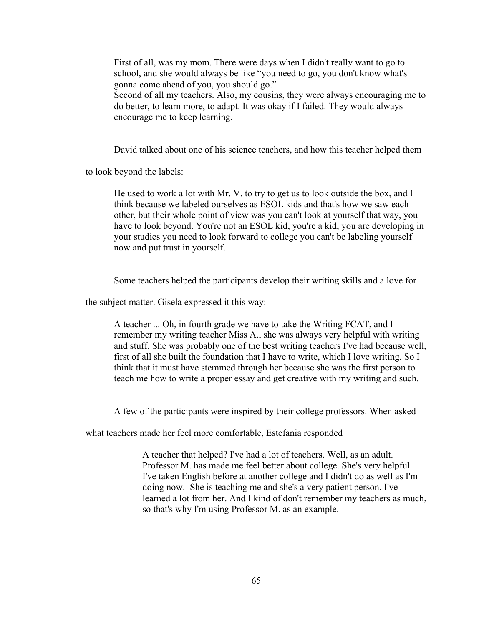First of all, was my mom. There were days when I didn't really want to go to school, and she would always be like "you need to go, you don't know what's gonna come ahead of you, you should go."

Second of all my teachers. Also, my cousins, they were always encouraging me to do better, to learn more, to adapt. It was okay if I failed. They would always encourage me to keep learning.

David talked about one of his science teachers, and how this teacher helped them

to look beyond the labels:

He used to work a lot with Mr. V. to try to get us to look outside the box, and I think because we labeled ourselves as ESOL kids and that's how we saw each other, but their whole point of view was you can't look at yourself that way, you have to look beyond. You're not an ESOL kid, you're a kid, you are developing in your studies you need to look forward to college you can't be labeling yourself now and put trust in yourself.

Some teachers helped the participants develop their writing skills and a love for

the subject matter. Gisela expressed it this way:

A teacher ... Oh, in fourth grade we have to take the Writing FCAT, and I remember my writing teacher Miss A., she was always very helpful with writing and stuff. She was probably one of the best writing teachers I've had because well, first of all she built the foundation that I have to write, which I love writing. So I think that it must have stemmed through her because she was the first person to teach me how to write a proper essay and get creative with my writing and such.

A few of the participants were inspired by their college professors. When asked

what teachers made her feel more comfortable, Estefania responded

A teacher that helped? I've had a lot of teachers. Well, as an adult. Professor M. has made me feel better about college. She's very helpful. I've taken English before at another college and I didn't do as well as I'm doing now. She is teaching me and she's a very patient person. I've learned a lot from her. And I kind of don't remember my teachers as much, so that's why I'm using Professor M. as an example.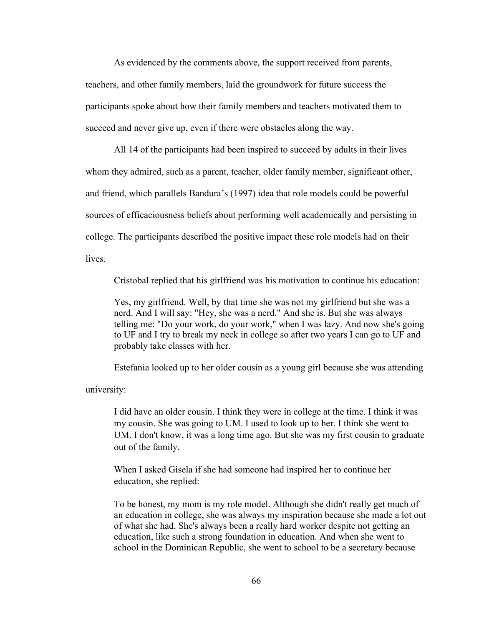As evidenced by the comments above, the support received from parents, teachers, and other family members, laid the groundwork for future success the participants spoke about how their family members and teachers motivated them to succeed and never give up, even if there were obstacles along the way.

All 14 of the participants had been inspired to succeed by adults in their lives whom they admired, such as a parent, teacher, older family member, significant other, and friend, which parallels Bandura's (1997) idea that role models could be powerful sources of efficaciousness beliefs about performing well academically and persisting in college. The participants described the positive impact these role models had on their **lives** 

Cristobal replied that his girlfriend was his motivation to continue his education:

Yes, my girlfriend. Well, by that time she was not my girlfriend but she was a nerd. And I will say: "Hey, she was a nerd." And she is. But she was always telling me: "Do your work, do your work," when I was lazy. And now she's going to UF and I try to break my neck in college so after two years I can go to UF and probably take classes with her.

Estefania looked up to her older cousin as a young girl because she was attending

university:

I did have an older cousin. I think they were in college at the time. I think it was my cousin. She was going to UM. I used to look up to her. I think she went to UM. I don't know, it was a long time ago. But she was my first cousin to graduate out of the family.

When I asked Gisela if she had someone had inspired her to continue her education, she replied:

To be honest, my mom is my role model. Although she didn't really get much of an education in college, she was always my inspiration because she made a lot out of what she had. She's always been a really hard worker despite not getting an education, like such a strong foundation in education. And when she went to school in the Dominican Republic, she went to school to be a secretary because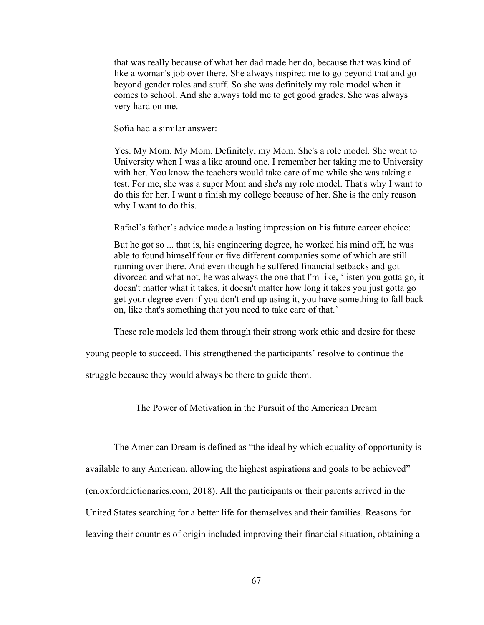that was really because of what her dad made her do, because that was kind of like a woman's job over there. She always inspired me to go beyond that and go beyond gender roles and stuff. So she was definitely my role model when it comes to school. And she always told me to get good grades. She was always very hard on me.

Sofia had a similar answer:

Yes. My Mom. My Mom. Definitely, my Mom. She's a role model. She went to University when I was a like around one. I remember her taking me to University with her. You know the teachers would take care of me while she was taking a test. For me, she was a super Mom and she's my role model. That's why I want to do this for her. I want a finish my college because of her. She is the only reason why I want to do this.

Rafael's father's advice made a lasting impression on his future career choice:

But he got so ... that is, his engineering degree, he worked his mind off, he was able to found himself four or five different companies some of which are still running over there. And even though he suffered financial setbacks and got divorced and what not, he was always the one that I'm like, 'listen you gotta go, it doesn't matter what it takes, it doesn't matter how long it takes you just gotta go get your degree even if you don't end up using it, you have something to fall back on, like that's something that you need to take care of that.'

These role models led them through their strong work ethic and desire for these

young people to succeed. This strengthened the participants' resolve to continue the

struggle because they would always be there to guide them.

The Power of Motivation in the Pursuit of the American Dream

The American Dream is defined as "the ideal by which equality of opportunity is available to any American, allowing the highest aspirations and goals to be achieved" (en.oxforddictionaries.com, 2018). All the participants or their parents arrived in the United States searching for a better life for themselves and their families. Reasons for leaving their countries of origin included improving their financial situation, obtaining a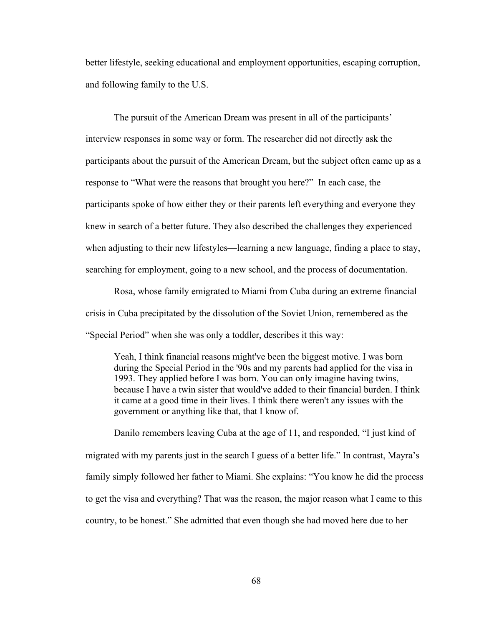better lifestyle, seeking educational and employment opportunities, escaping corruption, and following family to the U.S.

The pursuit of the American Dream was present in all of the participants' interview responses in some way or form. The researcher did not directly ask the participants about the pursuit of the American Dream, but the subject often came up as a response to "What were the reasons that brought you here?" In each case, the participants spoke of how either they or their parents left everything and everyone they knew in search of a better future. They also described the challenges they experienced when adjusting to their new lifestyles—learning a new language, finding a place to stay, searching for employment, going to a new school, and the process of documentation.

Rosa, whose family emigrated to Miami from Cuba during an extreme financial crisis in Cuba precipitated by the dissolution of the Soviet Union, remembered as the "Special Period" when she was only a toddler, describes it this way:

Yeah, I think financial reasons might've been the biggest motive. I was born during the Special Period in the '90s and my parents had applied for the visa in 1993. They applied before I was born. You can only imagine having twins, because I have a twin sister that would've added to their financial burden. I think it came at a good time in their lives. I think there weren't any issues with the government or anything like that, that I know of.

Danilo remembers leaving Cuba at the age of 11, and responded, "I just kind of migrated with my parents just in the search I guess of a better life." In contrast, Mayra's family simply followed her father to Miami. She explains: "You know he did the process to get the visa and everything? That was the reason, the major reason what I came to this country, to be honest." She admitted that even though she had moved here due to her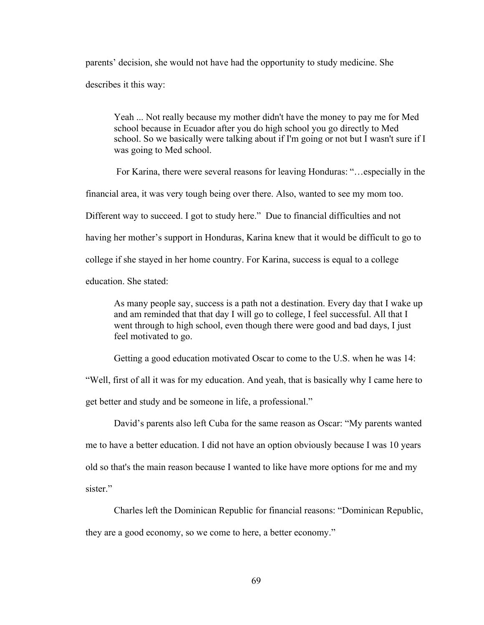parents' decision, she would not have had the opportunity to study medicine. She describes it this way:

Yeah ... Not really because my mother didn't have the money to pay me for Med school because in Ecuador after you do high school you go directly to Med school. So we basically were talking about if I'm going or not but I wasn't sure if I was going to Med school.

For Karina, there were several reasons for leaving Honduras: "…especially in the

financial area, it was very tough being over there. Also, wanted to see my mom too.

Different way to succeed. I got to study here." Due to financial difficulties and not

having her mother's support in Honduras, Karina knew that it would be difficult to go to

college if she stayed in her home country. For Karina, success is equal to a college

education. She stated:

As many people say, success is a path not a destination. Every day that I wake up and am reminded that that day I will go to college, I feel successful. All that I went through to high school, even though there were good and bad days, I just feel motivated to go.

Getting a good education motivated Oscar to come to the U.S. when he was 14:

"Well, first of all it was for my education. And yeah, that is basically why I came here to get better and study and be someone in life, a professional."

David's parents also left Cuba for the same reason as Oscar: "My parents wanted me to have a better education. I did not have an option obviously because I was 10 years old so that's the main reason because I wanted to like have more options for me and my sister."

Charles left the Dominican Republic for financial reasons: "Dominican Republic,

they are a good economy, so we come to here, a better economy."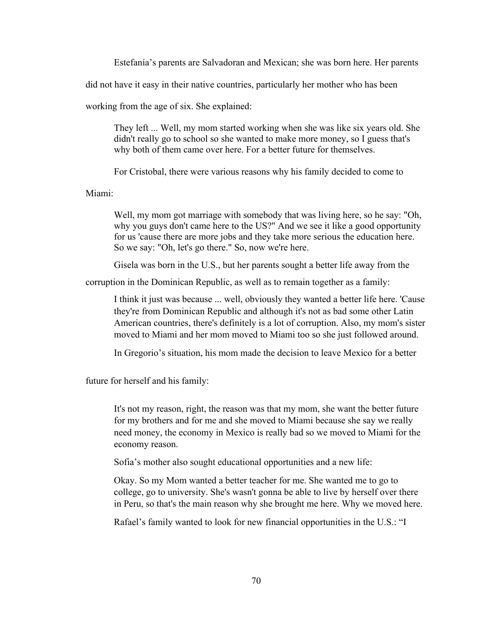Estefanía's parents are Salvadoran and Mexican; she was born here. Her parents

did not have it easy in their native countries, particularly her mother who has been

working from the age of six. She explained:

They left ... Well, my mom started working when she was like six years old. She didn't really go to school so she wanted to make more money, so I guess that's why both of them came over here. For a better future for themselves.

For Cristobal, there were various reasons why his family decided to come to

Miami:

Well, my mom got marriage with somebody that was living here, so he say: "Oh, why you guys don't came here to the US?" And we see it like a good opportunity for us 'cause there are more jobs and they take more serious the education here. So we say: "Oh, let's go there." So, now we're here.

Gisela was born in the U.S., but her parents sought a better life away from the

corruption in the Dominican Republic, as well as to remain together as a family:

I think it just was because ... well, obviously they wanted a better life here. 'Cause they're from Dominican Republic and although it's not as bad some other Latin American countries, there's definitely is a lot of corruption. Also, my mom's sister moved to Miami and her mom moved to Miami too so she just followed around.

In Gregorio's situation, his mom made the decision to leave Mexico for a better

future for herself and his family:

It's not my reason, right, the reason was that my mom, she want the better future for my brothers and for me and she moved to Miami because she say we really need money, the economy in Mexico is really bad so we moved to Miami for the economy reason.

Sofia's mother also sought educational opportunities and a new life:

Okay. So my Mom wanted a better teacher for me. She wanted me to go to college, go to university. She's wasn't gonna be able to live by herself over there in Peru, so that's the main reason why she brought me here. Why we moved here.

Rafael's family wanted to look for new financial opportunities in the U.S.: "I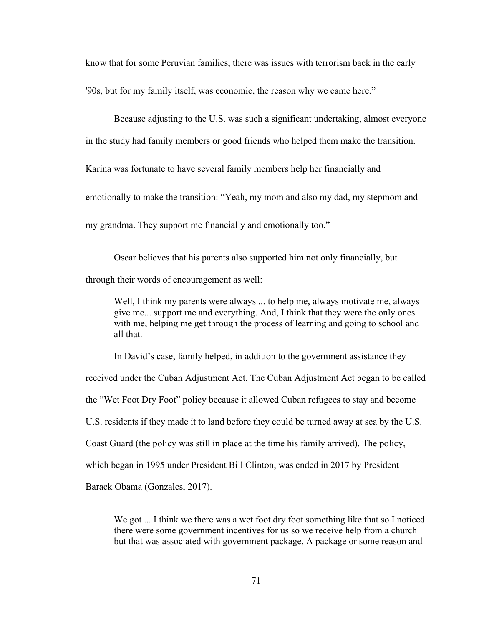know that for some Peruvian families, there was issues with terrorism back in the early

'90s, but for my family itself, was economic, the reason why we came here."

Because adjusting to the U.S. was such a significant undertaking, almost everyone

in the study had family members or good friends who helped them make the transition.

Karina was fortunate to have several family members help her financially and

emotionally to make the transition: "Yeah, my mom and also my dad, my stepmom and

my grandma. They support me financially and emotionally too."

Oscar believes that his parents also supported him not only financially, but through their words of encouragement as well:

Well, I think my parents were always ... to help me, always motivate me, always give me... support me and everything. And, I think that they were the only ones with me, helping me get through the process of learning and going to school and all that.

In David's case, family helped, in addition to the government assistance they received under the Cuban Adjustment Act. The Cuban Adjustment Act began to be called

the "Wet Foot Dry Foot" policy because it allowed Cuban refugees to stay and become

U.S. residents if they made it to land before they could be turned away at sea by the U.S.

Coast Guard (the policy was still in place at the time his family arrived). The policy,

which began in 1995 under President Bill Clinton, was ended in 2017 by President

Barack Obama (Gonzales, 2017).

We got ... I think we there was a wet foot dry foot something like that so I noticed there were some government incentives for us so we receive help from a church but that was associated with government package, A package or some reason and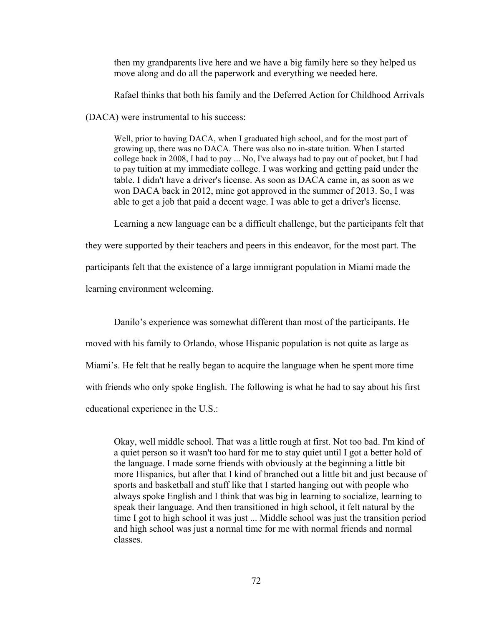then my grandparents live here and we have a big family here so they helped us move along and do all the paperwork and everything we needed here.

Rafael thinks that both his family and the Deferred Action for Childhood Arrivals

(DACA) were instrumental to his success:

Well, prior to having DACA, when I graduated high school, and for the most part of growing up, there was no DACA. There was also no in-state tuition. When I started college back in 2008, I had to pay ... No, I've always had to pay out of pocket, but I had to pay tuition at my immediate college. I was working and getting paid under the table. I didn't have a driver's license. As soon as DACA came in, as soon as we won DACA back in 2012, mine got approved in the summer of 2013. So, I was able to get a job that paid a decent wage. I was able to get a driver's license.

Learning a new language can be a difficult challenge, but the participants felt that

they were supported by their teachers and peers in this endeavor, for the most part. The participants felt that the existence of a large immigrant population in Miami made the learning environment welcoming.

Danilo's experience was somewhat different than most of the participants. He moved with his family to Orlando, whose Hispanic population is not quite as large as Miami's. He felt that he really began to acquire the language when he spent more time with friends who only spoke English. The following is what he had to say about his first educational experience in the U.S.:

Okay, well middle school. That was a little rough at first. Not too bad. I'm kind of a quiet person so it wasn't too hard for me to stay quiet until I got a better hold of the language. I made some friends with obviously at the beginning a little bit more Hispanics, but after that I kind of branched out a little bit and just because of sports and basketball and stuff like that I started hanging out with people who always spoke English and I think that was big in learning to socialize, learning to speak their language. And then transitioned in high school, it felt natural by the time I got to high school it was just ... Middle school was just the transition period and high school was just a normal time for me with normal friends and normal classes.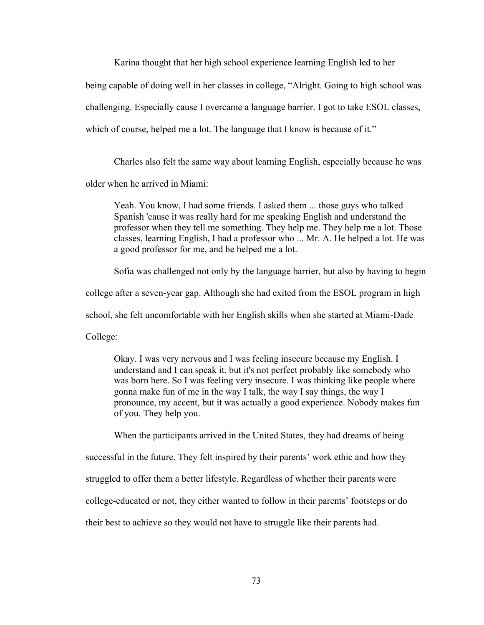Karina thought that her high school experience learning English led to her being capable of doing well in her classes in college, "Alright. Going to high school was challenging. Especially cause I overcame a language barrier. I got to take ESOL classes, which of course, helped me a lot. The language that I know is because of it."

Charles also felt the same way about learning English, especially because he was

older when he arrived in Miami:

Yeah. You know, I had some friends. I asked them ... those guys who talked Spanish 'cause it was really hard for me speaking English and understand the professor when they tell me something. They help me. They help me a lot. Those classes, learning English, I had a professor who ... Mr. A. He helped a lot. He was a good professor for me, and he helped me a lot.

Sofia was challenged not only by the language barrier, but also by having to begin

college after a seven-year gap. Although she had exited from the ESOL program in high

school, she felt uncomfortable with her English skills when she started at Miami-Dade

College:

Okay. I was very nervous and I was feeling insecure because my English. I understand and I can speak it, but it's not perfect probably like somebody who was born here. So I was feeling very insecure. I was thinking like people where gonna make fun of me in the way I talk, the way I say things, the way I pronounce, my accent, but it was actually a good experience. Nobody makes fun of you. They help you.

When the participants arrived in the United States, they had dreams of being successful in the future. They felt inspired by their parents' work ethic and how they struggled to offer them a better lifestyle. Regardless of whether their parents were college-educated or not, they either wanted to follow in their parents' footsteps or do their best to achieve so they would not have to struggle like their parents had.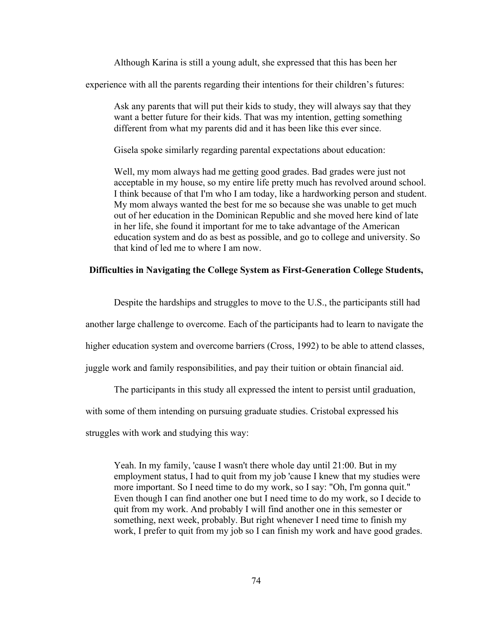Although Karina is still a young adult, she expressed that this has been her

experience with all the parents regarding their intentions for their children's futures:

Ask any parents that will put their kids to study, they will always say that they want a better future for their kids. That was my intention, getting something different from what my parents did and it has been like this ever since.

Gisela spoke similarly regarding parental expectations about education:

Well, my mom always had me getting good grades. Bad grades were just not acceptable in my house, so my entire life pretty much has revolved around school. I think because of that I'm who I am today, like a hardworking person and student. My mom always wanted the best for me so because she was unable to get much out of her education in the Dominican Republic and she moved here kind of late in her life, she found it important for me to take advantage of the American education system and do as best as possible, and go to college and university. So that kind of led me to where I am now.

## **Difficulties in Navigating the College System as First-Generation College Students,**

Despite the hardships and struggles to move to the U.S., the participants still had another large challenge to overcome. Each of the participants had to learn to navigate the higher education system and overcome barriers (Cross, 1992) to be able to attend classes, juggle work and family responsibilities, and pay their tuition or obtain financial aid.

The participants in this study all expressed the intent to persist until graduation,

with some of them intending on pursuing graduate studies. Cristobal expressed his

struggles with work and studying this way:

Yeah. In my family, 'cause I wasn't there whole day until 21:00. But in my employment status, I had to quit from my job 'cause I knew that my studies were more important. So I need time to do my work, so I say: "Oh, I'm gonna quit." Even though I can find another one but I need time to do my work, so I decide to quit from my work. And probably I will find another one in this semester or something, next week, probably. But right whenever I need time to finish my work, I prefer to quit from my job so I can finish my work and have good grades.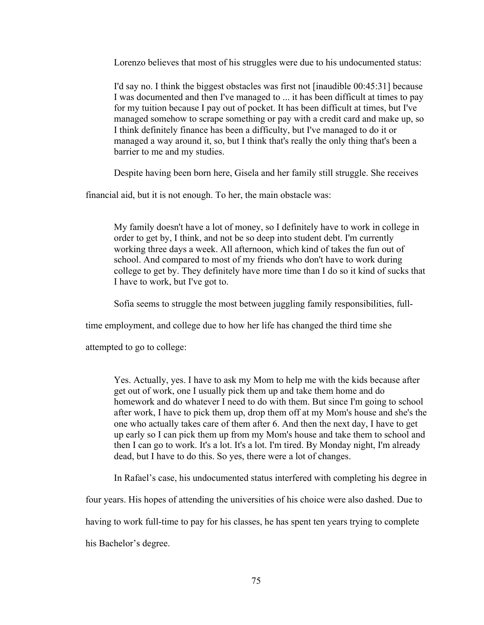Lorenzo believes that most of his struggles were due to his undocumented status:

I'd say no. I think the biggest obstacles was first not [inaudible 00:45:31] because I was documented and then I've managed to ... it has been difficult at times to pay for my tuition because I pay out of pocket. It has been difficult at times, but I've managed somehow to scrape something or pay with a credit card and make up, so I think definitely finance has been a difficulty, but I've managed to do it or managed a way around it, so, but I think that's really the only thing that's been a barrier to me and my studies.

Despite having been born here, Gisela and her family still struggle. She receives

financial aid, but it is not enough. To her, the main obstacle was:

My family doesn't have a lot of money, so I definitely have to work in college in order to get by, I think, and not be so deep into student debt. I'm currently working three days a week. All afternoon, which kind of takes the fun out of school. And compared to most of my friends who don't have to work during college to get by. They definitely have more time than I do so it kind of sucks that I have to work, but I've got to.

Sofia seems to struggle the most between juggling family responsibilities, full-

time employment, and college due to how her life has changed the third time she

attempted to go to college:

Yes. Actually, yes. I have to ask my Mom to help me with the kids because after get out of work, one I usually pick them up and take them home and do homework and do whatever I need to do with them. But since I'm going to school after work, I have to pick them up, drop them off at my Mom's house and she's the one who actually takes care of them after 6. And then the next day, I have to get up early so I can pick them up from my Mom's house and take them to school and then I can go to work. It's a lot. It's a lot. I'm tired. By Monday night, I'm already dead, but I have to do this. So yes, there were a lot of changes.

In Rafael's case, his undocumented status interfered with completing his degree in

four years. His hopes of attending the universities of his choice were also dashed. Due to

having to work full-time to pay for his classes, he has spent ten years trying to complete

his Bachelor's degree.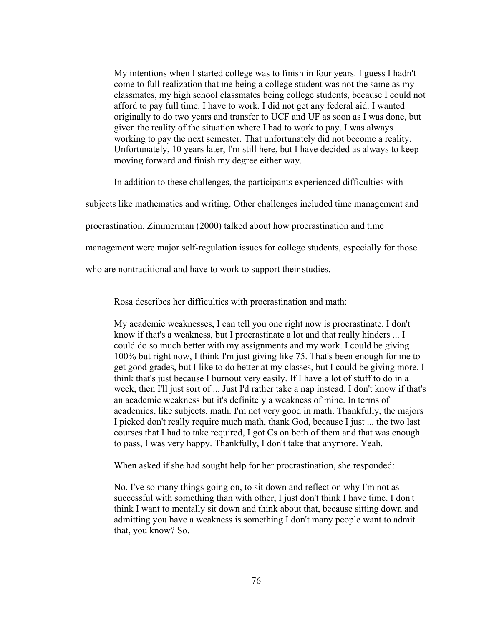My intentions when I started college was to finish in four years. I guess I hadn't come to full realization that me being a college student was not the same as my classmates, my high school classmates being college students, because I could not afford to pay full time. I have to work. I did not get any federal aid. I wanted originally to do two years and transfer to UCF and UF as soon as I was done, but given the reality of the situation where I had to work to pay. I was always working to pay the next semester. That unfortunately did not become a reality. Unfortunately, 10 years later, I'm still here, but I have decided as always to keep moving forward and finish my degree either way.

In addition to these challenges, the participants experienced difficulties with

subjects like mathematics and writing. Other challenges included time management and

procrastination. Zimmerman (2000) talked about how procrastination and time

management were major self-regulation issues for college students, especially for those

who are nontraditional and have to work to support their studies.

Rosa describes her difficulties with procrastination and math:

My academic weaknesses, I can tell you one right now is procrastinate. I don't know if that's a weakness, but I procrastinate a lot and that really hinders ... I could do so much better with my assignments and my work. I could be giving 100% but right now, I think I'm just giving like 75. That's been enough for me to get good grades, but I like to do better at my classes, but I could be giving more. I think that's just because I burnout very easily. If I have a lot of stuff to do in a week, then I'll just sort of ... Just I'd rather take a nap instead. I don't know if that's an academic weakness but it's definitely a weakness of mine. In terms of academics, like subjects, math. I'm not very good in math. Thankfully, the majors I picked don't really require much math, thank God, because I just ... the two last courses that I had to take required, I got Cs on both of them and that was enough to pass, I was very happy. Thankfully, I don't take that anymore. Yeah.

When asked if she had sought help for her procrastination, she responded:

No. I've so many things going on, to sit down and reflect on why I'm not as successful with something than with other, I just don't think I have time. I don't think I want to mentally sit down and think about that, because sitting down and admitting you have a weakness is something I don't many people want to admit that, you know? So.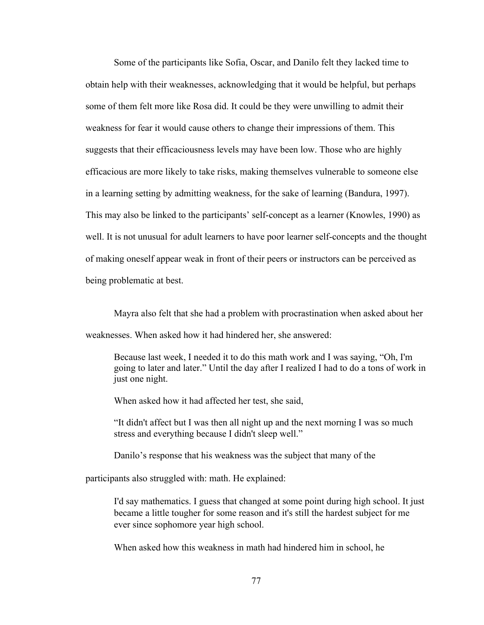Some of the participants like Sofia, Oscar, and Danilo felt they lacked time to obtain help with their weaknesses, acknowledging that it would be helpful, but perhaps some of them felt more like Rosa did. It could be they were unwilling to admit their weakness for fear it would cause others to change their impressions of them. This suggests that their efficaciousness levels may have been low. Those who are highly efficacious are more likely to take risks, making themselves vulnerable to someone else in a learning setting by admitting weakness, for the sake of learning (Bandura, 1997). This may also be linked to the participants' self-concept as a learner (Knowles, 1990) as well. It is not unusual for adult learners to have poor learner self-concepts and the thought of making oneself appear weak in front of their peers or instructors can be perceived as being problematic at best.

Mayra also felt that she had a problem with procrastination when asked about her weaknesses. When asked how it had hindered her, she answered:

Because last week, I needed it to do this math work and I was saying, "Oh, I'm going to later and later." Until the day after I realized I had to do a tons of work in just one night.

When asked how it had affected her test, she said,

"It didn't affect but I was then all night up and the next morning I was so much stress and everything because I didn't sleep well."

Danilo's response that his weakness was the subject that many of the

participants also struggled with: math. He explained:

I'd say mathematics. I guess that changed at some point during high school. It just became a little tougher for some reason and it's still the hardest subject for me ever since sophomore year high school.

When asked how this weakness in math had hindered him in school, he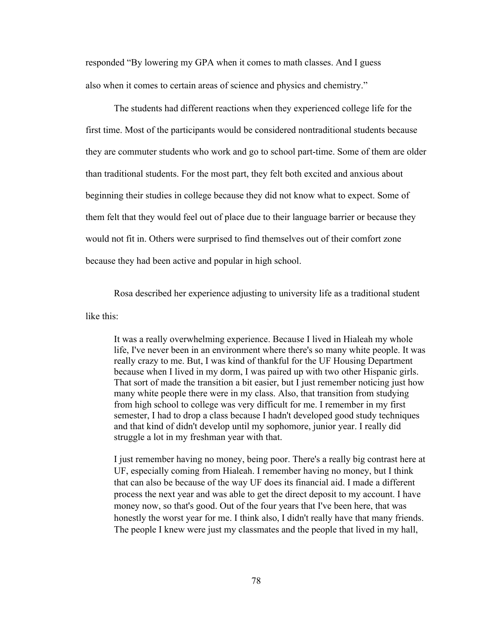responded "By lowering my GPA when it comes to math classes. And I guess also when it comes to certain areas of science and physics and chemistry."

The students had different reactions when they experienced college life for the first time. Most of the participants would be considered nontraditional students because they are commuter students who work and go to school part-time. Some of them are older than traditional students. For the most part, they felt both excited and anxious about beginning their studies in college because they did not know what to expect. Some of them felt that they would feel out of place due to their language barrier or because they would not fit in. Others were surprised to find themselves out of their comfort zone because they had been active and popular in high school.

Rosa described her experience adjusting to university life as a traditional student

like this:

It was a really overwhelming experience. Because I lived in Hialeah my whole life, I've never been in an environment where there's so many white people. It was really crazy to me. But, I was kind of thankful for the UF Housing Department because when I lived in my dorm, I was paired up with two other Hispanic girls. That sort of made the transition a bit easier, but I just remember noticing just how many white people there were in my class. Also, that transition from studying from high school to college was very difficult for me. I remember in my first semester, I had to drop a class because I hadn't developed good study techniques and that kind of didn't develop until my sophomore, junior year. I really did struggle a lot in my freshman year with that.

I just remember having no money, being poor. There's a really big contrast here at UF, especially coming from Hialeah. I remember having no money, but I think that can also be because of the way UF does its financial aid. I made a different process the next year and was able to get the direct deposit to my account. I have money now, so that's good. Out of the four years that I've been here, that was honestly the worst year for me. I think also, I didn't really have that many friends. The people I knew were just my classmates and the people that lived in my hall,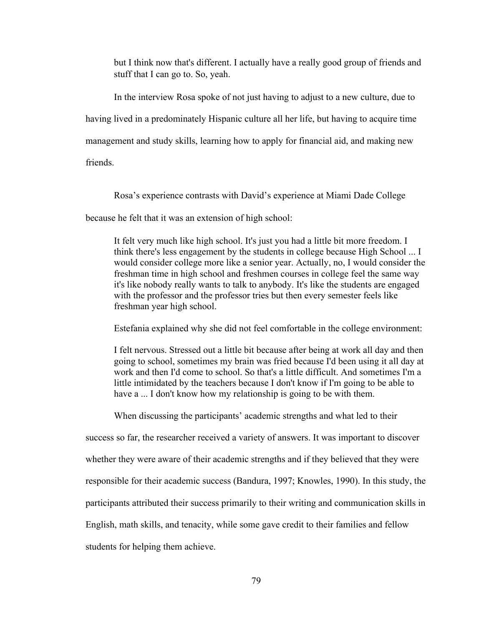but I think now that's different. I actually have a really good group of friends and stuff that I can go to. So, yeah.

In the interview Rosa spoke of not just having to adjust to a new culture, due to having lived in a predominately Hispanic culture all her life, but having to acquire time management and study skills, learning how to apply for financial aid, and making new

friends.

Rosa's experience contrasts with David's experience at Miami Dade College

because he felt that it was an extension of high school:

It felt very much like high school. It's just you had a little bit more freedom. I think there's less engagement by the students in college because High School ... I would consider college more like a senior year. Actually, no, I would consider the freshman time in high school and freshmen courses in college feel the same way it's like nobody really wants to talk to anybody. It's like the students are engaged with the professor and the professor tries but then every semester feels like freshman year high school.

Estefania explained why she did not feel comfortable in the college environment:

I felt nervous. Stressed out a little bit because after being at work all day and then going to school, sometimes my brain was fried because I'd been using it all day at work and then I'd come to school. So that's a little difficult. And sometimes I'm a little intimidated by the teachers because I don't know if I'm going to be able to have a ... I don't know how my relationship is going to be with them.

When discussing the participants' academic strengths and what led to their

success so far, the researcher received a variety of answers. It was important to discover whether they were aware of their academic strengths and if they believed that they were responsible for their academic success (Bandura, 1997; Knowles, 1990). In this study, the participants attributed their success primarily to their writing and communication skills in English, math skills, and tenacity, while some gave credit to their families and fellow students for helping them achieve.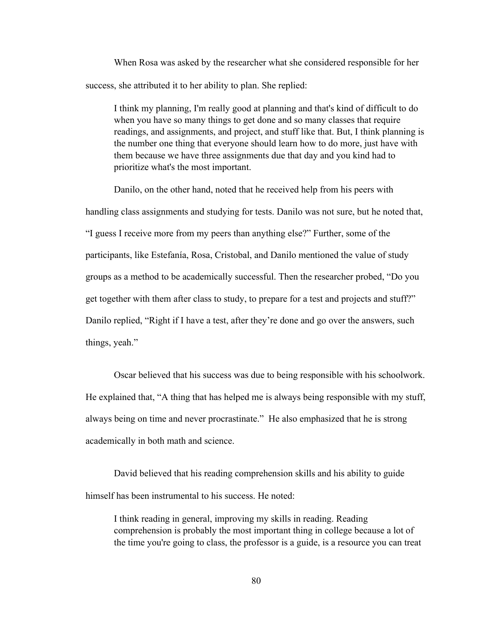When Rosa was asked by the researcher what she considered responsible for her success, she attributed it to her ability to plan. She replied:

I think my planning, I'm really good at planning and that's kind of difficult to do when you have so many things to get done and so many classes that require readings, and assignments, and project, and stuff like that. But, I think planning is the number one thing that everyone should learn how to do more, just have with them because we have three assignments due that day and you kind had to prioritize what's the most important.

Danilo, on the other hand, noted that he received help from his peers with handling class assignments and studying for tests. Danilo was not sure, but he noted that, "I guess I receive more from my peers than anything else?" Further, some of the participants, like Estefanía, Rosa, Cristobal, and Danilo mentioned the value of study groups as a method to be academically successful. Then the researcher probed, "Do you get together with them after class to study, to prepare for a test and projects and stuff?" Danilo replied, "Right if I have a test, after they're done and go over the answers, such things, yeah."

Oscar believed that his success was due to being responsible with his schoolwork. He explained that, "A thing that has helped me is always being responsible with my stuff, always being on time and never procrastinate." He also emphasized that he is strong academically in both math and science.

David believed that his reading comprehension skills and his ability to guide himself has been instrumental to his success. He noted:

I think reading in general, improving my skills in reading. Reading comprehension is probably the most important thing in college because a lot of the time you're going to class, the professor is a guide, is a resource you can treat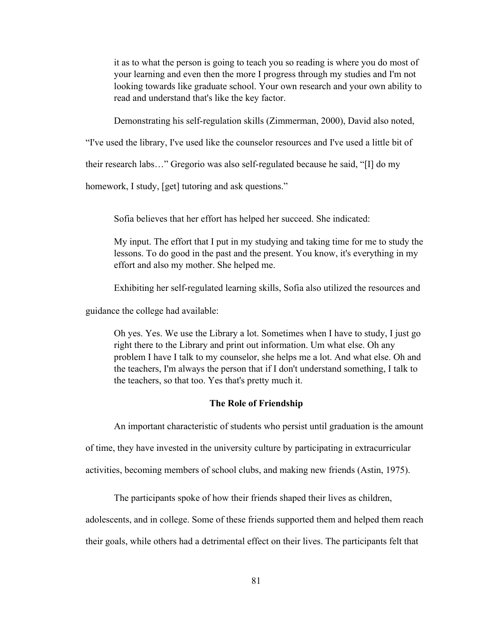it as to what the person is going to teach you so reading is where you do most of your learning and even then the more I progress through my studies and I'm not looking towards like graduate school. Your own research and your own ability to read and understand that's like the key factor.

Demonstrating his self-regulation skills (Zimmerman, 2000), David also noted,

"I've used the library, I've used like the counselor resources and I've used a little bit of

their research labs…" Gregorio was also self-regulated because he said, "[I] do my

homework, I study, [get] tutoring and ask questions."

Sofia believes that her effort has helped her succeed. She indicated:

My input. The effort that I put in my studying and taking time for me to study the lessons. To do good in the past and the present. You know, it's everything in my effort and also my mother. She helped me.

Exhibiting her self-regulated learning skills, Sofia also utilized the resources and

guidance the college had available:

Oh yes. Yes. We use the Library a lot. Sometimes when I have to study, I just go right there to the Library and print out information. Um what else. Oh any problem I have I talk to my counselor, she helps me a lot. And what else. Oh and the teachers, I'm always the person that if I don't understand something, I talk to the teachers, so that too. Yes that's pretty much it.

# **The Role of Friendship**

An important characteristic of students who persist until graduation is the amount of time, they have invested in the university culture by participating in extracurricular activities, becoming members of school clubs, and making new friends (Astin, 1975).

The participants spoke of how their friends shaped their lives as children,

adolescents, and in college. Some of these friends supported them and helped them reach their goals, while others had a detrimental effect on their lives. The participants felt that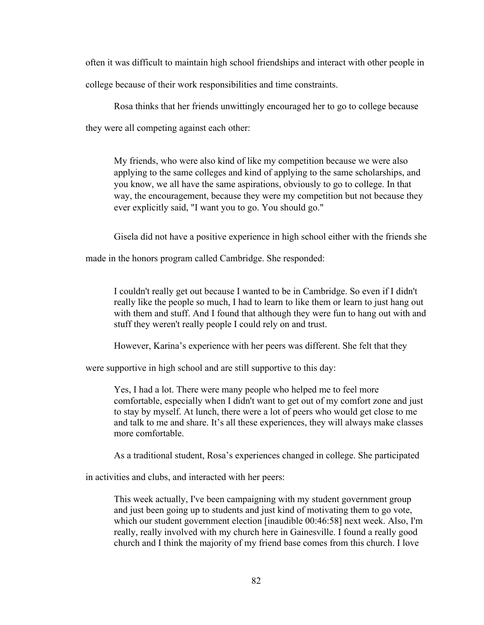often it was difficult to maintain high school friendships and interact with other people in college because of their work responsibilities and time constraints.

Rosa thinks that her friends unwittingly encouraged her to go to college because they were all competing against each other:

My friends, who were also kind of like my competition because we were also applying to the same colleges and kind of applying to the same scholarships, and you know, we all have the same aspirations, obviously to go to college. In that way, the encouragement, because they were my competition but not because they ever explicitly said, "I want you to go. You should go."

Gisela did not have a positive experience in high school either with the friends she

made in the honors program called Cambridge. She responded:

I couldn't really get out because I wanted to be in Cambridge. So even if I didn't really like the people so much, I had to learn to like them or learn to just hang out with them and stuff. And I found that although they were fun to hang out with and stuff they weren't really people I could rely on and trust.

However, Karina's experience with her peers was different. She felt that they

were supportive in high school and are still supportive to this day:

Yes, I had a lot. There were many people who helped me to feel more comfortable, especially when I didn't want to get out of my comfort zone and just to stay by myself. At lunch, there were a lot of peers who would get close to me and talk to me and share. It's all these experiences, they will always make classes more comfortable.

As a traditional student, Rosa's experiences changed in college. She participated

in activities and clubs, and interacted with her peers:

This week actually, I've been campaigning with my student government group and just been going up to students and just kind of motivating them to go vote, which our student government election [inaudible 00:46:58] next week. Also, I'm really, really involved with my church here in Gainesville. I found a really good church and I think the majority of my friend base comes from this church. I love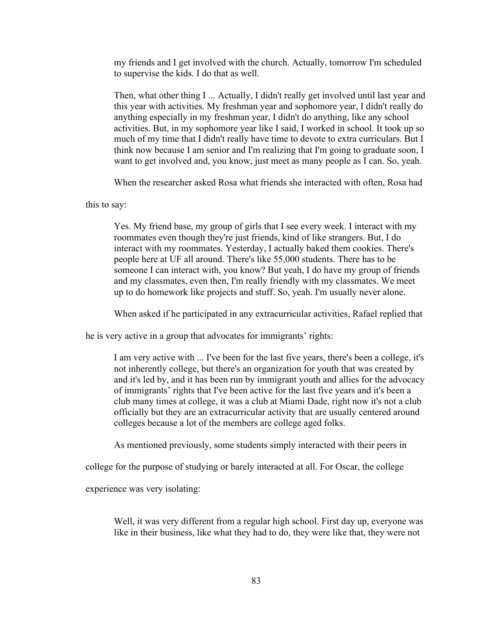my friends and I get involved with the church. Actually, tomorrow I'm scheduled to supervise the kids. I do that as well.

Then, what other thing I ... Actually, I didn't really get involved until last year and this year with activities. My freshman year and sophomore year, I didn't really do anything especially in my freshman year, I didn't do anything, like any school activities. But, in my sophomore year like I said, I worked in school. It took up so much of my time that I didn't really have time to devote to extra curriculars. But I think now because I am senior and I'm realizing that I'm going to graduate soon, I want to get involved and, you know, just meet as many people as I can. So, yeah.

When the researcher asked Rosa what friends she interacted with often, Rosa had

this to say:

Yes. My friend base, my group of girls that I see every week. I interact with my roommates even though they're just friends, kind of like strangers. But, I do interact with my roommates. Yesterday, I actually baked them cookies. There's people here at UF all around. There's like 55,000 students. There has to be someone I can interact with, you know? But yeah, I do have my group of friends and my classmates, even then, I'm really friendly with my classmates. We meet up to do homework like projects and stuff. So, yeah. I'm usually never alone.

When asked if he participated in any extracurricular activities, Rafael replied that

he is very active in a group that advocates for immigrants' rights:

I am very active with ... I've been for the last five years, there's been a college, it's not inherently college, but there's an organization for youth that was created by and it's led by, and it has been run by immigrant youth and allies for the advocacy of immigrants' rights that I've been active for the last five years and it's been a club many times at college, it was a club at Miami Dade, right now it's not a club officially but they are an extracurricular activity that are usually centered around colleges because a lot of the members are college aged folks.

As mentioned previously, some students simply interacted with their peers in

college for the purpose of studying or barely interacted at all. For Oscar, the college

experience was very isolating:

Well, it was very different from a regular high school. First day up, everyone was like in their business, like what they had to do, they were like that, they were not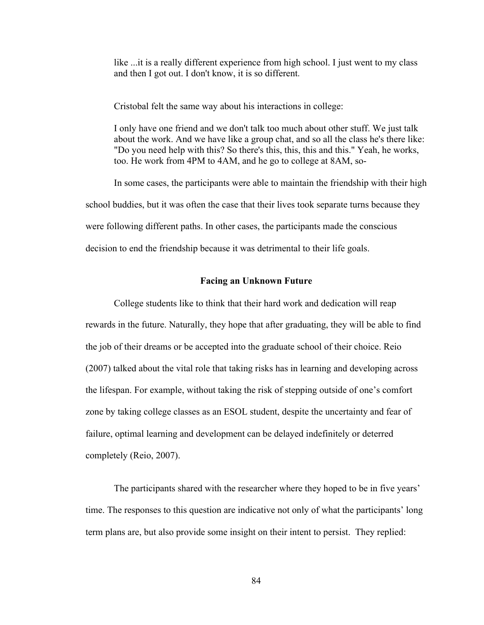like ...it is a really different experience from high school. I just went to my class and then I got out. I don't know, it is so different.

Cristobal felt the same way about his interactions in college:

I only have one friend and we don't talk too much about other stuff. We just talk about the work. And we have like a group chat, and so all the class he's there like: "Do you need help with this? So there's this, this, this and this." Yeah, he works, too. He work from 4PM to 4AM, and he go to college at 8AM, so-

In some cases, the participants were able to maintain the friendship with their high school buddies, but it was often the case that their lives took separate turns because they were following different paths. In other cases, the participants made the conscious decision to end the friendship because it was detrimental to their life goals.

#### **Facing an Unknown Future**

College students like to think that their hard work and dedication will reap rewards in the future. Naturally, they hope that after graduating, they will be able to find the job of their dreams or be accepted into the graduate school of their choice. Reio (2007) talked about the vital role that taking risks has in learning and developing across the lifespan. For example, without taking the risk of stepping outside of one's comfort zone by taking college classes as an ESOL student, despite the uncertainty and fear of failure, optimal learning and development can be delayed indefinitely or deterred completely (Reio, 2007).

The participants shared with the researcher where they hoped to be in five years' time. The responses to this question are indicative not only of what the participants' long term plans are, but also provide some insight on their intent to persist. They replied: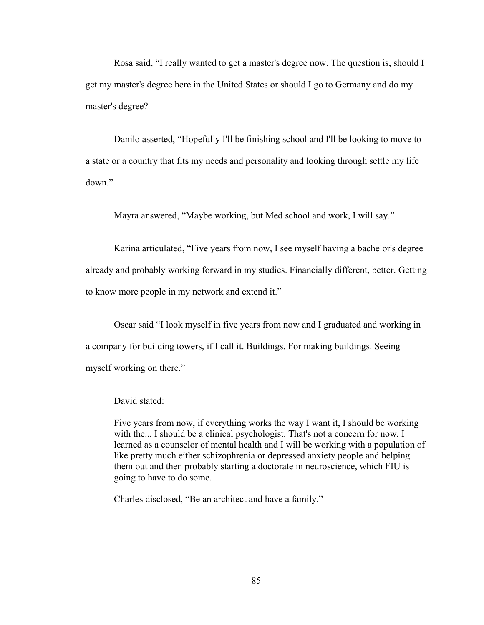Rosa said, "I really wanted to get a master's degree now. The question is, should I get my master's degree here in the United States or should I go to Germany and do my master's degree?

Danilo asserted, "Hopefully I'll be finishing school and I'll be looking to move to a state or a country that fits my needs and personality and looking through settle my life down."

Mayra answered, "Maybe working, but Med school and work, I will say."

Karina articulated, "Five years from now, I see myself having a bachelor's degree already and probably working forward in my studies. Financially different, better. Getting to know more people in my network and extend it."

Oscar said "I look myself in five years from now and I graduated and working in a company for building towers, if I call it. Buildings. For making buildings. Seeing myself working on there."

# David stated:

Five years from now, if everything works the way I want it, I should be working with the... I should be a clinical psychologist. That's not a concern for now, I learned as a counselor of mental health and I will be working with a population of like pretty much either schizophrenia or depressed anxiety people and helping them out and then probably starting a doctorate in neuroscience, which FIU is going to have to do some.

Charles disclosed, "Be an architect and have a family."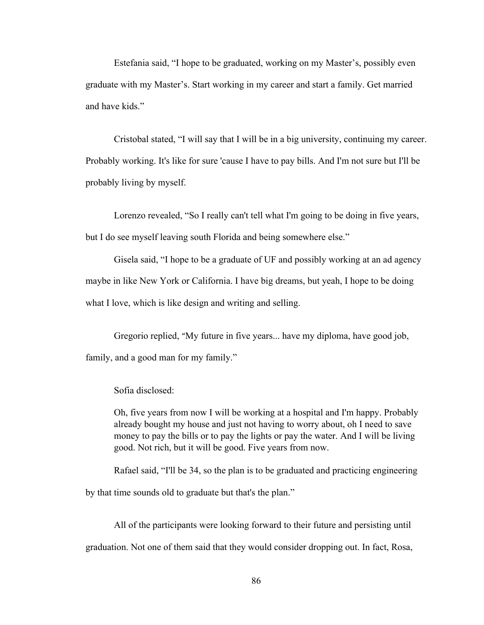Estefania said, "I hope to be graduated, working on my Master's, possibly even graduate with my Master's. Start working in my career and start a family. Get married and have kids."

Cristobal stated, "I will say that I will be in a big university, continuing my career. Probably working. It's like for sure 'cause I have to pay bills. And I'm not sure but I'll be probably living by myself.

Lorenzo revealed, "So I really can't tell what I'm going to be doing in five years, but I do see myself leaving south Florida and being somewhere else."

Gisela said, "I hope to be a graduate of UF and possibly working at an ad agency maybe in like New York or California. I have big dreams, but yeah, I hope to be doing what I love, which is like design and writing and selling.

Gregorio replied, "My future in five years... have my diploma, have good job, family, and a good man for my family."

Sofia disclosed:

Oh, five years from now I will be working at a hospital and I'm happy. Probably already bought my house and just not having to worry about, oh I need to save money to pay the bills or to pay the lights or pay the water. And I will be living good. Not rich, but it will be good. Five years from now.

Rafael said, "I'll be 34, so the plan is to be graduated and practicing engineering by that time sounds old to graduate but that's the plan."

All of the participants were looking forward to their future and persisting until graduation. Not one of them said that they would consider dropping out. In fact, Rosa,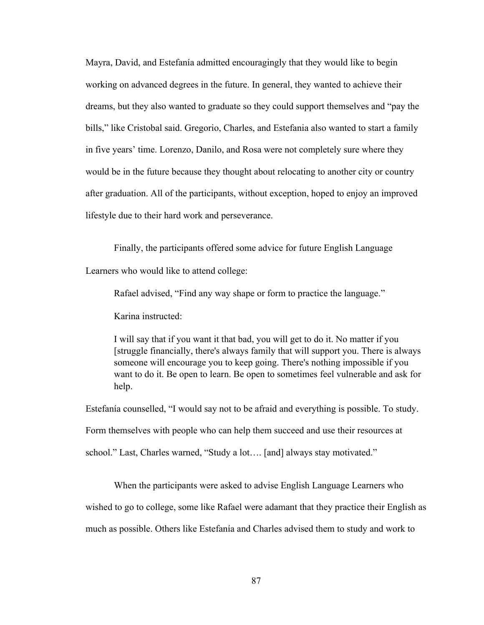Mayra, David, and Estefanía admitted encouragingly that they would like to begin working on advanced degrees in the future. In general, they wanted to achieve their dreams, but they also wanted to graduate so they could support themselves and "pay the bills," like Cristobal said. Gregorio, Charles, and Estefania also wanted to start a family in five years' time. Lorenzo, Danilo, and Rosa were not completely sure where they would be in the future because they thought about relocating to another city or country after graduation. All of the participants, without exception, hoped to enjoy an improved lifestyle due to their hard work and perseverance.

Finally, the participants offered some advice for future English Language

Learners who would like to attend college:

Rafael advised, "Find any way shape or form to practice the language."

Karina instructed:

I will say that if you want it that bad, you will get to do it. No matter if you [struggle financially, there's always family that will support you. There is always someone will encourage you to keep going. There's nothing impossible if you want to do it. Be open to learn. Be open to sometimes feel vulnerable and ask for help.

Estefanía counselled, "I would say not to be afraid and everything is possible. To study. Form themselves with people who can help them succeed and use their resources at

school." Last, Charles warned, "Study a lot…. [and] always stay motivated."

When the participants were asked to advise English Language Learners who wished to go to college, some like Rafael were adamant that they practice their English as much as possible. Others like Estefanía and Charles advised them to study and work to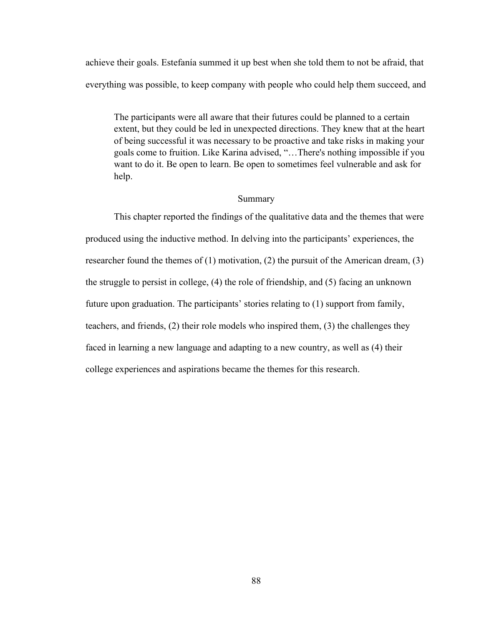achieve their goals. Estefanía summed it up best when she told them to not be afraid, that everything was possible, to keep company with people who could help them succeed, and

The participants were all aware that their futures could be planned to a certain extent, but they could be led in unexpected directions. They knew that at the heart of being successful it was necessary to be proactive and take risks in making your goals come to fruition. Like Karina advised, "…There's nothing impossible if you want to do it. Be open to learn. Be open to sometimes feel vulnerable and ask for help.

# Summary

This chapter reported the findings of the qualitative data and the themes that were produced using the inductive method. In delving into the participants' experiences, the researcher found the themes of (1) motivation, (2) the pursuit of the American dream, (3) the struggle to persist in college, (4) the role of friendship, and (5) facing an unknown future upon graduation. The participants' stories relating to (1) support from family, teachers, and friends, (2) their role models who inspired them, (3) the challenges they faced in learning a new language and adapting to a new country, as well as (4) their college experiences and aspirations became the themes for this research.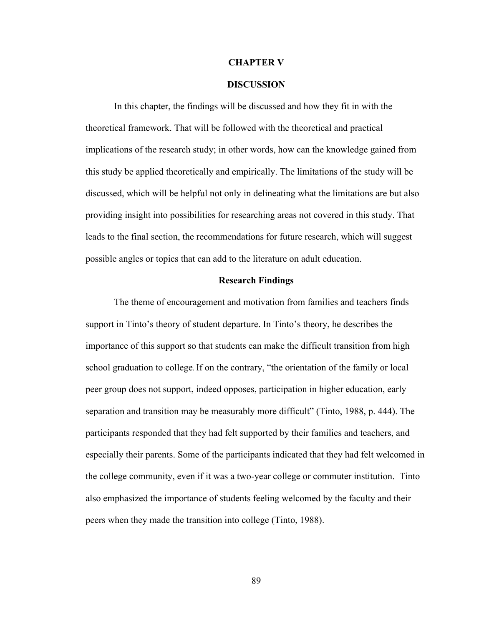### **CHAPTER V**

## **DISCUSSION**

In this chapter, the findings will be discussed and how they fit in with the theoretical framework. That will be followed with the theoretical and practical implications of the research study; in other words, how can the knowledge gained from this study be applied theoretically and empirically. The limitations of the study will be discussed, which will be helpful not only in delineating what the limitations are but also providing insight into possibilities for researching areas not covered in this study. That leads to the final section, the recommendations for future research, which will suggest possible angles or topics that can add to the literature on adult education.

#### **Research Findings**

The theme of encouragement and motivation from families and teachers finds support in Tinto's theory of student departure. In Tinto's theory, he describes the importance of this support so that students can make the difficult transition from high school graduation to college. If on the contrary, "the orientation of the family or local peer group does not support, indeed opposes, participation in higher education, early separation and transition may be measurably more difficult" (Tinto, 1988, p. 444). The participants responded that they had felt supported by their families and teachers, and especially their parents. Some of the participants indicated that they had felt welcomed in the college community, even if it was a two-year college or commuter institution. Tinto also emphasized the importance of students feeling welcomed by the faculty and their peers when they made the transition into college (Tinto, 1988).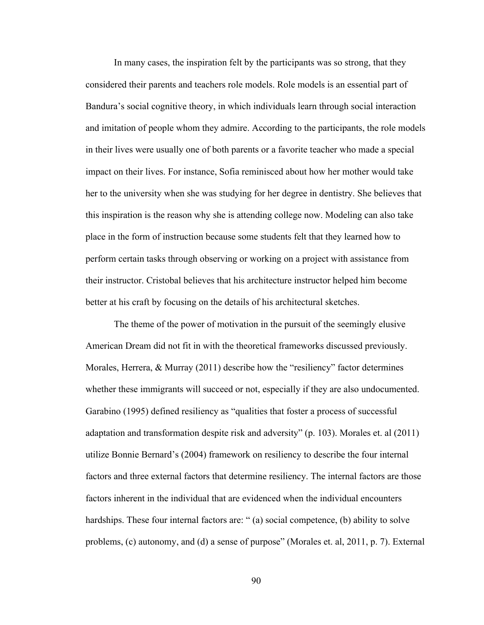In many cases, the inspiration felt by the participants was so strong, that they considered their parents and teachers role models. Role models is an essential part of Bandura's social cognitive theory, in which individuals learn through social interaction and imitation of people whom they admire. According to the participants, the role models in their lives were usually one of both parents or a favorite teacher who made a special impact on their lives. For instance, Sofia reminisced about how her mother would take her to the university when she was studying for her degree in dentistry. She believes that this inspiration is the reason why she is attending college now. Modeling can also take place in the form of instruction because some students felt that they learned how to perform certain tasks through observing or working on a project with assistance from their instructor. Cristobal believes that his architecture instructor helped him become better at his craft by focusing on the details of his architectural sketches.

The theme of the power of motivation in the pursuit of the seemingly elusive American Dream did not fit in with the theoretical frameworks discussed previously. Morales, Herrera,  $\&$  Murray (2011) describe how the "resiliency" factor determines whether these immigrants will succeed or not, especially if they are also undocumented. Garabino (1995) defined resiliency as "qualities that foster a process of successful adaptation and transformation despite risk and adversity" (p. 103). Morales et. al (2011) utilize Bonnie Bernard's (2004) framework on resiliency to describe the four internal factors and three external factors that determine resiliency. The internal factors are those factors inherent in the individual that are evidenced when the individual encounters hardships. These four internal factors are: "(a) social competence, (b) ability to solve problems, (c) autonomy, and (d) a sense of purpose" (Morales et. al, 2011, p. 7). External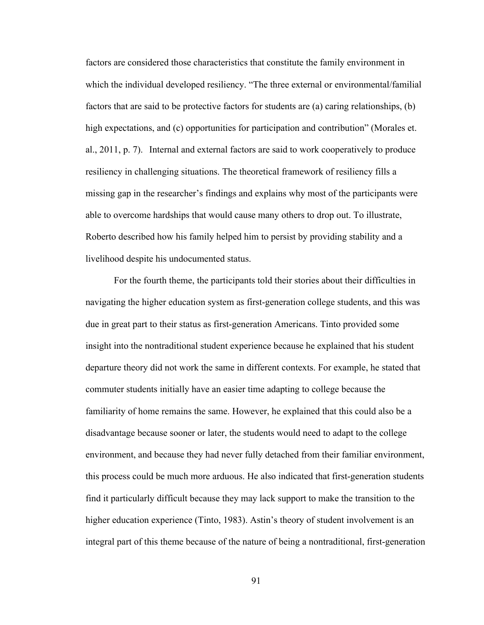factors are considered those characteristics that constitute the family environment in which the individual developed resiliency. "The three external or environmental/familial factors that are said to be protective factors for students are (a) caring relationships, (b) high expectations, and (c) opportunities for participation and contribution" (Morales et. al., 2011, p. 7). Internal and external factors are said to work cooperatively to produce resiliency in challenging situations. The theoretical framework of resiliency fills a missing gap in the researcher's findings and explains why most of the participants were able to overcome hardships that would cause many others to drop out. To illustrate, Roberto described how his family helped him to persist by providing stability and a livelihood despite his undocumented status.

For the fourth theme, the participants told their stories about their difficulties in navigating the higher education system as first-generation college students, and this was due in great part to their status as first-generation Americans. Tinto provided some insight into the nontraditional student experience because he explained that his student departure theory did not work the same in different contexts. For example, he stated that commuter students initially have an easier time adapting to college because the familiarity of home remains the same. However, he explained that this could also be a disadvantage because sooner or later, the students would need to adapt to the college environment, and because they had never fully detached from their familiar environment, this process could be much more arduous. He also indicated that first-generation students find it particularly difficult because they may lack support to make the transition to the higher education experience (Tinto, 1983). Astin's theory of student involvement is an integral part of this theme because of the nature of being a nontraditional, first-generation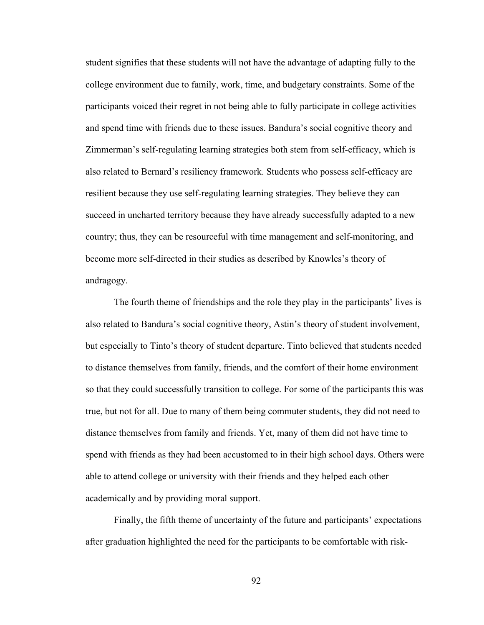student signifies that these students will not have the advantage of adapting fully to the college environment due to family, work, time, and budgetary constraints. Some of the participants voiced their regret in not being able to fully participate in college activities and spend time with friends due to these issues. Bandura's social cognitive theory and Zimmerman's self-regulating learning strategies both stem from self-efficacy, which is also related to Bernard's resiliency framework. Students who possess self-efficacy are resilient because they use self-regulating learning strategies. They believe they can succeed in uncharted territory because they have already successfully adapted to a new country; thus, they can be resourceful with time management and self-monitoring, and become more self-directed in their studies as described by Knowles's theory of andragogy.

The fourth theme of friendships and the role they play in the participants' lives is also related to Bandura's social cognitive theory, Astin's theory of student involvement, but especially to Tinto's theory of student departure. Tinto believed that students needed to distance themselves from family, friends, and the comfort of their home environment so that they could successfully transition to college. For some of the participants this was true, but not for all. Due to many of them being commuter students, they did not need to distance themselves from family and friends. Yet, many of them did not have time to spend with friends as they had been accustomed to in their high school days. Others were able to attend college or university with their friends and they helped each other academically and by providing moral support.

Finally, the fifth theme of uncertainty of the future and participants' expectations after graduation highlighted the need for the participants to be comfortable with risk-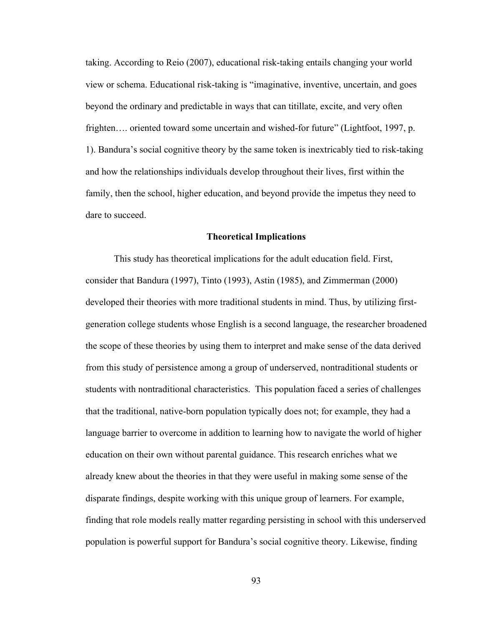taking. According to Reio (2007), educational risk-taking entails changing your world view or schema. Educational risk-taking is "imaginative, inventive, uncertain, and goes beyond the ordinary and predictable in ways that can titillate, excite, and very often frighten.... oriented toward some uncertain and wished-for future" (Lightfoot, 1997, p. 1). Bandura's social cognitive theory by the same token is inextricably tied to risk-taking and how the relationships individuals develop throughout their lives, first within the family, then the school, higher education, and beyond provide the impetus they need to dare to succeed.

#### **Theoretical Implications**

This study has theoretical implications for the adult education field. First, consider that Bandura (1997), Tinto (1993), Astin (1985), and Zimmerman (2000) developed their theories with more traditional students in mind. Thus, by utilizing firstgeneration college students whose English is a second language, the researcher broadened the scope of these theories by using them to interpret and make sense of the data derived from this study of persistence among a group of underserved, nontraditional students or students with nontraditional characteristics. This population faced a series of challenges that the traditional, native-born population typically does not; for example, they had a language barrier to overcome in addition to learning how to navigate the world of higher education on their own without parental guidance. This research enriches what we already knew about the theories in that they were useful in making some sense of the disparate findings, despite working with this unique group of learners. For example, finding that role models really matter regarding persisting in school with this underserved population is powerful support for Bandura's social cognitive theory. Likewise, finding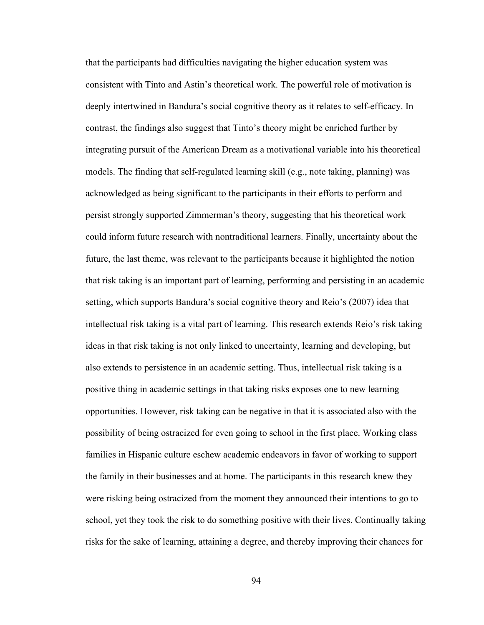that the participants had difficulties navigating the higher education system was consistent with Tinto and Astin's theoretical work. The powerful role of motivation is deeply intertwined in Bandura's social cognitive theory as it relates to self-efficacy. In contrast, the findings also suggest that Tinto's theory might be enriched further by integrating pursuit of the American Dream as a motivational variable into his theoretical models. The finding that self-regulated learning skill (e.g., note taking, planning) was acknowledged as being significant to the participants in their efforts to perform and persist strongly supported Zimmerman's theory, suggesting that his theoretical work could inform future research with nontraditional learners. Finally, uncertainty about the future, the last theme, was relevant to the participants because it highlighted the notion that risk taking is an important part of learning, performing and persisting in an academic setting, which supports Bandura's social cognitive theory and Reio's (2007) idea that intellectual risk taking is a vital part of learning. This research extends Reio's risk taking ideas in that risk taking is not only linked to uncertainty, learning and developing, but also extends to persistence in an academic setting. Thus, intellectual risk taking is a positive thing in academic settings in that taking risks exposes one to new learning opportunities. However, risk taking can be negative in that it is associated also with the possibility of being ostracized for even going to school in the first place. Working class families in Hispanic culture eschew academic endeavors in favor of working to support the family in their businesses and at home. The participants in this research knew they were risking being ostracized from the moment they announced their intentions to go to school, yet they took the risk to do something positive with their lives. Continually taking risks for the sake of learning, attaining a degree, and thereby improving their chances for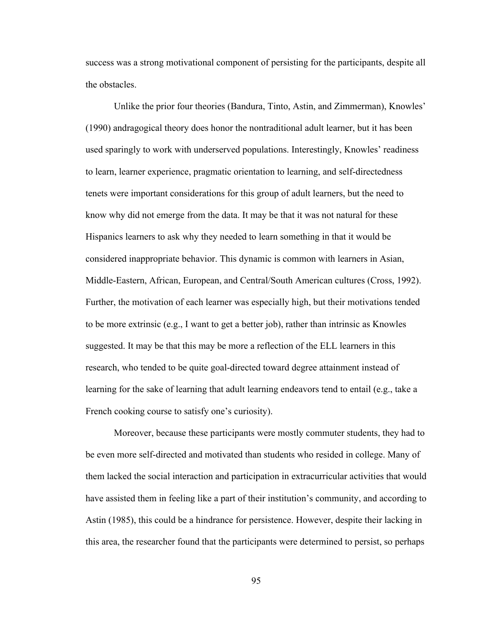success was a strong motivational component of persisting for the participants, despite all the obstacles.

Unlike the prior four theories (Bandura, Tinto, Astin, and Zimmerman), Knowles' (1990) andragogical theory does honor the nontraditional adult learner, but it has been used sparingly to work with underserved populations. Interestingly, Knowles' readiness to learn, learner experience, pragmatic orientation to learning, and self-directedness tenets were important considerations for this group of adult learners, but the need to know why did not emerge from the data. It may be that it was not natural for these Hispanics learners to ask why they needed to learn something in that it would be considered inappropriate behavior. This dynamic is common with learners in Asian, Middle-Eastern, African, European, and Central/South American cultures (Cross, 1992). Further, the motivation of each learner was especially high, but their motivations tended to be more extrinsic (e.g., I want to get a better job), rather than intrinsic as Knowles suggested. It may be that this may be more a reflection of the ELL learners in this research, who tended to be quite goal-directed toward degree attainment instead of learning for the sake of learning that adult learning endeavors tend to entail (e.g., take a French cooking course to satisfy one's curiosity).

Moreover, because these participants were mostly commuter students, they had to be even more self-directed and motivated than students who resided in college. Many of them lacked the social interaction and participation in extracurricular activities that would have assisted them in feeling like a part of their institution's community, and according to Astin (1985), this could be a hindrance for persistence. However, despite their lacking in this area, the researcher found that the participants were determined to persist, so perhaps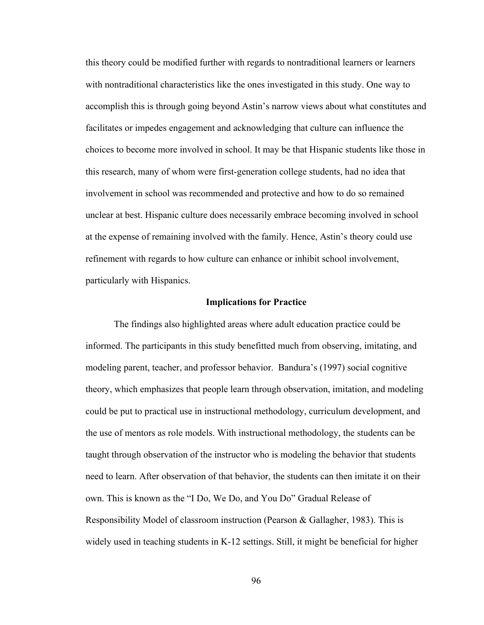this theory could be modified further with regards to nontraditional learners or learners with nontraditional characteristics like the ones investigated in this study. One way to accomplish this is through going beyond Astin's narrow views about what constitutes and facilitates or impedes engagement and acknowledging that culture can influence the choices to become more involved in school. It may be that Hispanic students like those in this research, many of whom were first-generation college students, had no idea that involvement in school was recommended and protective and how to do so remained unclear at best. Hispanic culture does necessarily embrace becoming involved in school at the expense of remaining involved with the family. Hence, Astin's theory could use refinement with regards to how culture can enhance or inhibit school involvement, particularly with Hispanics.

## **Implications for Practice**

The findings also highlighted areas where adult education practice could be informed. The participants in this study benefitted much from observing, imitating, and modeling parent, teacher, and professor behavior. Bandura's (1997) social cognitive theory, which emphasizes that people learn through observation, imitation, and modeling could be put to practical use in instructional methodology, curriculum development, and the use of mentors as role models. With instructional methodology, the students can be taught through observation of the instructor who is modeling the behavior that students need to learn. After observation of that behavior, the students can then imitate it on their own. This is known as the "I Do, We Do, and You Do" Gradual Release of Responsibility Model of classroom instruction (Pearson & Gallagher, 1983). This is widely used in teaching students in K-12 settings. Still, it might be beneficial for higher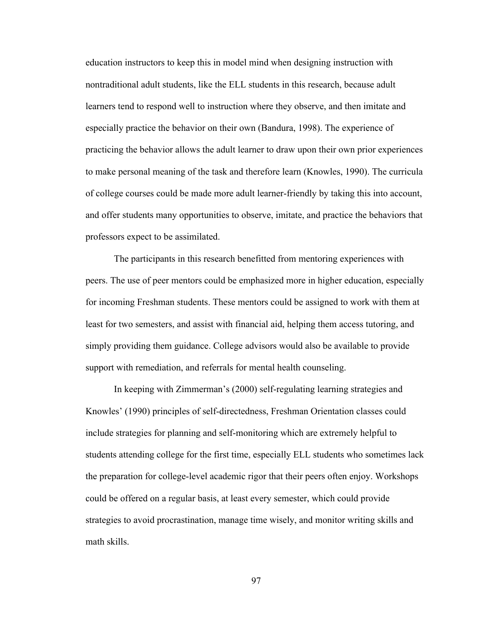education instructors to keep this in model mind when designing instruction with nontraditional adult students, like the ELL students in this research, because adult learners tend to respond well to instruction where they observe, and then imitate and especially practice the behavior on their own (Bandura, 1998). The experience of practicing the behavior allows the adult learner to draw upon their own prior experiences to make personal meaning of the task and therefore learn (Knowles, 1990). The curricula of college courses could be made more adult learner-friendly by taking this into account, and offer students many opportunities to observe, imitate, and practice the behaviors that professors expect to be assimilated.

The participants in this research benefitted from mentoring experiences with peers. The use of peer mentors could be emphasized more in higher education, especially for incoming Freshman students. These mentors could be assigned to work with them at least for two semesters, and assist with financial aid, helping them access tutoring, and simply providing them guidance. College advisors would also be available to provide support with remediation, and referrals for mental health counseling.

In keeping with Zimmerman's (2000) self-regulating learning strategies and Knowles' (1990) principles of self-directedness, Freshman Orientation classes could include strategies for planning and self-monitoring which are extremely helpful to students attending college for the first time, especially ELL students who sometimes lack the preparation for college-level academic rigor that their peers often enjoy. Workshops could be offered on a regular basis, at least every semester, which could provide strategies to avoid procrastination, manage time wisely, and monitor writing skills and math skills.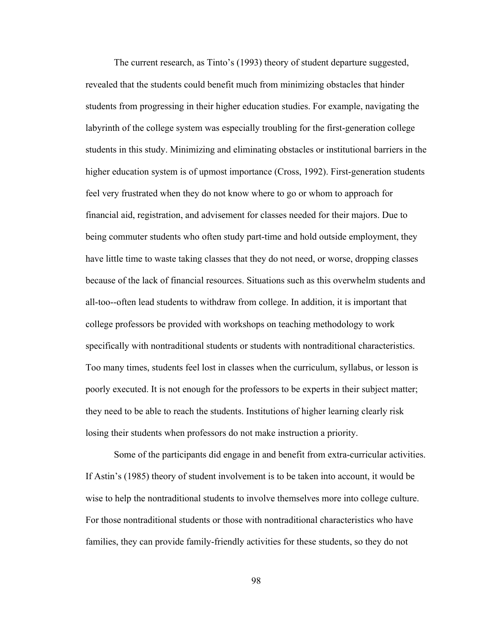The current research, as Tinto's (1993) theory of student departure suggested, revealed that the students could benefit much from minimizing obstacles that hinder students from progressing in their higher education studies. For example, navigating the labyrinth of the college system was especially troubling for the first-generation college students in this study. Minimizing and eliminating obstacles or institutional barriers in the higher education system is of upmost importance (Cross, 1992). First-generation students feel very frustrated when they do not know where to go or whom to approach for financial aid, registration, and advisement for classes needed for their majors. Due to being commuter students who often study part-time and hold outside employment, they have little time to waste taking classes that they do not need, or worse, dropping classes because of the lack of financial resources. Situations such as this overwhelm students and all-too--often lead students to withdraw from college. In addition, it is important that college professors be provided with workshops on teaching methodology to work specifically with nontraditional students or students with nontraditional characteristics. Too many times, students feel lost in classes when the curriculum, syllabus, or lesson is poorly executed. It is not enough for the professors to be experts in their subject matter; they need to be able to reach the students. Institutions of higher learning clearly risk losing their students when professors do not make instruction a priority.

Some of the participants did engage in and benefit from extra-curricular activities. If Astin's (1985) theory of student involvement is to be taken into account, it would be wise to help the nontraditional students to involve themselves more into college culture. For those nontraditional students or those with nontraditional characteristics who have families, they can provide family-friendly activities for these students, so they do not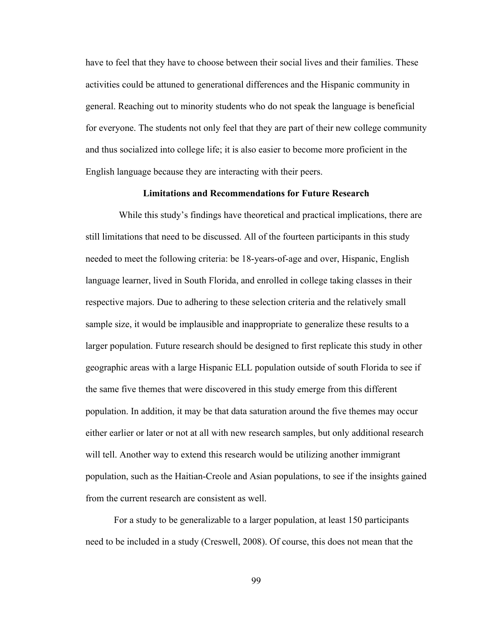have to feel that they have to choose between their social lives and their families. These activities could be attuned to generational differences and the Hispanic community in general. Reaching out to minority students who do not speak the language is beneficial for everyone. The students not only feel that they are part of their new college community and thus socialized into college life; it is also easier to become more proficient in the English language because they are interacting with their peers.

### **Limitations and Recommendations for Future Research**

While this study's findings have theoretical and practical implications, there are still limitations that need to be discussed. All of the fourteen participants in this study needed to meet the following criteria: be 18-years-of-age and over, Hispanic, English language learner, lived in South Florida, and enrolled in college taking classes in their respective majors. Due to adhering to these selection criteria and the relatively small sample size, it would be implausible and inappropriate to generalize these results to a larger population. Future research should be designed to first replicate this study in other geographic areas with a large Hispanic ELL population outside of south Florida to see if the same five themes that were discovered in this study emerge from this different population. In addition, it may be that data saturation around the five themes may occur either earlier or later or not at all with new research samples, but only additional research will tell. Another way to extend this research would be utilizing another immigrant population, such as the Haitian-Creole and Asian populations, to see if the insights gained from the current research are consistent as well.

For a study to be generalizable to a larger population, at least 150 participants need to be included in a study (Creswell, 2008). Of course, this does not mean that the

99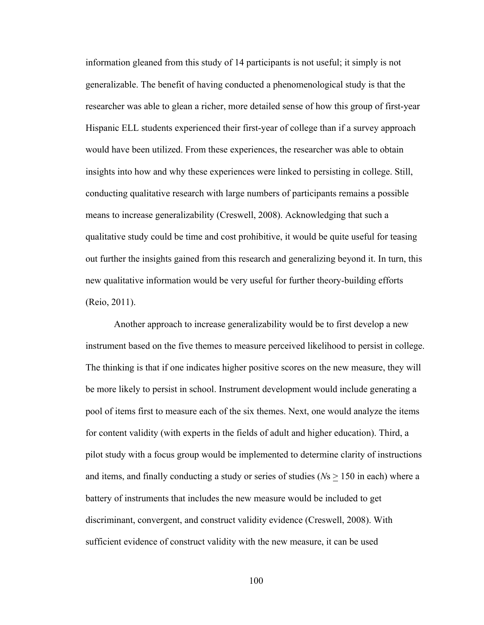information gleaned from this study of 14 participants is not useful; it simply is not generalizable. The benefit of having conducted a phenomenological study is that the researcher was able to glean a richer, more detailed sense of how this group of first-year Hispanic ELL students experienced their first-year of college than if a survey approach would have been utilized. From these experiences, the researcher was able to obtain insights into how and why these experiences were linked to persisting in college. Still, conducting qualitative research with large numbers of participants remains a possible means to increase generalizability (Creswell, 2008). Acknowledging that such a qualitative study could be time and cost prohibitive, it would be quite useful for teasing out further the insights gained from this research and generalizing beyond it. In turn, this new qualitative information would be very useful for further theory-building efforts (Reio, 2011).

Another approach to increase generalizability would be to first develop a new instrument based on the five themes to measure perceived likelihood to persist in college. The thinking is that if one indicates higher positive scores on the new measure, they will be more likely to persist in school. Instrument development would include generating a pool of items first to measure each of the six themes. Next, one would analyze the items for content validity (with experts in the fields of adult and higher education). Third, a pilot study with a focus group would be implemented to determine clarity of instructions and items, and finally conducting a study or series of studies ( $Ns \ge 150$  in each) where a battery of instruments that includes the new measure would be included to get discriminant, convergent, and construct validity evidence (Creswell, 2008). With sufficient evidence of construct validity with the new measure, it can be used

100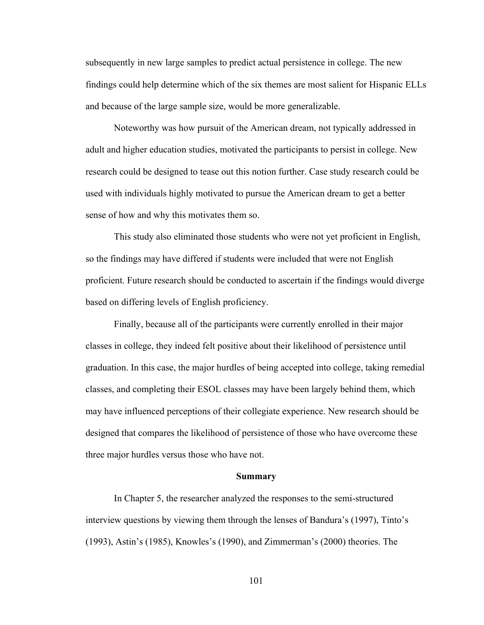subsequently in new large samples to predict actual persistence in college. The new findings could help determine which of the six themes are most salient for Hispanic ELLs and because of the large sample size, would be more generalizable.

Noteworthy was how pursuit of the American dream, not typically addressed in adult and higher education studies, motivated the participants to persist in college. New research could be designed to tease out this notion further. Case study research could be used with individuals highly motivated to pursue the American dream to get a better sense of how and why this motivates them so.

This study also eliminated those students who were not yet proficient in English, so the findings may have differed if students were included that were not English proficient. Future research should be conducted to ascertain if the findings would diverge based on differing levels of English proficiency.

Finally, because all of the participants were currently enrolled in their major classes in college, they indeed felt positive about their likelihood of persistence until graduation. In this case, the major hurdles of being accepted into college, taking remedial classes, and completing their ESOL classes may have been largely behind them, which may have influenced perceptions of their collegiate experience. New research should be designed that compares the likelihood of persistence of those who have overcome these three major hurdles versus those who have not.

#### **Summary**

In Chapter 5, the researcher analyzed the responses to the semi-structured interview questions by viewing them through the lenses of Bandura's (1997), Tinto's (1993), Astin's (1985), Knowles's (1990), and Zimmerman's (2000) theories. The

101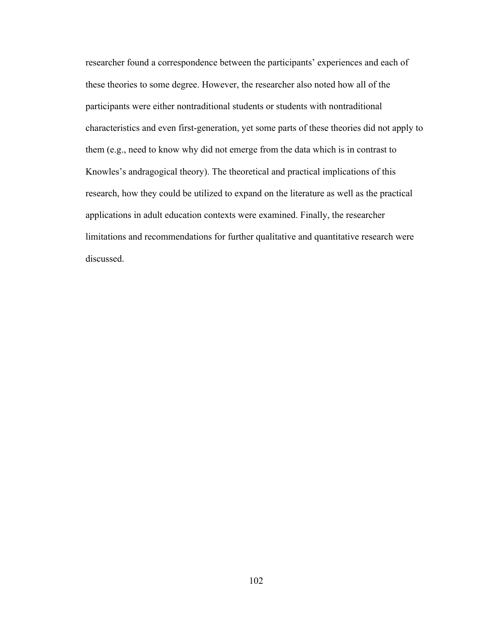researcher found a correspondence between the participants' experiences and each of these theories to some degree. However, the researcher also noted how all of the participants were either nontraditional students or students with nontraditional characteristics and even first-generation, yet some parts of these theories did not apply to them (e.g., need to know why did not emerge from the data which is in contrast to Knowles's andragogical theory). The theoretical and practical implications of this research, how they could be utilized to expand on the literature as well as the practical applications in adult education contexts were examined. Finally, the researcher limitations and recommendations for further qualitative and quantitative research were discussed.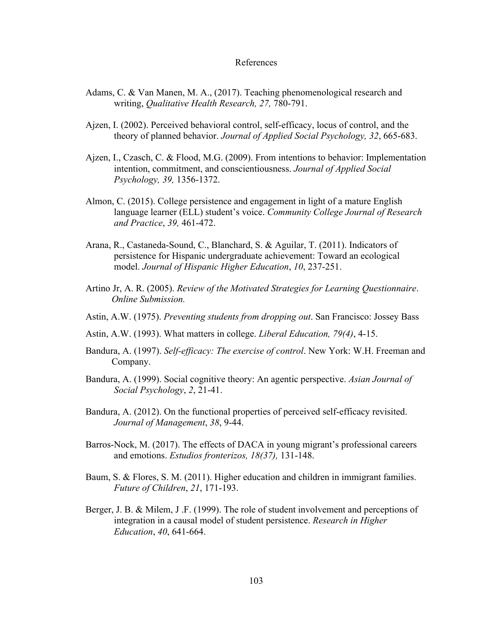### References

- Adams, C. & Van Manen, M. A., (2017). Teaching phenomenological research and writing, *Qualitative Health Research, 27,* 780-791.
- Ajzen, I. (2002). Perceived behavioral control, self-efficacy, locus of control, and the theory of planned behavior. *Journal of Applied Social Psychology, 32*, 665-683.
- Ajzen, I., Czasch, C. & Flood, M.G. (2009). From intentions to behavior: Implementation intention, commitment, and conscientiousness. *Journal of Applied Social Psychology, 39,* 1356-1372.
- Almon, C. (2015). College persistence and engagement in light of a mature English language learner (ELL) student's voice. *Community College Journal of Research and Practice*, *39,* 461-472.
- Arana, R., Castaneda-Sound, C., Blanchard, S. & Aguilar, T. (2011). Indicators of persistence for Hispanic undergraduate achievement: Toward an ecological model. *Journal of Hispanic Higher Education*, *10*, 237-251.
- Artino Jr, A. R. (2005). *Review of the Motivated Strategies for Learning Questionnaire*.  *Online Submission.*
- Astin, A.W. (1975). *Preventing students from dropping out*. San Francisco: Jossey Bass
- Astin, A.W. (1993). What matters in college. *Liberal Education, 79(4)*, 4-15.
- Bandura, A. (1997). *Self-efficacy: The exercise of control*. New York: W.H. Freeman and Company.
- Bandura, A. (1999). Social cognitive theory: An agentic perspective. *Asian Journal of Social Psychology*, *2*, 21-41.
- Bandura, A. (2012). On the functional properties of perceived self-efficacy revisited. *Journal of Management*, *38*, 9-44.
- Barros-Nock, M. (2017). The effects of DACA in young migrant's professional careers and emotions. *Estudios fronterizos, 18(37),* 131-148.
- Baum, S. & Flores, S. M. (2011). Higher education and children in immigrant families. *Future of Children*, *21*, 171-193.
- Berger, J. B. & Milem, J .F. (1999). The role of student involvement and perceptions of integration in a causal model of student persistence. *Research in Higher Education*, *40*, 641-664.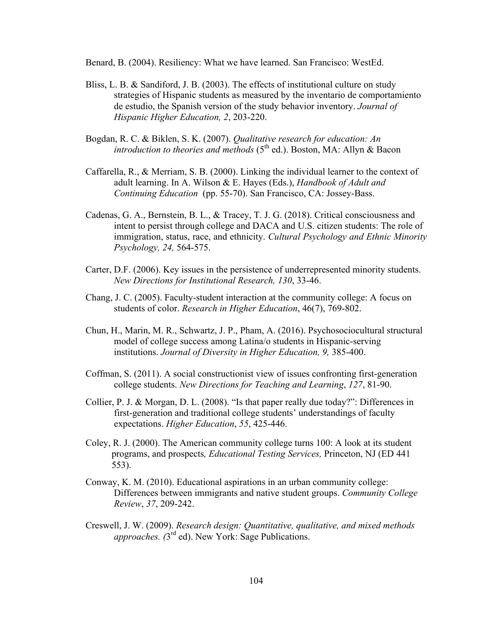Benard, B. (2004). Resiliency: What we have learned. San Francisco: WestEd.

- Bliss, L. B. & Sandiford, J. B. (2003). The effects of institutional culture on study strategies of Hispanic students as measured by the inventario de comportamiento de estudio, the Spanish version of the study behavior inventory. *Journal of Hispanic Higher Education, 2*, 203-220.
- Bogdan, R. C. & Biklen, S. K. (2007). *Qualitative research for education: An introduction to theories and methods* (5<sup>th</sup> ed.). Boston, MA: Allyn & Bacon
- Caffarella, R., & Merriam, S. B. (2000). Linking the individual learner to the context of adult learning. In A. Wilson & E. Hayes (Eds.), *Handbook of Adult and Continuing Education* (pp. 55-70). San Francisco, CA: Jossey-Bass.
- Cadenas, G. A., Bernstein, B. L., & Tracey, T. J. G. (2018). Critical consciousness and intent to persist through college and DACA and U.S. citizen students: The role of immigration, status, race, and ethnicity. *Cultural Psychology and Ethnic Minority Psychology, 24,* 564-575.
- Carter, D.F. (2006). Key issues in the persistence of underrepresented minority students. *New Directions for Institutional Research, 130*, 33-46.
- Chang, J. C. (2005). Faculty-student interaction at the community college: A focus on students of color. *Research in Higher Education*, 46(7), 769-802.
- Chun, H., Marin, M. R., Schwartz, J. P., Pham, A. (2016). Psychosociocultural structural model of college success among Latina/o students in Hispanic-serving institutions. *Journal of Diversity in Higher Education, 9,* 385-400.
- Coffman, S. (2011). A social constructionist view of issues confronting first-generation college students. *New Directions for Teaching and Learning*, *127*, 81-90.
- Collier, P. J. & Morgan, D. L. (2008). "Is that paper really due today?": Differences in first-generation and traditional college students' understandings of faculty expectations. *Higher Education*, *55*, 425-446.
- Coley, R. J. (2000). The American community college turns 100: A look at its student programs, and prospects*, Educational Testing Services,* Princeton, NJ (ED 441 553).
- Conway, K. M. (2010). Educational aspirations in an urban community college: Differences between immigrants and native student groups. *Community College Review*, *37*, 209-242.
- Creswell, J. W. (2009). *Research design: Quantitative, qualitative, and mixed methods approaches. (*3rd ed). New York: Sage Publications.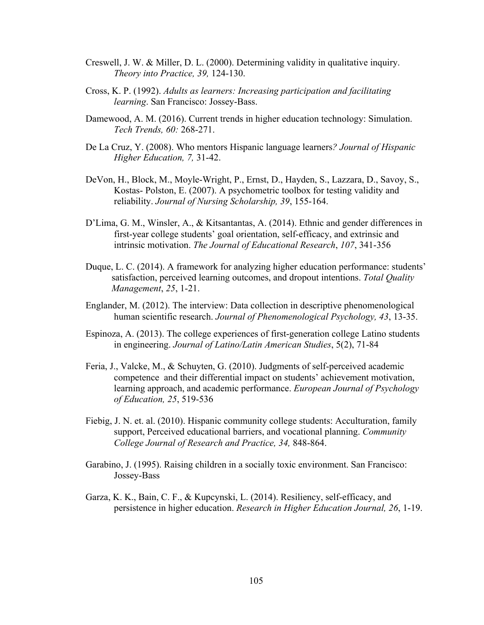- Creswell, J. W. & Miller, D. L. (2000). Determining validity in qualitative inquiry. *Theory into Practice, 39,* 124-130.
- Cross, K. P. (1992). *Adults as learners: Increasing participation and facilitating learning*. San Francisco: Jossey-Bass.
- Damewood, A. M. (2016). Current trends in higher education technology: Simulation. *Tech Trends, 60:* 268-271.
- De La Cruz, Y. (2008). Who mentors Hispanic language learners*? Journal of Hispanic Higher Education, 7,* 31-42.
- DeVon, H., Block, M., Moyle-Wright, P., Ernst, D., Hayden, S., Lazzara, D., Savoy, S., Kostas- Polston, E. (2007). A psychometric toolbox for testing validity and reliability. *Journal of Nursing Scholarship, 39*, 155-164.
- D'Lima, G. M., Winsler, A., & Kitsantantas, A. (2014). Ethnic and gender differences in first-year college students' goal orientation, self-efficacy, and extrinsic and intrinsic motivation. *The Journal of Educational Research*, *107*, 341-356
- Duque, L. C. (2014). A framework for analyzing higher education performance: students' satisfaction, perceived learning outcomes, and dropout intentions. *Total Quality Management*, *25*, 1-21.
- Englander, M. (2012). The interview: Data collection in descriptive phenomenological human scientific research. *Journal of Phenomenological Psychology, 43*, 13-35.
- Espinoza, A. (2013). The college experiences of first-generation college Latino students in engineering. *Journal of Latino/Latin American Studies*, 5(2), 71-84
- Feria, J., Valcke, M., & Schuyten, G. (2010). Judgments of self-perceived academic competence and their differential impact on students' achievement motivation, learning approach, and academic performance. *European Journal of Psychology of Education, 25*, 519-536
- Fiebig, J. N. et. al. (2010). Hispanic community college students: Acculturation, family support, Perceived educational barriers, and vocational planning. *Community College Journal of Research and Practice, 34,* 848-864.
- Garabino, J. (1995). Raising children in a socially toxic environment. San Francisco: Jossey-Bass
- Garza, K. K., Bain, C. F., & Kupcynski, L. (2014). Resiliency, self-efficacy, and persistence in higher education. *Research in Higher Education Journal, 26*, 1-19.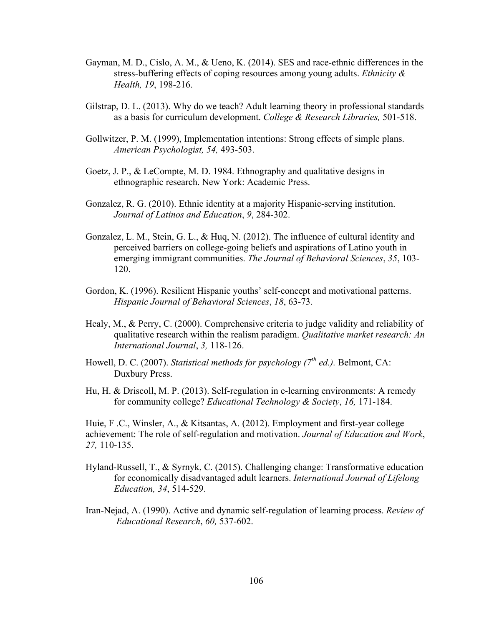- Gayman, M. D., Cislo, A. M., & Ueno, K. (2014). SES and race-ethnic differences in the stress-buffering effects of coping resources among young adults. *Ethnicity & Health, 19*, 198-216.
- Gilstrap, D. L. (2013). Why do we teach? Adult learning theory in professional standards as a basis for curriculum development. *College & Research Libraries,* 501-518.
- Gollwitzer, P. M. (1999), Implementation intentions: Strong effects of simple plans. *American Psychologist, 54,* 493-503.
- Goetz, J. P., & LeCompte, M. D. 1984. Ethnography and qualitative designs in ethnographic research. New York: Academic Press.
- Gonzalez, R. G. (2010). Ethnic identity at a majority Hispanic-serving institution. *Journal of Latinos and Education*, *9*, 284-302.
- Gonzalez, L. M., Stein, G. L., & Huq, N. (2012). The influence of cultural identity and perceived barriers on college-going beliefs and aspirations of Latino youth in emerging immigrant communities. *The Journal of Behavioral Sciences*, *35*, 103- 120.
- Gordon, K. (1996). Resilient Hispanic youths' self-concept and motivational patterns. *Hispanic Journal of Behavioral Sciences*, *18*, 63-73.
- Healy, M., & Perry, C. (2000). Comprehensive criteria to judge validity and reliability of qualitative research within the realism paradigm. *Qualitative market research: An International Journal*, *3,* 118-126.
- Howell, D. C. (2007). *Statistical methods for psychology (7th ed.).* Belmont, CA: Duxbury Press.
- Hu, H. & Driscoll, M. P. (2013). Self-regulation in e-learning environments: A remedy for community college? *Educational Technology & Society*, *16,* 171-184.

Huie, F .C., Winsler, A., & Kitsantas, A. (2012). Employment and first-year college achievement: The role of self-regulation and motivation. *Journal of Education and Work*, *27,* 110-135.

- Hyland-Russell, T., & Syrnyk, C. (2015). Challenging change: Transformative education for economically disadvantaged adult learners. *International Journal of Lifelong Education, 34*, 514-529.
- Iran-Nejad, A. (1990). Active and dynamic self-regulation of learning process. *Review of Educational Research*, *60,* 537-602.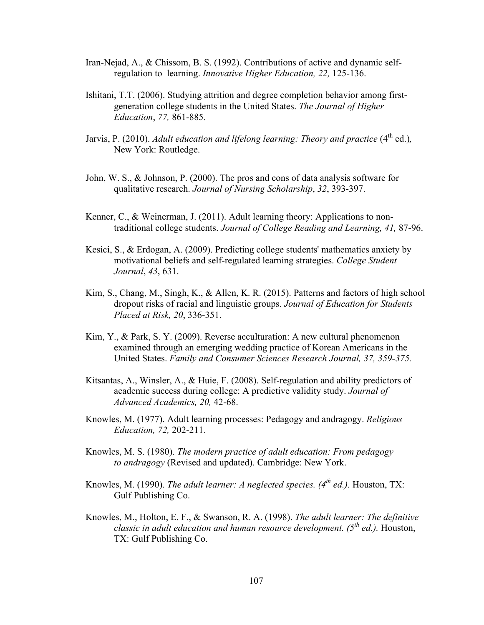- Iran-Nejad, A., & Chissom, B. S. (1992). Contributions of active and dynamic selfregulation to learning. *Innovative Higher Education, 22,* 125-136.
- Ishitani, T.T. (2006). Studying attrition and degree completion behavior among firstgeneration college students in the United States. *The Journal of Higher Education*, *77,* 861-885.
- Jarvis, P. (2010). *Adult education and lifelong learning: Theory and practice* (4<sup>th</sup> ed.), New York: Routledge.
- John, W. S., & Johnson, P. (2000). The pros and cons of data analysis software for qualitative research. *Journal of Nursing Scholarship*, *32*, 393-397.
- Kenner, C., & Weinerman, J. (2011). Adult learning theory: Applications to nontraditional college students. *Journal of College Reading and Learning, 41,* 87-96.
- Kesici, S., & Erdogan, A. (2009). Predicting college students' mathematics anxiety by motivational beliefs and self-regulated learning strategies. *College Student Journal*, *43*, 631.
- Kim, S., Chang, M., Singh, K., & Allen, K. R. (2015). Patterns and factors of high school dropout risks of racial and linguistic groups. *Journal of Education for Students Placed at Risk, 20*, 336-351.
- Kim, Y., & Park, S. Y. (2009). Reverse acculturation: A new cultural phenomenon examined through an emerging wedding practice of Korean Americans in the United States. *Family and Consumer Sciences Research Journal, 37, 359-375.*
- Kitsantas, A., Winsler, A., & Huie, F. (2008). Self-regulation and ability predictors of academic success during college: A predictive validity study. *Journal of Advanced Academics, 20,* 42-68.
- Knowles, M. (1977). Adult learning processes: Pedagogy and andragogy. *Religious Education, 72,* 202-211.
- Knowles, M. S. (1980). *The modern practice of adult education: From pedagogy to andragogy* (Revised and updated). Cambridge: New York.
- Knowles, M. (1990). *The adult learner: A neglected species. (4th ed.).* Houston, TX: Gulf Publishing Co.
- Knowles, M., Holton, E. F., & Swanson, R. A. (1998). *The adult learner: The definitive classic in adult education and human resource development. (5th ed.).* Houston, TX: Gulf Publishing Co.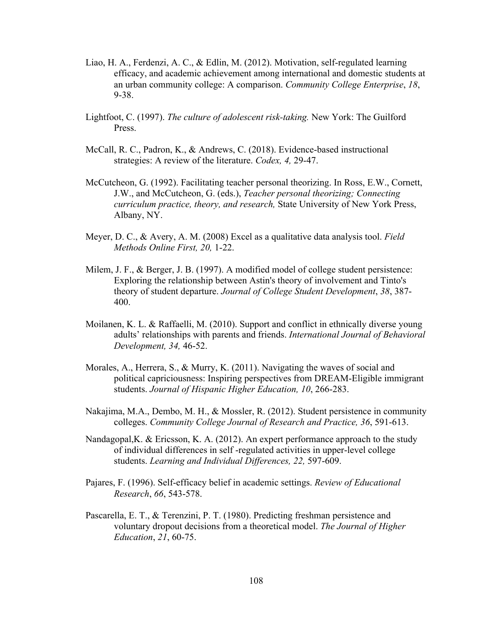- Liao, H. A., Ferdenzi, A. C., & Edlin, M. (2012). Motivation, self-regulated learning efficacy, and academic achievement among international and domestic students at an urban community college: A comparison. *Community College Enterprise*, *18*, 9-38.
- Lightfoot, C. (1997). *The culture of adolescent risk-taking.* New York: The Guilford Press.
- McCall, R. C., Padron, K., & Andrews, C. (2018). Evidence-based instructional strategies: A review of the literature. *Codex, 4,* 29-47.
- McCutcheon, G. (1992). Facilitating teacher personal theorizing. In Ross, E.W., Cornett, J.W., and McCutcheon, G. (eds.), *Teacher personal theorizing; Connecting curriculum practice, theory, and research,* State University of New York Press, Albany, NY.
- Meyer, D. C., & Avery, A. M. (2008) Excel as a qualitative data analysis tool. *Field Methods Online First, 20,* 1-22.
- Milem, J. F., & Berger, J. B. (1997). A modified model of college student persistence: Exploring the relationship between Astin's theory of involvement and Tinto's theory of student departure. *Journal of College Student Development*, *38*, 387- 400.
- Moilanen, K. L. & Raffaelli, M. (2010). Support and conflict in ethnically diverse young adults' relationships with parents and friends. *International Journal of Behavioral Development, 34,* 46-52.
- Morales, A., Herrera, S., & Murry, K. (2011). Navigating the waves of social and political capriciousness: Inspiring perspectives from DREAM-Eligible immigrant students. *Journal of Hispanic Higher Education, 10*, 266-283.
- Nakajima, M.A., Dembo, M. H., & Mossler, R. (2012). Student persistence in community colleges. *Community College Journal of Research and Practice, 36*, 591-613.
- Nandagopal,K. & Ericsson, K. A. (2012). An expert performance approach to the study of individual differences in self -regulated activities in upper-level college students. *Learning and Individual Differences, 22,* 597-609.
- Pajares, F. (1996). Self-efficacy belief in academic settings. *Review of Educational Research*, *66*, 543-578.
- Pascarella, E. T., & Terenzini, P. T. (1980). Predicting freshman persistence and voluntary dropout decisions from a theoretical model. *The Journal of Higher Education*, *21*, 60-75.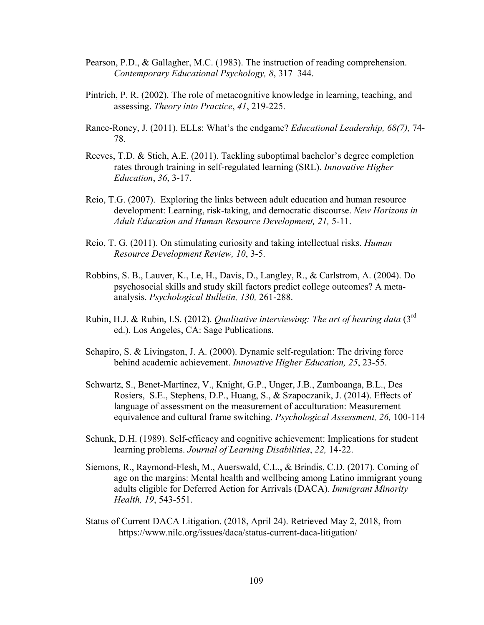- Pearson, P.D., & Gallagher, M.C. (1983). The instruction of reading comprehension. *Contemporary Educational Psychology, 8*, 317–344.
- Pintrich, P. R. (2002). The role of metacognitive knowledge in learning, teaching, and assessing. *Theory into Practice*, *41*, 219-225.
- Rance-Roney, J. (2011). ELLs: What's the endgame? *Educational Leadership, 68(7),* 74- 78.
- Reeves, T.D. & Stich, A.E. (2011). Tackling suboptimal bachelor's degree completion rates through training in self-regulated learning (SRL). *Innovative Higher Education*, *36*, 3-17.
- Reio, T.G. (2007). Exploring the links between adult education and human resource development: Learning, risk-taking, and democratic discourse. *New Horizons in Adult Education and Human Resource Development, 21,* 5-11.
- Reio, T. G. (2011). On stimulating curiosity and taking intellectual risks. *Human Resource Development Review, 10*, 3-5.
- Robbins, S. B., Lauver, K., Le, H., Davis, D., Langley, R., & Carlstrom, A. (2004). Do psychosocial skills and study skill factors predict college outcomes? A metaanalysis. *Psychological Bulletin, 130,* 261-288.
- Rubin, H.J. & Rubin, I.S. (2012). *Qualitative interviewing: The art of hearing data* (3rd ed.). Los Angeles, CA: Sage Publications.
- Schapiro, S. & Livingston, J. A. (2000). Dynamic self-regulation: The driving force behind academic achievement. *Innovative Higher Education, 25*, 23-55.
- Schwartz, S., Benet-Martinez, V., Knight, G.P., Unger, J.B., Zamboanga, B.L., Des Rosiers, S.E., Stephens, D.P., Huang, S., & Szapoczanik, J. (2014). Effects of language of assessment on the measurement of acculturation: Measurement equivalence and cultural frame switching. *Psychological Assessment, 26,* 100-114
- Schunk, D.H. (1989). Self-efficacy and cognitive achievement: Implications for student learning problems. *Journal of Learning Disabilities*, *22,* 14-22.
- Siemons, R., Raymond-Flesh, M., Auerswald, C.L., & Brindis, C.D. (2017). Coming of age on the margins: Mental health and wellbeing among Latino immigrant young adults eligible for Deferred Action for Arrivals (DACA). *Immigrant Minority Health, 19*, 543-551.
- Status of Current DACA Litigation. (2018, April 24). Retrieved May 2, 2018, from https://www.nilc.org/issues/daca/status-current-daca-litigation/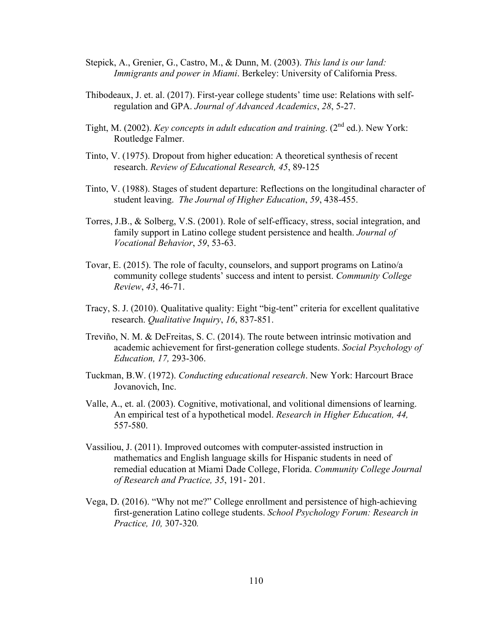- Stepick, A., Grenier, G., Castro, M., & Dunn, M. (2003). *This land is our land: Immigrants and power in Miami*. Berkeley: University of California Press.
- Thibodeaux, J. et. al. (2017). First-year college students' time use: Relations with selfregulation and GPA. *Journal of Advanced Academics*, *28*, 5-27.
- Tight, M. (2002). *Key concepts in adult education and training*. (2<sup>nd</sup> ed.). New York: Routledge Falmer.
- Tinto, V. (1975). Dropout from higher education: A theoretical synthesis of recent research. *Review of Educational Research, 45*, 89-125
- Tinto, V. (1988). Stages of student departure: Reflections on the longitudinal character of student leaving. *The Journal of Higher Education*, *59*, 438-455.
- Torres, J.B., & Solberg, V.S. (2001). Role of self-efficacy, stress, social integration, and family support in Latino college student persistence and health. *Journal of Vocational Behavior*, *59*, 53-63.
- Tovar, E. (2015). The role of faculty, counselors, and support programs on Latino/a community college students' success and intent to persist. *Community College Review*, *43*, 46-71.
- Tracy, S. J. (2010). Qualitative quality: Eight "big-tent" criteria for excellent qualitative research. *Qualitative Inquiry*, *16*, 837-851.
- Treviño, N. M. & DeFreitas, S. C. (2014). The route between intrinsic motivation and academic achievement for first-generation college students. *Social Psychology of Education, 17,* 293-306.
- Tuckman, B.W. (1972). *Conducting educational research*. New York: Harcourt Brace Jovanovich, Inc.
- Valle, A., et. al. (2003). Cognitive, motivational, and volitional dimensions of learning. An empirical test of a hypothetical model. *Research in Higher Education, 44,* 557-580.
- Vassiliou, J. (2011). Improved outcomes with computer-assisted instruction in mathematics and English language skills for Hispanic students in need of remedial education at Miami Dade College, Florida. *Community College Journal of Research and Practice, 35*, 191- 201.
- Vega, D. (2016). "Why not me?" College enrollment and persistence of high-achieving first-generation Latino college students. *School Psychology Forum: Research in Practice, 10,* 307-320*.*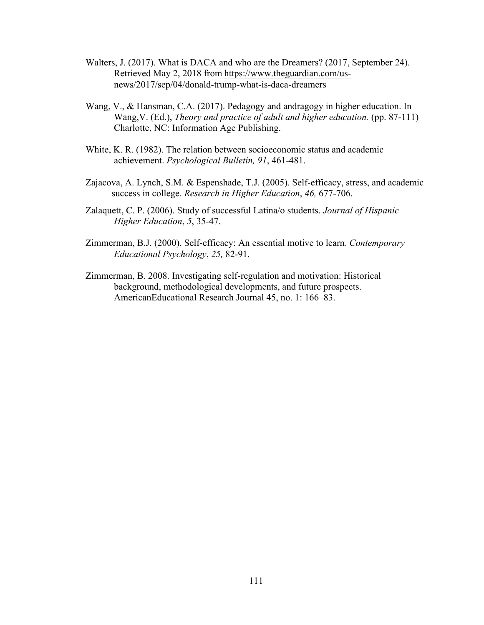- Walters, J. (2017). What is DACA and who are the Dreamers? (2017, September 24). Retrieved May 2, 2018 from https://www.theguardian.com/usnews/2017/sep/04/donald-trump-what-is-daca-dreamers
- Wang, V., & Hansman, C.A. (2017). Pedagogy and andragogy in higher education. In Wang,V. (Ed.), *Theory and practice of adult and higher education.* (pp. 87-111) Charlotte, NC: Information Age Publishing.
- White, K. R. (1982). The relation between socioeconomic status and academic achievement. *Psychological Bulletin, 91*, 461-481.
- Zajacova, A. Lynch, S.M. & Espenshade, T.J. (2005). Self-efficacy, stress, and academic success in college. *Research in Higher Education*, *46,* 677-706.
- Zalaquett, C. P. (2006). Study of successful Latina/o students. *Journal of Hispanic Higher Education*, *5*, 35-47.
- Zimmerman, B.J. (2000). Self-efficacy: An essential motive to learn. *Contemporary Educational Psychology*, *25,* 82-91.
- Zimmerman, B. 2008. Investigating self-regulation and motivation: Historical background, methodological developments, and future prospects. AmericanEducational Research Journal 45, no. 1: 166–83.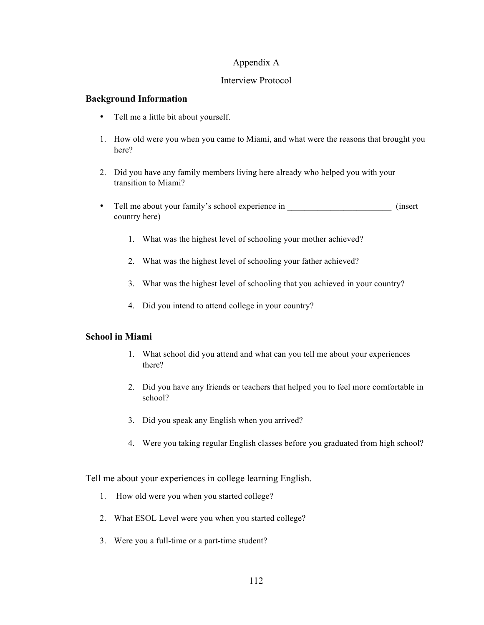## Appendix A

## Interview Protocol

## **Background Information**

- Tell me a little bit about yourself.
- 1. How old were you when you came to Miami, and what were the reasons that brought you here?
- 2. Did you have any family members living here already who helped you with your transition to Miami?
- Tell me about your family's school experience in  $_{\text{(insert)}}$ country here)
	- 1. What was the highest level of schooling your mother achieved?
	- 2. What was the highest level of schooling your father achieved?
	- 3. What was the highest level of schooling that you achieved in your country?
	- 4. Did you intend to attend college in your country?

# **School in Miami**

- 1. What school did you attend and what can you tell me about your experiences there?
- 2. Did you have any friends or teachers that helped you to feel more comfortable in school?
- 3. Did you speak any English when you arrived?
- 4. Were you taking regular English classes before you graduated from high school?

Tell me about your experiences in college learning English.

- 1. How old were you when you started college?
- 2. What ESOL Level were you when you started college?
- 3. Were you a full-time or a part-time student?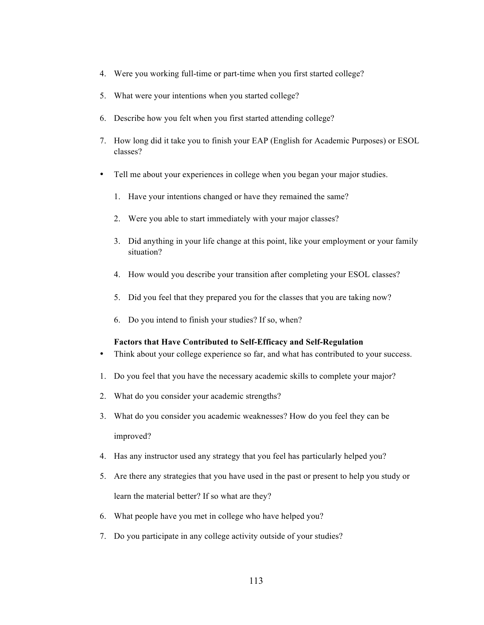- 4. Were you working full-time or part-time when you first started college?
- 5. What were your intentions when you started college?
- 6. Describe how you felt when you first started attending college?
- 7. How long did it take you to finish your EAP (English for Academic Purposes) or ESOL classes?
- Tell me about your experiences in college when you began your major studies.
	- 1. Have your intentions changed or have they remained the same?
	- 2. Were you able to start immediately with your major classes?
	- 3. Did anything in your life change at this point, like your employment or your family situation?
	- 4. How would you describe your transition after completing your ESOL classes?
	- 5. Did you feel that they prepared you for the classes that you are taking now?
	- 6. Do you intend to finish your studies? If so, when?

#### **Factors that Have Contributed to Self-Efficacy and Self-Regulation**

- Think about your college experience so far, and what has contributed to your success.
- 1. Do you feel that you have the necessary academic skills to complete your major?
- 2. What do you consider your academic strengths?
- 3. What do you consider you academic weaknesses? How do you feel they can be improved?
- 4. Has any instructor used any strategy that you feel has particularly helped you?
- 5. Are there any strategies that you have used in the past or present to help you study or learn the material better? If so what are they?
- 6. What people have you met in college who have helped you?
- 7. Do you participate in any college activity outside of your studies?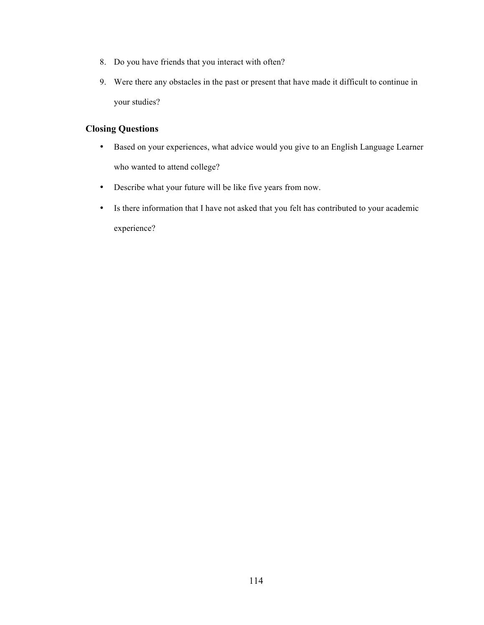- 8. Do you have friends that you interact with often?
- 9. Were there any obstacles in the past or present that have made it difficult to continue in your studies?

# **Closing Questions**

- Based on your experiences, what advice would you give to an English Language Learner who wanted to attend college?
- Describe what your future will be like five years from now.
- Is there information that I have not asked that you felt has contributed to your academic experience?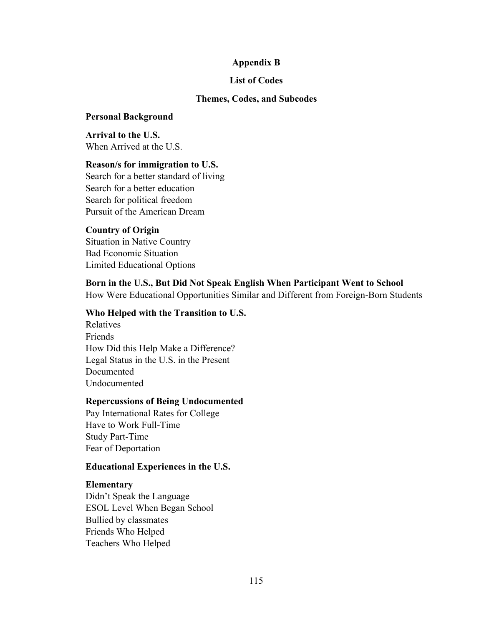# **Appendix B**

## **List of Codes**

## **Themes, Codes, and Subcodes**

## **Personal Background**

**Arrival to the U.S.** When Arrived at the U.S.

# **Reason/s for immigration to U.S.**

Search for a better standard of living Search for a better education Search for political freedom Pursuit of the American Dream

# **Country of Origin**

Situation in Native Country Bad Economic Situation Limited Educational Options

# **Born in the U.S., But Did Not Speak English When Participant Went to School**

How Were Educational Opportunities Similar and Different from Foreign-Born Students

# **Who Helped with the Transition to U.S.**

Relatives Friends How Did this Help Make a Difference? Legal Status in the U.S. in the Present Documented Undocumented

# **Repercussions of Being Undocumented**

Pay International Rates for College Have to Work Full-Time Study Part-Time Fear of Deportation

# **Educational Experiences in the U.S.**

# **Elementary**

Didn't Speak the Language ESOL Level When Began School Bullied by classmates Friends Who Helped Teachers Who Helped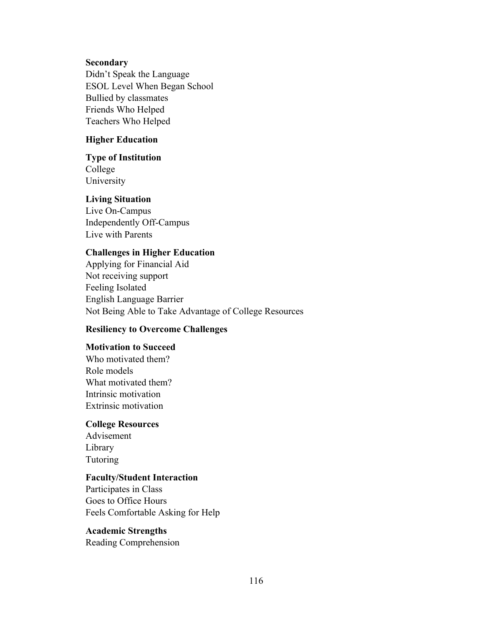## **Secondary**

Didn't Speak the Language ESOL Level When Began School Bullied by classmates Friends Who Helped Teachers Who Helped

## **Higher Education**

### **Type of Institution**

College University

## **Living Situation**

Live On-Campus Independently Off-Campus Live with Parents

# **Challenges in Higher Education**

Applying for Financial Aid Not receiving support Feeling Isolated English Language Barrier Not Being Able to Take Advantage of College Resources

# **Resiliency to Overcome Challenges**

# **Motivation to Succeed**

Who motivated them? Role models What motivated them? Intrinsic motivation Extrinsic motivation

# **College Resources**

Advisement Library Tutoring

# **Faculty/Student Interaction**

Participates in Class Goes to Office Hours Feels Comfortable Asking for Help

# **Academic Strengths**

Reading Comprehension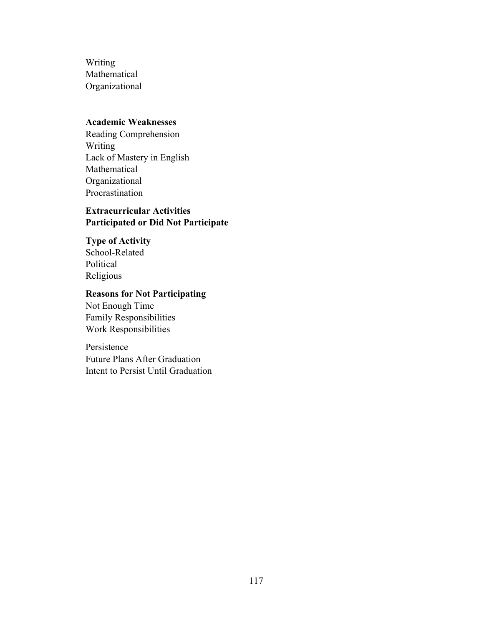Writing Mathematical Organizational

# **Academic Weaknesses**

Reading Comprehension Writing Lack of Mastery in English Mathematical Organizational Procrastination

# **Extracurricular Activities Participated or Did Not Participate**

**Type of Activity** School-Related Political Religious

# **Reasons for Not Participating**

Not Enough Time Family Responsibilities Work Responsibilities

Persistence Future Plans After Graduation Intent to Persist Until Graduation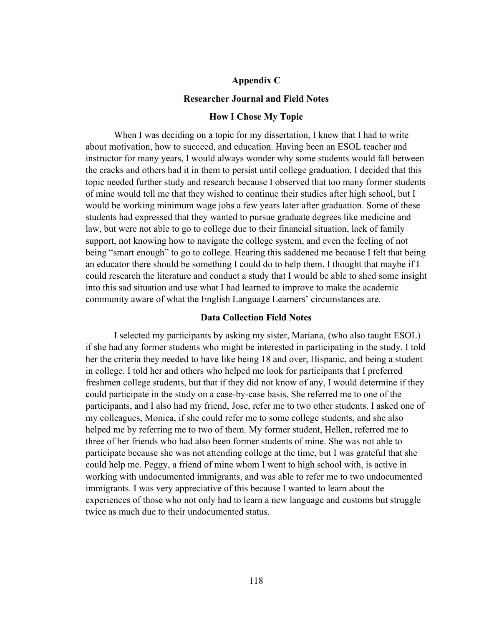### **Appendix C**

### **Researcher Journal and Field Notes**

### **How I Chose My Topic**

When I was deciding on a topic for my dissertation, I knew that I had to write about motivation, how to succeed, and education. Having been an ESOL teacher and instructor for many years, I would always wonder why some students would fall between the cracks and others had it in them to persist until college graduation. I decided that this topic needed further study and research because I observed that too many former students of mine would tell me that they wished to continue their studies after high school, but I would be working minimum wage jobs a few years later after graduation. Some of these students had expressed that they wanted to pursue graduate degrees like medicine and law, but were not able to go to college due to their financial situation, lack of family support, not knowing how to navigate the college system, and even the feeling of not being "smart enough" to go to college. Hearing this saddened me because I felt that being an educator there should be something I could do to help them. I thought that maybe if I could research the literature and conduct a study that I would be able to shed some insight into this sad situation and use what I had learned to improve to make the academic community aware of what the English Language Learners' circumstances are.

### **Data Collection Field Notes**

I selected my participants by asking my sister, Mariana, (who also taught ESOL) if she had any former students who might be interested in participating in the study. I told her the criteria they needed to have like being 18 and over, Hispanic, and being a student in college. I told her and others who helped me look for participants that I preferred freshmen college students, but that if they did not know of any, I would determine if they could participate in the study on a case-by-case basis. She referred me to one of the participants, and I also had my friend, Jose, refer me to two other students. I asked one of my colleagues, Monica, if she could refer me to some college students, and she also helped me by referring me to two of them. My former student, Hellen, referred me to three of her friends who had also been former students of mine. She was not able to participate because she was not attending college at the time, but I was grateful that she could help me. Peggy, a friend of mine whom I went to high school with, is active in working with undocumented immigrants, and was able to refer me to two undocumented immigrants. I was very appreciative of this because I wanted to learn about the experiences of those who not only had to learn a new language and customs but struggle twice as much due to their undocumented status.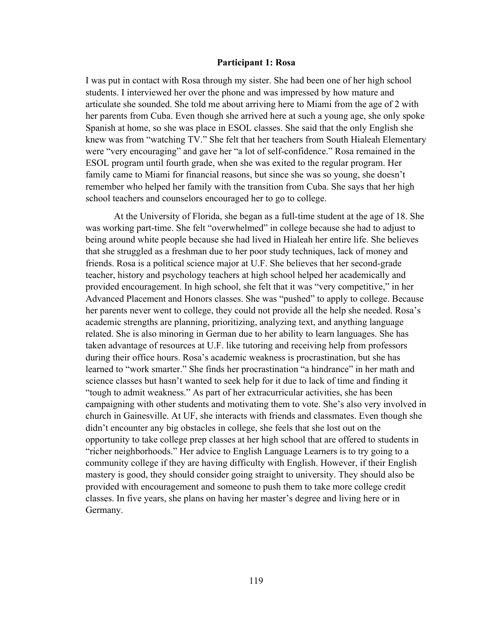### **Participant 1: Rosa**

I was put in contact with Rosa through my sister. She had been one of her high school students. I interviewed her over the phone and was impressed by how mature and articulate she sounded. She told me about arriving here to Miami from the age of 2 with her parents from Cuba. Even though she arrived here at such a young age, she only spoke Spanish at home, so she was place in ESOL classes. She said that the only English she knew was from "watching TV." She felt that her teachers from South Hialeah Elementary were "very encouraging" and gave her "a lot of self-confidence." Rosa remained in the ESOL program until fourth grade, when she was exited to the regular program. Her family came to Miami for financial reasons, but since she was so young, she doesn't remember who helped her family with the transition from Cuba. She says that her high school teachers and counselors encouraged her to go to college.

At the University of Florida, she began as a full-time student at the age of 18. She was working part-time. She felt "overwhelmed" in college because she had to adjust to being around white people because she had lived in Hialeah her entire life. She believes that she struggled as a freshman due to her poor study techniques, lack of money and friends. Rosa is a political science major at U.F. She believes that her second-grade teacher, history and psychology teachers at high school helped her academically and provided encouragement. In high school, she felt that it was "very competitive," in her Advanced Placement and Honors classes. She was "pushed" to apply to college. Because her parents never went to college, they could not provide all the help she needed. Rosa's academic strengths are planning, prioritizing, analyzing text, and anything language related. She is also minoring in German due to her ability to learn languages. She has taken advantage of resources at U.F. like tutoring and receiving help from professors during their office hours. Rosa's academic weakness is procrastination, but she has learned to "work smarter." She finds her procrastination "a hindrance" in her math and science classes but hasn't wanted to seek help for it due to lack of time and finding it "tough to admit weakness." As part of her extracurricular activities, she has been campaigning with other students and motivating them to vote. She's also very involved in church in Gainesville. At UF, she interacts with friends and classmates. Even though she didn't encounter any big obstacles in college, she feels that she lost out on the opportunity to take college prep classes at her high school that are offered to students in "richer neighborhoods." Her advice to English Language Learners is to try going to a community college if they are having difficulty with English. However, if their English mastery is good, they should consider going straight to university. They should also be provided with encouragement and someone to push them to take more college credit classes. In five years, she plans on having her master's degree and living here or in Germany.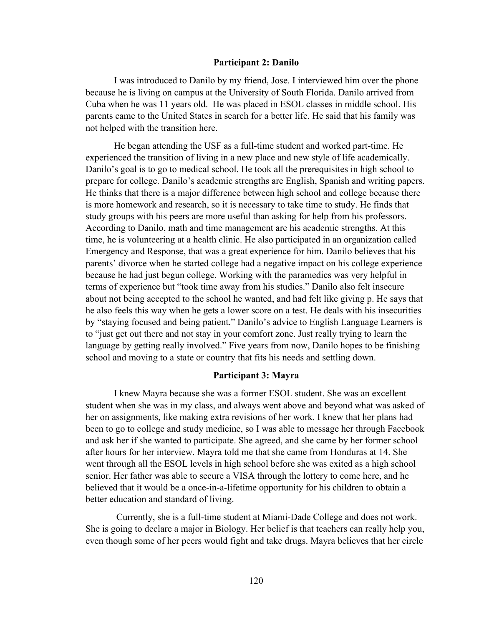### **Participant 2: Danilo**

I was introduced to Danilo by my friend, Jose. I interviewed him over the phone because he is living on campus at the University of South Florida. Danilo arrived from Cuba when he was 11 years old. He was placed in ESOL classes in middle school. His parents came to the United States in search for a better life. He said that his family was not helped with the transition here.

He began attending the USF as a full-time student and worked part-time. He experienced the transition of living in a new place and new style of life academically. Danilo's goal is to go to medical school. He took all the prerequisites in high school to prepare for college. Danilo's academic strengths are English, Spanish and writing papers. He thinks that there is a major difference between high school and college because there is more homework and research, so it is necessary to take time to study. He finds that study groups with his peers are more useful than asking for help from his professors. According to Danilo, math and time management are his academic strengths. At this time, he is volunteering at a health clinic. He also participated in an organization called Emergency and Response, that was a great experience for him. Danilo believes that his parents' divorce when he started college had a negative impact on his college experience because he had just begun college. Working with the paramedics was very helpful in terms of experience but "took time away from his studies." Danilo also felt insecure about not being accepted to the school he wanted, and had felt like giving p. He says that he also feels this way when he gets a lower score on a test. He deals with his insecurities by "staying focused and being patient." Danilo's advice to English Language Learners is to "just get out there and not stay in your comfort zone. Just really trying to learn the language by getting really involved." Five years from now, Danilo hopes to be finishing school and moving to a state or country that fits his needs and settling down.

### **Participant 3: Mayra**

I knew Mayra because she was a former ESOL student. She was an excellent student when she was in my class, and always went above and beyond what was asked of her on assignments, like making extra revisions of her work. I knew that her plans had been to go to college and study medicine, so I was able to message her through Facebook and ask her if she wanted to participate. She agreed, and she came by her former school after hours for her interview. Mayra told me that she came from Honduras at 14. She went through all the ESOL levels in high school before she was exited as a high school senior. Her father was able to secure a VISA through the lottery to come here, and he believed that it would be a once-in-a-lifetime opportunity for his children to obtain a better education and standard of living.

Currently, she is a full-time student at Miami-Dade College and does not work. She is going to declare a major in Biology. Her belief is that teachers can really help you, even though some of her peers would fight and take drugs. Mayra believes that her circle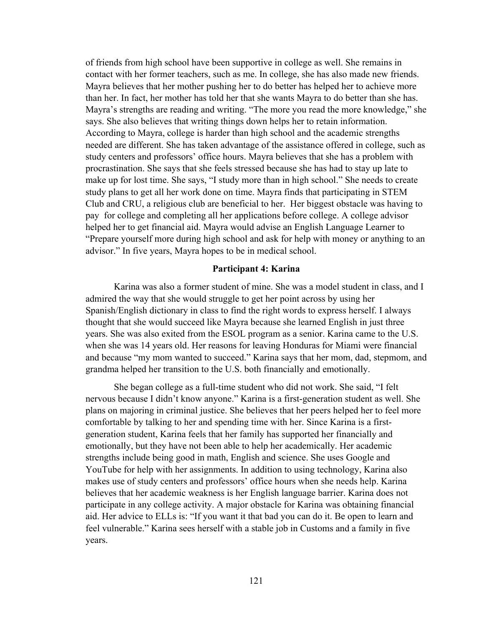of friends from high school have been supportive in college as well. She remains in contact with her former teachers, such as me. In college, she has also made new friends. Mayra believes that her mother pushing her to do better has helped her to achieve more than her. In fact, her mother has told her that she wants Mayra to do better than she has. Mayra's strengths are reading and writing. "The more you read the more knowledge," she says. She also believes that writing things down helps her to retain information. According to Mayra, college is harder than high school and the academic strengths needed are different. She has taken advantage of the assistance offered in college, such as study centers and professors' office hours. Mayra believes that she has a problem with procrastination. She says that she feels stressed because she has had to stay up late to make up for lost time. She says, "I study more than in high school." She needs to create study plans to get all her work done on time. Mayra finds that participating in STEM Club and CRU, a religious club are beneficial to her. Her biggest obstacle was having to pay for college and completing all her applications before college. A college advisor helped her to get financial aid. Mayra would advise an English Language Learner to "Prepare yourself more during high school and ask for help with money or anything to an advisor." In five years, Mayra hopes to be in medical school.

### **Participant 4: Karina**

Karina was also a former student of mine. She was a model student in class, and I admired the way that she would struggle to get her point across by using her Spanish/English dictionary in class to find the right words to express herself. I always thought that she would succeed like Mayra because she learned English in just three years. She was also exited from the ESOL program as a senior. Karina came to the U.S. when she was 14 years old. Her reasons for leaving Honduras for Miami were financial and because "my mom wanted to succeed." Karina says that her mom, dad, stepmom, and grandma helped her transition to the U.S. both financially and emotionally.

She began college as a full-time student who did not work. She said, "I felt nervous because I didn't know anyone." Karina is a first-generation student as well. She plans on majoring in criminal justice. She believes that her peers helped her to feel more comfortable by talking to her and spending time with her. Since Karina is a firstgeneration student, Karina feels that her family has supported her financially and emotionally, but they have not been able to help her academically. Her academic strengths include being good in math, English and science. She uses Google and YouTube for help with her assignments. In addition to using technology, Karina also makes use of study centers and professors' office hours when she needs help. Karina believes that her academic weakness is her English language barrier. Karina does not participate in any college activity. A major obstacle for Karina was obtaining financial aid. Her advice to ELLs is: "If you want it that bad you can do it. Be open to learn and feel vulnerable." Karina sees herself with a stable job in Customs and a family in five years.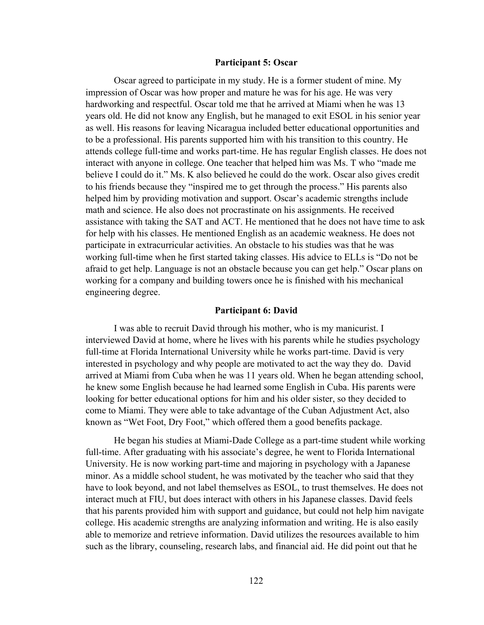### **Participant 5: Oscar**

Oscar agreed to participate in my study. He is a former student of mine. My impression of Oscar was how proper and mature he was for his age. He was very hardworking and respectful. Oscar told me that he arrived at Miami when he was 13 years old. He did not know any English, but he managed to exit ESOL in his senior year as well. His reasons for leaving Nicaragua included better educational opportunities and to be a professional. His parents supported him with his transition to this country. He attends college full-time and works part-time. He has regular English classes. He does not interact with anyone in college. One teacher that helped him was Ms. T who "made me believe I could do it." Ms. K also believed he could do the work. Oscar also gives credit to his friends because they "inspired me to get through the process." His parents also helped him by providing motivation and support. Oscar's academic strengths include math and science. He also does not procrastinate on his assignments. He received assistance with taking the SAT and ACT. He mentioned that he does not have time to ask for help with his classes. He mentioned English as an academic weakness. He does not participate in extracurricular activities. An obstacle to his studies was that he was working full-time when he first started taking classes. His advice to ELLs is "Do not be afraid to get help. Language is not an obstacle because you can get help." Oscar plans on working for a company and building towers once he is finished with his mechanical engineering degree.

### **Participant 6: David**

I was able to recruit David through his mother, who is my manicurist. I interviewed David at home, where he lives with his parents while he studies psychology full-time at Florida International University while he works part-time. David is very interested in psychology and why people are motivated to act the way they do. David arrived at Miami from Cuba when he was 11 years old. When he began attending school, he knew some English because he had learned some English in Cuba. His parents were looking for better educational options for him and his older sister, so they decided to come to Miami. They were able to take advantage of the Cuban Adjustment Act, also known as "Wet Foot, Dry Foot," which offered them a good benefits package.

He began his studies at Miami-Dade College as a part-time student while working full-time. After graduating with his associate's degree, he went to Florida International University. He is now working part-time and majoring in psychology with a Japanese minor. As a middle school student, he was motivated by the teacher who said that they have to look beyond, and not label themselves as ESOL, to trust themselves. He does not interact much at FIU, but does interact with others in his Japanese classes. David feels that his parents provided him with support and guidance, but could not help him navigate college. His academic strengths are analyzing information and writing. He is also easily able to memorize and retrieve information. David utilizes the resources available to him such as the library, counseling, research labs, and financial aid. He did point out that he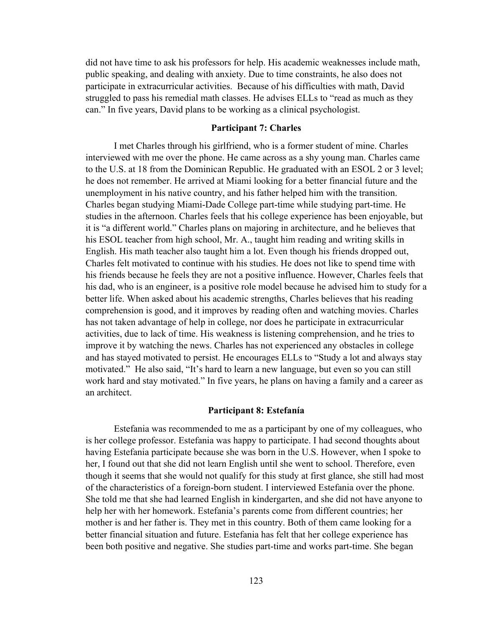did not have time to ask his professors for help. His academic weaknesses include math, public speaking, and dealing with anxiety. Due to time constraints, he also does not participate in extracurricular activities. Because of his difficulties with math, David struggled to pass his remedial math classes. He advises ELLs to "read as much as they can." In five years, David plans to be working as a clinical psychologist.

### **Participant 7: Charles**

I met Charles through his girlfriend, who is a former student of mine. Charles interviewed with me over the phone. He came across as a shy young man. Charles came to the U.S. at 18 from the Dominican Republic. He graduated with an ESOL 2 or 3 level; he does not remember. He arrived at Miami looking for a better financial future and the unemployment in his native country, and his father helped him with the transition. Charles began studying Miami-Dade College part-time while studying part-time. He studies in the afternoon. Charles feels that his college experience has been enjoyable, but it is "a different world." Charles plans on majoring in architecture, and he believes that his ESOL teacher from high school, Mr. A., taught him reading and writing skills in English. His math teacher also taught him a lot. Even though his friends dropped out, Charles felt motivated to continue with his studies. He does not like to spend time with his friends because he feels they are not a positive influence. However, Charles feels that his dad, who is an engineer, is a positive role model because he advised him to study for a better life. When asked about his academic strengths, Charles believes that his reading comprehension is good, and it improves by reading often and watching movies. Charles has not taken advantage of help in college, nor does he participate in extracurricular activities, due to lack of time. His weakness is listening comprehension, and he tries to improve it by watching the news. Charles has not experienced any obstacles in college and has stayed motivated to persist. He encourages ELLs to "Study a lot and always stay motivated." He also said, "It's hard to learn a new language, but even so you can still work hard and stay motivated." In five years, he plans on having a family and a career as an architect.

### **Participant 8: Estefanía**

Estefania was recommended to me as a participant by one of my colleagues, who is her college professor. Estefania was happy to participate. I had second thoughts about having Estefania participate because she was born in the U.S. However, when I spoke to her, I found out that she did not learn English until she went to school. Therefore, even though it seems that she would not qualify for this study at first glance, she still had most of the characteristics of a foreign-born student. I interviewed Estefania over the phone. She told me that she had learned English in kindergarten, and she did not have anyone to help her with her homework. Estefania's parents come from different countries; her mother is and her father is. They met in this country. Both of them came looking for a better financial situation and future. Estefania has felt that her college experience has been both positive and negative. She studies part-time and works part-time. She began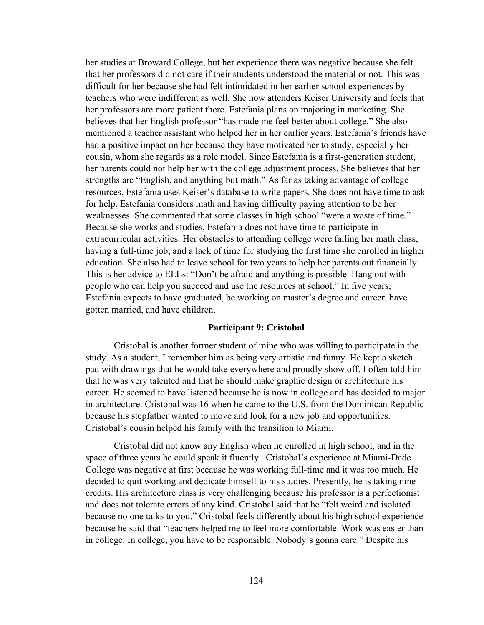her studies at Broward College, but her experience there was negative because she felt that her professors did not care if their students understood the material or not. This was difficult for her because she had felt intimidated in her earlier school experiences by teachers who were indifferent as well. She now attenders Keiser University and feels that her professors are more patient there. Estefania plans on majoring in marketing. She believes that her English professor "has made me feel better about college." She also mentioned a teacher assistant who helped her in her earlier years. Estefania's friends have had a positive impact on her because they have motivated her to study, especially her cousin, whom she regards as a role model. Since Estefania is a first-generation student, her parents could not help her with the college adjustment process. She believes that her strengths are "English, and anything but math." As far as taking advantage of college resources, Estefania uses Keiser's database to write papers. She does not have time to ask for help. Estefania considers math and having difficulty paying attention to be her weaknesses. She commented that some classes in high school "were a waste of time." Because she works and studies, Estefania does not have time to participate in extracurricular activities. Her obstacles to attending college were failing her math class, having a full-time job, and a lack of time for studying the first time she enrolled in higher education. She also had to leave school for two years to help her parents out financially. This is her advice to ELLs: "Don't be afraid and anything is possible. Hang out with people who can help you succeed and use the resources at school." In five years, Estefania expects to have graduated, be working on master's degree and career, have gotten married, and have children.

### **Participant 9: Cristobal**

Cristobal is another former student of mine who was willing to participate in the study. As a student, I remember him as being very artistic and funny. He kept a sketch pad with drawings that he would take everywhere and proudly show off. I often told him that he was very talented and that he should make graphic design or architecture his career. He seemed to have listened because he is now in college and has decided to major in architecture. Cristobal was 16 when he came to the U.S. from the Dominican Republic because his stepfather wanted to move and look for a new job and opportunities. Cristobal's cousin helped his family with the transition to Miami.

Cristobal did not know any English when he enrolled in high school, and in the space of three years he could speak it fluently. Cristobal's experience at Miami-Dade College was negative at first because he was working full-time and it was too much. He decided to quit working and dedicate himself to his studies. Presently, he is taking nine credits. His architecture class is very challenging because his professor is a perfectionist and does not tolerate errors of any kind. Cristobal said that he "felt weird and isolated because no one talks to you." Cristobal feels differently about his high school experience because he said that "teachers helped me to feel more comfortable. Work was easier than in college. In college, you have to be responsible. Nobody's gonna care." Despite his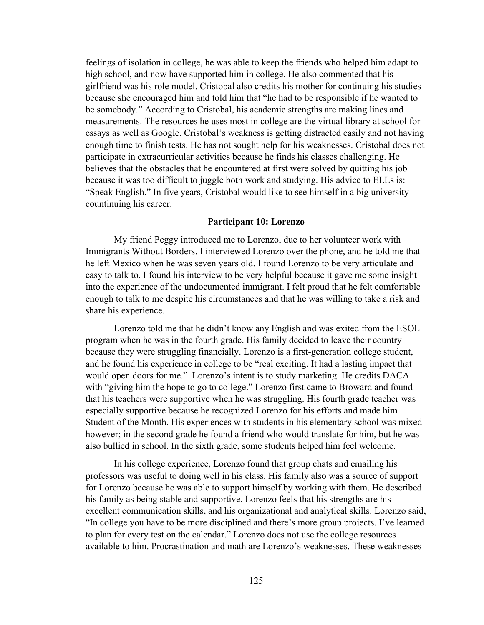feelings of isolation in college, he was able to keep the friends who helped him adapt to high school, and now have supported him in college. He also commented that his girlfriend was his role model. Cristobal also credits his mother for continuing his studies because she encouraged him and told him that "he had to be responsible if he wanted to be somebody." According to Cristobal, his academic strengths are making lines and measurements. The resources he uses most in college are the virtual library at school for essays as well as Google. Cristobal's weakness is getting distracted easily and not having enough time to finish tests. He has not sought help for his weaknesses. Cristobal does not participate in extracurricular activities because he finds his classes challenging. He believes that the obstacles that he encountered at first were solved by quitting his job because it was too difficult to juggle both work and studying. His advice to ELLs is: "Speak English." In five years, Cristobal would like to see himself in a big university countinuing his career.

### **Participant 10: Lorenzo**

My friend Peggy introduced me to Lorenzo, due to her volunteer work with Immigrants Without Borders. I interviewed Lorenzo over the phone, and he told me that he left Mexico when he was seven years old. I found Lorenzo to be very articulate and easy to talk to. I found his interview to be very helpful because it gave me some insight into the experience of the undocumented immigrant. I felt proud that he felt comfortable enough to talk to me despite his circumstances and that he was willing to take a risk and share his experience.

Lorenzo told me that he didn't know any English and was exited from the ESOL program when he was in the fourth grade. His family decided to leave their country because they were struggling financially. Lorenzo is a first-generation college student, and he found his experience in college to be "real exciting. It had a lasting impact that would open doors for me." Lorenzo's intent is to study marketing. He credits DACA with "giving him the hope to go to college." Lorenzo first came to Broward and found that his teachers were supportive when he was struggling. His fourth grade teacher was especially supportive because he recognized Lorenzo for his efforts and made him Student of the Month. His experiences with students in his elementary school was mixed however; in the second grade he found a friend who would translate for him, but he was also bullied in school. In the sixth grade, some students helped him feel welcome.

In his college experience, Lorenzo found that group chats and emailing his professors was useful to doing well in his class. His family also was a source of support for Lorenzo because he was able to support himself by working with them. He described his family as being stable and supportive. Lorenzo feels that his strengths are his excellent communication skills, and his organizational and analytical skills. Lorenzo said, "In college you have to be more disciplined and there's more group projects. I've learned to plan for every test on the calendar." Lorenzo does not use the college resources available to him. Procrastination and math are Lorenzo's weaknesses. These weaknesses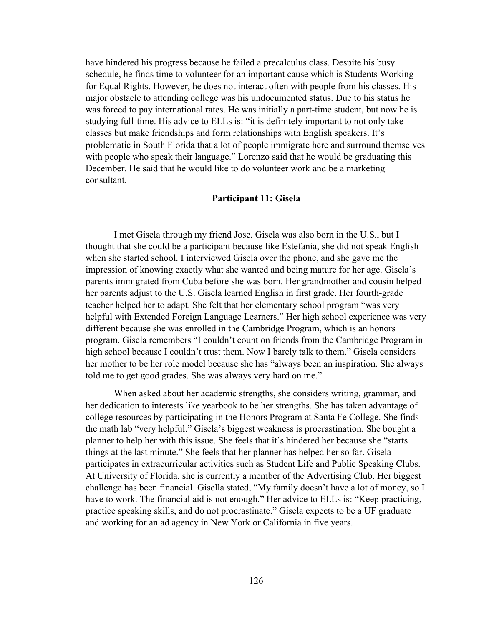have hindered his progress because he failed a precalculus class. Despite his busy schedule, he finds time to volunteer for an important cause which is Students Working for Equal Rights. However, he does not interact often with people from his classes. His major obstacle to attending college was his undocumented status. Due to his status he was forced to pay international rates. He was initially a part-time student, but now he is studying full-time. His advice to ELLs is: "it is definitely important to not only take classes but make friendships and form relationships with English speakers. It's problematic in South Florida that a lot of people immigrate here and surround themselves with people who speak their language." Lorenzo said that he would be graduating this December. He said that he would like to do volunteer work and be a marketing consultant.

#### **Participant 11: Gisela**

I met Gisela through my friend Jose. Gisela was also born in the U.S., but I thought that she could be a participant because like Estefania, she did not speak English when she started school. I interviewed Gisela over the phone, and she gave me the impression of knowing exactly what she wanted and being mature for her age. Gisela's parents immigrated from Cuba before she was born. Her grandmother and cousin helped her parents adjust to the U.S. Gisela learned English in first grade. Her fourth-grade teacher helped her to adapt. She felt that her elementary school program "was very helpful with Extended Foreign Language Learners." Her high school experience was very different because she was enrolled in the Cambridge Program, which is an honors program. Gisela remembers "I couldn't count on friends from the Cambridge Program in high school because I couldn't trust them. Now I barely talk to them." Gisela considers her mother to be her role model because she has "always been an inspiration. She always told me to get good grades. She was always very hard on me."

When asked about her academic strengths, she considers writing, grammar, and her dedication to interests like yearbook to be her strengths. She has taken advantage of college resources by participating in the Honors Program at Santa Fe College. She finds the math lab "very helpful." Gisela's biggest weakness is procrastination. She bought a planner to help her with this issue. She feels that it's hindered her because she "starts things at the last minute." She feels that her planner has helped her so far. Gisela participates in extracurricular activities such as Student Life and Public Speaking Clubs. At University of Florida, she is currently a member of the Advertising Club. Her biggest challenge has been financial. Gisella stated, "My family doesn't have a lot of money, so I have to work. The financial aid is not enough." Her advice to ELLs is: "Keep practicing, practice speaking skills, and do not procrastinate." Gisela expects to be a UF graduate and working for an ad agency in New York or California in five years.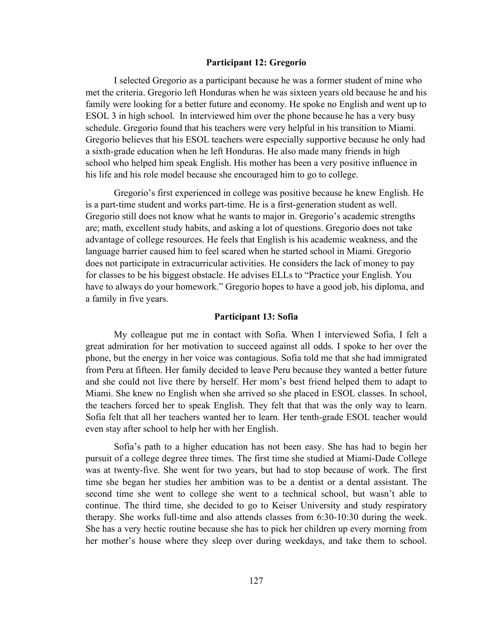#### **Participant 12: Gregorio**

I selected Gregorio as a participant because he was a former student of mine who met the criteria. Gregorio left Honduras when he was sixteen years old because he and his family were looking for a better future and economy. He spoke no English and went up to ESOL 3 in high school. In interviewed him over the phone because he has a very busy schedule. Gregorio found that his teachers were very helpful in his transition to Miami. Gregorio believes that his ESOL teachers were especially supportive because he only had a sixth-grade education when he left Honduras. He also made many friends in high school who helped him speak English. His mother has been a very positive influence in his life and his role model because she encouraged him to go to college.

Gregorio's first experienced in college was positive because he knew English. He is a part-time student and works part-time. He is a first-generation student as well. Gregorio still does not know what he wants to major in. Gregorio's academic strengths are; math, excellent study habits, and asking a lot of questions. Gregorio does not take advantage of college resources. He feels that English is his academic weakness, and the language barrier caused him to feel scared when he started school in Miami. Gregorio does not participate in extracurricular activities. He considers the lack of money to pay for classes to be his biggest obstacle. He advises ELLs to "Practice your English. You have to always do your homework." Gregorio hopes to have a good job, his diploma, and a family in five years.

### **Participant 13: Sofia**

My colleague put me in contact with Sofia. When I interviewed Sofia, I felt a great admiration for her motivation to succeed against all odds. I spoke to her over the phone, but the energy in her voice was contagious. Sofia told me that she had immigrated from Peru at fifteen. Her family decided to leave Peru because they wanted a better future and she could not live there by herself. Her mom's best friend helped them to adapt to Miami. She knew no English when she arrived so she placed in ESOL classes. In school, the teachers forced her to speak English. They felt that that was the only way to learn. Sofia felt that all her teachers wanted her to learn. Her tenth-grade ESOL teacher would even stay after school to help her with her English.

Sofia's path to a higher education has not been easy. She has had to begin her pursuit of a college degree three times. The first time she studied at Miami-Dade College was at twenty-five. She went for two years, but had to stop because of work. The first time she began her studies her ambition was to be a dentist or a dental assistant. The second time she went to college she went to a technical school, but wasn't able to continue. The third time, she decided to go to Keiser University and study respiratory therapy. She works full-time and also attends classes from 6:30-10:30 during the week. She has a very hectic routine because she has to pick her children up every morning from her mother's house where they sleep over during weekdays, and take them to school.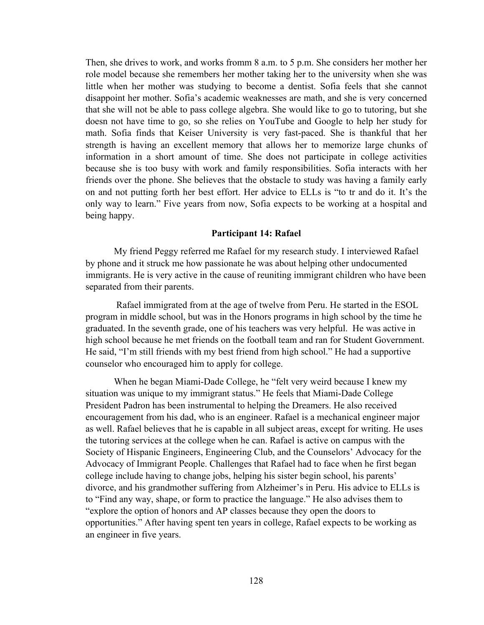Then, she drives to work, and works fromm 8 a.m. to 5 p.m. She considers her mother her role model because she remembers her mother taking her to the university when she was little when her mother was studying to become a dentist. Sofia feels that she cannot disappoint her mother. Sofia's academic weaknesses are math, and she is very concerned that she will not be able to pass college algebra. She would like to go to tutoring, but she doesn not have time to go, so she relies on YouTube and Google to help her study for math. Sofia finds that Keiser University is very fast-paced. She is thankful that her strength is having an excellent memory that allows her to memorize large chunks of information in a short amount of time. She does not participate in college activities because she is too busy with work and family responsibilities. Sofia interacts with her friends over the phone. She believes that the obstacle to study was having a family early on and not putting forth her best effort. Her advice to ELLs is "to tr and do it. It's the only way to learn." Five years from now, Sofia expects to be working at a hospital and being happy.

### **Participant 14: Rafael**

My friend Peggy referred me Rafael for my research study. I interviewed Rafael by phone and it struck me how passionate he was about helping other undocumented immigrants. He is very active in the cause of reuniting immigrant children who have been separated from their parents.

Rafael immigrated from at the age of twelve from Peru. He started in the ESOL program in middle school, but was in the Honors programs in high school by the time he graduated. In the seventh grade, one of his teachers was very helpful. He was active in high school because he met friends on the football team and ran for Student Government. He said, "I'm still friends with my best friend from high school." He had a supportive counselor who encouraged him to apply for college.

When he began Miami-Dade College, he "felt very weird because I knew my situation was unique to my immigrant status." He feels that Miami-Dade College President Padron has been instrumental to helping the Dreamers. He also received encouragement from his dad, who is an engineer. Rafael is a mechanical engineer major as well. Rafael believes that he is capable in all subject areas, except for writing. He uses the tutoring services at the college when he can. Rafael is active on campus with the Society of Hispanic Engineers, Engineering Club, and the Counselors' Advocacy for the Advocacy of Immigrant People. Challenges that Rafael had to face when he first began college include having to change jobs, helping his sister begin school, his parents' divorce, and his grandmother suffering from Alzheimer's in Peru. His advice to ELLs is to "Find any way, shape, or form to practice the language." He also advises them to "explore the option of honors and AP classes because they open the doors to opportunities." After having spent ten years in college, Rafael expects to be working as an engineer in five years.